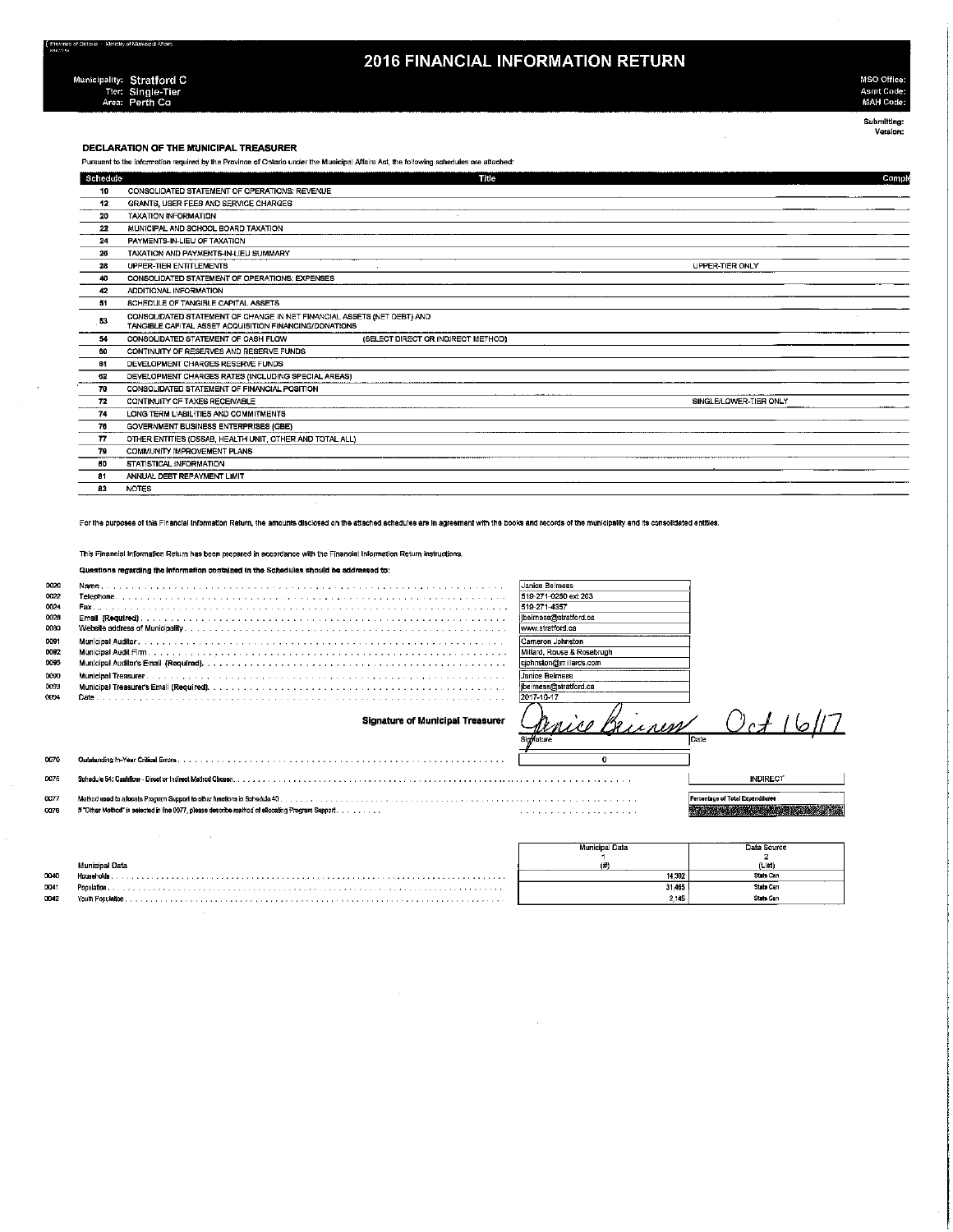#### **2016 FINANCIAL INFORMATION RETURN**

.<br>re of Dotoun — Manistos of Municipal Afford

0070

MSO Office: Asmt Code:<br>MAH Code:

Submitting:<br>Version:

 $\bar{z}$ 

DECLARATION OF THE MUNICIPAL TREASURER

Pursuant to the information required by the Province of Ontario under the Municipal Affairs Act, the following schedules are attached:

| Schedule        | Titte                                                                                                                             |                        | Comple |
|-----------------|-----------------------------------------------------------------------------------------------------------------------------------|------------------------|--------|
| 10              | CONSOLIDATED STATEMENT OF OPERATIONS: REVENUE                                                                                     |                        |        |
| 12              | GRANTS, USER FEES AND SERVICE CHARGES                                                                                             |                        |        |
| 20              | <b>TAXATION INFORMATION</b>                                                                                                       |                        |        |
| 22              | MUNICIPAL AND SCHOOL BOARD TAXATION                                                                                               |                        |        |
| 24              | PAYMENTS-IN-LIEU OF TAXATION                                                                                                      |                        |        |
| 26              | TAXATION AND PAYMENTS-IN-LIEU SUMMARY                                                                                             |                        |        |
| 28              | <b>UPPER-TIER ENTITLEMENTS</b>                                                                                                    | UPFER-TIER ONLY        |        |
| 40              | CONSOLIDATED STATEMENT OF OPERATIONS: EXPENSES                                                                                    |                        |        |
| 42              | ADDITIONAL INFORMATION                                                                                                            |                        |        |
| 51              | SCHEDULE OF TANGIBLE CAPITAL ASSETS                                                                                               |                        |        |
| 53              | CONSOLIDATED STATEMENT OF CHANGE IN NET FINANCIAL ASSETS (NET DEBT) AND<br>TANGIBLE CAPITAL ASSET ACQUISITION FINANCING/DONATIONS |                        |        |
| -54             | (SELECT DIRECT OR INDIRECT METHOD)<br>CONSOLIDATED STATEMENT OF CASH FLOW                                                         |                        |        |
| 60              | CONTINUITY OF RESERVES AND RESERVE FUNDS                                                                                          |                        |        |
| 61              | DEVELOPMENT CHARGES RESERVE FUNDS                                                                                                 |                        |        |
| 62              | DEVELOPMENT CHARGES RATES (INCLUDING SPECIAL AREAS)                                                                               |                        |        |
| 70              | CONSOLIDATED STATEMENT OF FINANCIAL POSITION                                                                                      |                        |        |
| 72              | CONTINUITY OF TAXES RECEIVABLE                                                                                                    | SINGLE/LOWER-TIER ONLY |        |
| 74              | LONG TERM LIABILITIES AND COMMITMENTS                                                                                             |                        |        |
| 76              | GOVERNMENT BUSINESS ENTERPRISES (GBE)                                                                                             |                        |        |
| $\overline{17}$ | OTHER ENTITIES (DSSAB, HEALTH UNIT, OTHER AND TOTAL ALL)                                                                          |                        |        |
| 79              | COMMUNITY IMPROVEMENT PLANS                                                                                                       |                        |        |
| 60              | STATISTICAL INFORMATION                                                                                                           |                        |        |
| 81              | ANNUAL DEBT REPAYMENT LIMIT                                                                                                       |                        |        |
| 83              | <b>NOTES</b>                                                                                                                      |                        |        |

For the purposes of this Financial Information Return, the amounts disclosed on the attached schedules are in agreement with the books and records of the municipality and its consolidated entities.

This Financial Information Return has been prepared in accordance with the Financial Information Return instructions.

Questions regarding the information contained in the Schadules should be addressed to:

 $\sim$ 

| 0020 | Janice Belmess             |
|------|----------------------------|
| 0022 | 519-271-0250 ext 203       |
| 0024 | 519-271-4357               |
| 0028 | I beirness@stratford.ca    |
| 0030 | www.stratford.ca           |
| 0091 | Cameron Johnston           |
| 0092 | Millard, Rouse & Rosebrugh |
| 0095 | ciohnston@millards.com     |
| 0090 | Janice Beimess             |
| 600  | ibeirness@stratford.ca     |
| 0094 | 2017-10-17                 |

**Signature of Municipal Treasurer** 

| ibeirness@stratford.ca |      |  |
|------------------------|------|--|
| 2017-10-17             |      |  |
| , , , ,<br>Quinm       |      |  |
| Hature                 | Date |  |
|                        |      |  |
|                        |      |  |

| 0075         |                                                                                                                    | <b>INDIRECT</b>                  |
|--------------|--------------------------------------------------------------------------------------------------------------------|----------------------------------|
| 0077<br>0078 | If "Other Method" is selected in line 0077, please describe method of allocating Program Support , , , , , , , , , | Percentage of Total Expanditures |

|                | Municipal Data               | Data Source |
|----------------|------------------------------|-------------|
|                |                              |             |
| Municipal Data |                              | (List)      |
|                | 14.302                       | Stats Can   |
|                | 31,465                       | State Can   |
|                | 2.145                        | State Can   |
|                | Hauschalds .<br>Population . |             |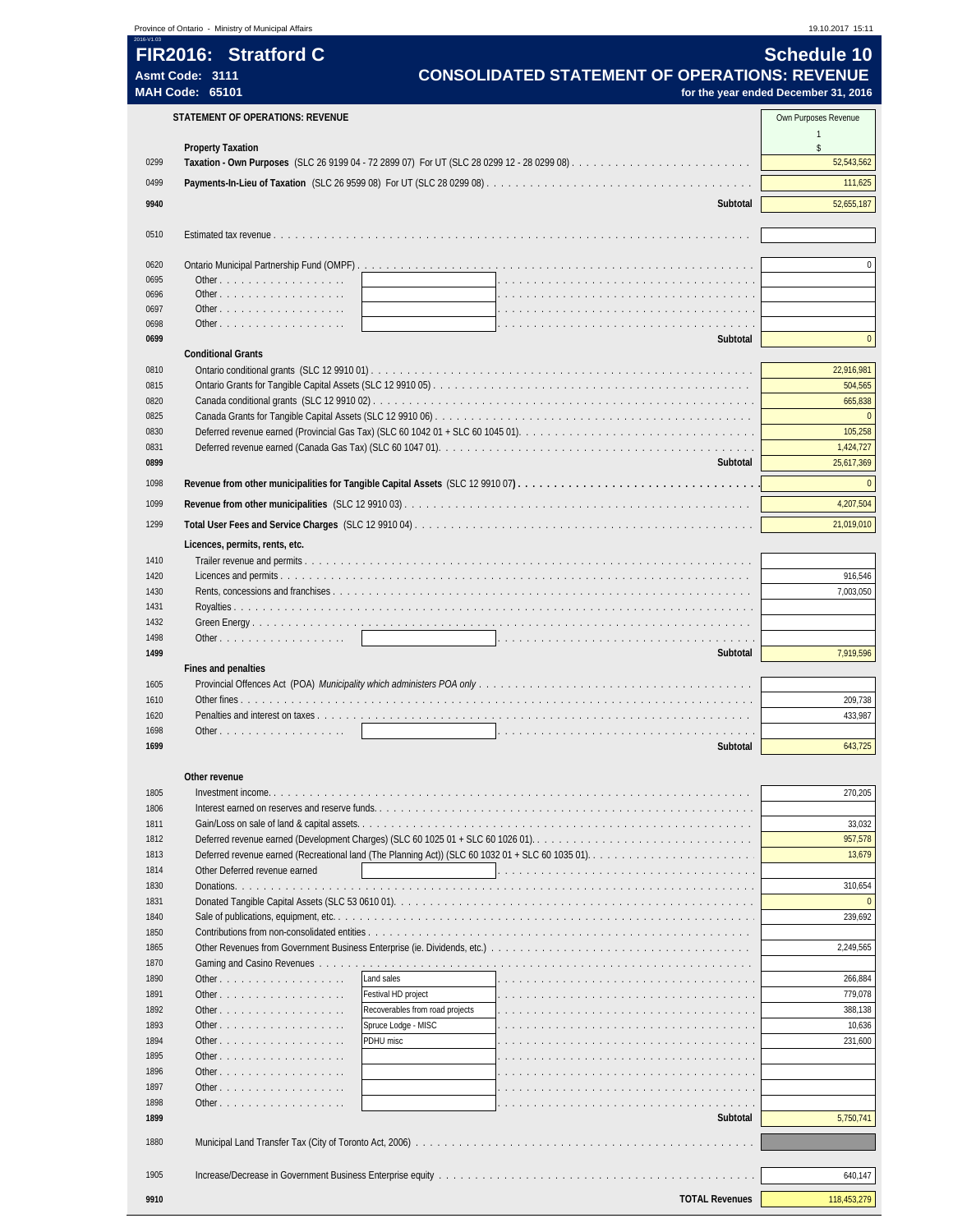| 2016-V1.03   |                           | Province of Ontario - Ministry of Municipal Affairs         |                                                                              | 19.10.2017 15:11                     |
|--------------|---------------------------|-------------------------------------------------------------|------------------------------------------------------------------------------|--------------------------------------|
|              |                           | FIR2016: Stratford C                                        |                                                                              | <b>Schedule 10</b>                   |
|              | Asmt Code: 3111           |                                                             | <b>CONSOLIDATED STATEMENT OF OPERATIONS: REVENUE</b>                         |                                      |
|              | <b>MAH Code: 65101</b>    |                                                             |                                                                              | for the year ended December 31, 2016 |
|              |                           |                                                             |                                                                              |                                      |
|              |                           | <b>STATEMENT OF OPERATIONS: REVENUE</b>                     |                                                                              | Own Purposes Revenue                 |
|              |                           |                                                             |                                                                              | $\mathbf{1}$<br>$\mathsf{s}$         |
| 0299         | <b>Property Taxation</b>  |                                                             |                                                                              | 52,543,562                           |
|              |                           |                                                             |                                                                              |                                      |
| 0499         |                           |                                                             |                                                                              | 111,625                              |
| 9940         |                           |                                                             | Subtotal                                                                     | 52,655,187                           |
| 0510         |                           |                                                             |                                                                              |                                      |
|              |                           |                                                             |                                                                              |                                      |
| 0620         |                           |                                                             |                                                                              | $\mathbf 0$                          |
| 0695         |                           |                                                             |                                                                              |                                      |
| 0696         |                           |                                                             |                                                                              |                                      |
| 0697         |                           |                                                             |                                                                              |                                      |
| 0698         |                           | Other, $\ldots$ , $\ldots$ , $\ldots$ , $\ldots$ , $\ldots$ |                                                                              |                                      |
| 0699         | <b>Conditional Grants</b> |                                                             | Subtotal                                                                     | $\mathbf{0}$                         |
| 0810         |                           |                                                             |                                                                              | 22,916,981                           |
| 0815         |                           |                                                             |                                                                              | 504,565                              |
| 0820         |                           |                                                             |                                                                              | 665,838                              |
| 0825         |                           |                                                             |                                                                              | $\overline{0}$                       |
| 0830         |                           |                                                             |                                                                              | 105,258                              |
| 0831         |                           |                                                             |                                                                              | 1,424,727                            |
| 0899         |                           |                                                             | Subtotal                                                                     | 25,617,369                           |
| 1098         |                           |                                                             | Revenue from other municipalities for Tangible Capital Assets (SLC 12991007) | $\mathbf{0}$                         |
| 1099         |                           |                                                             |                                                                              | 4,207,504                            |
| 1299         |                           |                                                             |                                                                              | 21,019,010                           |
|              |                           |                                                             |                                                                              |                                      |
|              |                           | Licences, permits, rents, etc.                              |                                                                              |                                      |
| 1410<br>1420 |                           |                                                             |                                                                              | 916,546                              |
| 1430         |                           |                                                             |                                                                              | 7,003,050                            |
| 1431         |                           |                                                             |                                                                              |                                      |
| 1432         |                           |                                                             |                                                                              |                                      |
| 1498         |                           |                                                             |                                                                              |                                      |
| 1499         |                           |                                                             | Subtotal                                                                     | 7,919,596                            |
|              |                           | Fines and penalties                                         |                                                                              |                                      |
| 1605         |                           |                                                             |                                                                              |                                      |
| 1610         |                           |                                                             |                                                                              | 209,738                              |
| 1620<br>1698 |                           | Other $\ldots$ $\ldots$ $\ldots$ $\ldots$ $\ldots$ $\ldots$ |                                                                              | 433,987                              |
| 1699         |                           |                                                             | Subtotal                                                                     | 643,725                              |
|              |                           |                                                             |                                                                              |                                      |
|              | Other revenue             |                                                             |                                                                              |                                      |
| 1805         |                           |                                                             |                                                                              | 270,205                              |
| 1806         |                           |                                                             | Interest earned on reserves and reserve funds.                               |                                      |
| 1811         |                           |                                                             |                                                                              | 33,032                               |
| 1812         |                           |                                                             |                                                                              | 957,578                              |
| 1813         |                           |                                                             |                                                                              | 13,679                               |
|              |                           |                                                             |                                                                              |                                      |
| 1814         |                           | Other Deferred revenue earned                               |                                                                              |                                      |
| 1830         |                           |                                                             |                                                                              | 310,654                              |
| 1831<br>1840 |                           |                                                             |                                                                              | 239,692                              |
| 1850         |                           |                                                             |                                                                              |                                      |
| 1865         |                           |                                                             |                                                                              | 2,249,565                            |
| 1870         |                           |                                                             |                                                                              |                                      |
| 1890         |                           | Land sales                                                  |                                                                              | 266,884                              |
| 1891         |                           | Other                                                       | Festival HD project                                                          |                                      |
| 1892         |                           | Other                                                       | Recoverables from road projects                                              |                                      |
| 1893         |                           | Other                                                       | Spruce Lodge - MISC                                                          | 10,636                               |
| 1894         |                           | PDHU misc<br>Other                                          |                                                                              | 231,600                              |
| 1895<br>1896 |                           | Other                                                       |                                                                              | 779,078<br>388,138                   |
| 1897         |                           | Other<br>Other                                              |                                                                              |                                      |
| 1898         |                           | Other                                                       |                                                                              |                                      |
| 1899         |                           |                                                             | Subtotal                                                                     | 5,750,741                            |
|              |                           |                                                             |                                                                              |                                      |
| 1880         |                           |                                                             |                                                                              |                                      |
|              |                           |                                                             |                                                                              |                                      |
| 1905<br>9910 |                           |                                                             | <b>TOTAL Revenues</b>                                                        | 640,147<br>118,453,279               |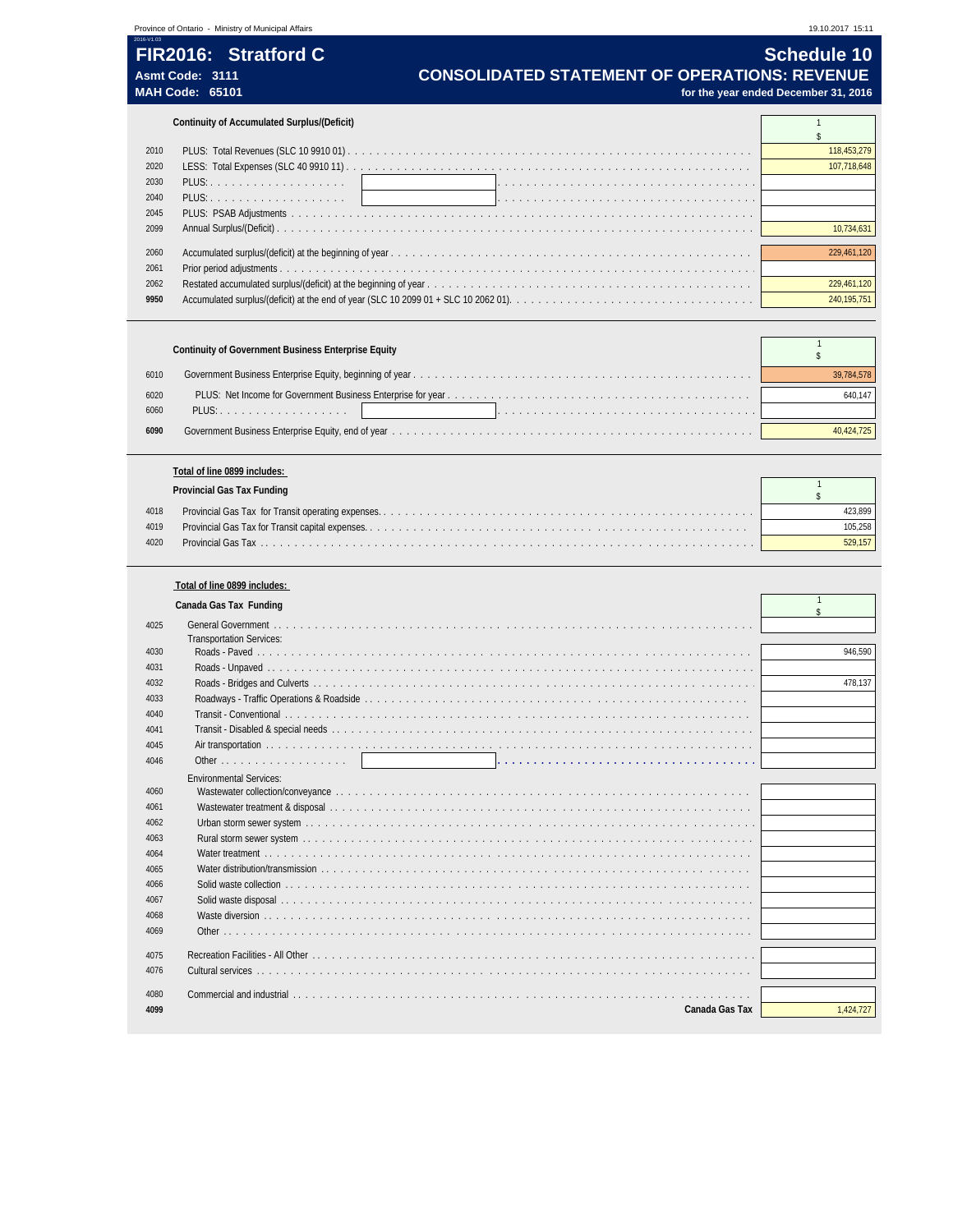# **FIR2016: Stratford C** Samuel C Schedule 10 Asmt Code: 3111<br>MAH Code: 65101<br>MAH Code: 65101<br>And Code: 65101

for the year ended December 31, 2016

**Continuity of Accumulated Surplus/(Deficit)** 1

| 2010 | 118,453.27  |
|------|-------------|
| 2020 |             |
| 2030 |             |
| 2040 |             |
| 2045 |             |
| 2099 |             |
|      |             |
| 2060 | 229,461.12  |
| 2061 |             |
| 2062 | 229,461,120 |
| 9950 |             |

|              | Continuity of Government Business Enterprise Equity |            |
|--------------|-----------------------------------------------------|------------|
| 6010         |                                                     | 39.784.578 |
| 6020<br>6060 |                                                     | 640.147    |
| 6090         |                                                     |            |

#### **Total of line 0899 includes:**

|      | Provincial Gas Tax Funding |  |
|------|----------------------------|--|
| 4018 |                            |  |
| 4019 |                            |  |
| 4020 |                            |  |

#### **Total of line 0899 includes:**

|      | Canada Gas Tax Funding          | $\hat{\mathbf{S}}$ |
|------|---------------------------------|--------------------|
| 4025 |                                 |                    |
|      | <b>Transportation Services:</b> |                    |
| 4030 |                                 | 946.590            |
| 4031 |                                 |                    |
| 4032 |                                 | 478.137            |
| 4033 |                                 |                    |
| 4040 |                                 |                    |
| 4041 |                                 |                    |
| 4045 |                                 |                    |
| 4046 |                                 |                    |
|      | <b>Fnvironmental Services:</b>  |                    |
| 4060 |                                 |                    |
| 4061 |                                 |                    |
| 4062 |                                 |                    |
| 4063 |                                 |                    |
| 4064 |                                 |                    |
| 4065 |                                 |                    |
| 4066 |                                 |                    |
| 4067 |                                 |                    |
| 4068 |                                 |                    |
| 4069 |                                 |                    |
|      |                                 |                    |
| 4075 |                                 |                    |
| 4076 |                                 |                    |
| 4080 |                                 |                    |
| 4099 | Canada Gas Tax                  | 1,424,727          |
|      |                                 |                    |

٦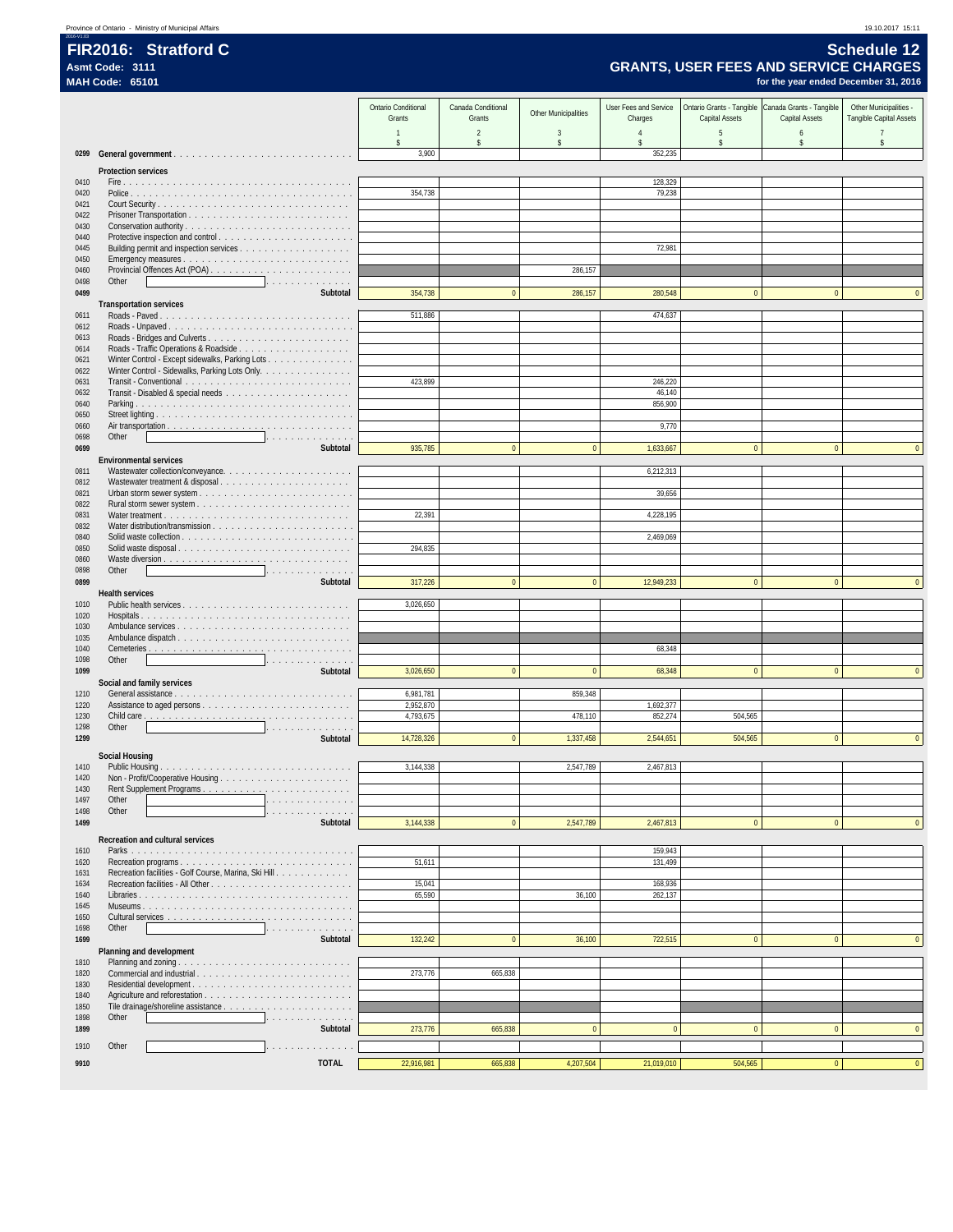# 2016-V1.03 **FIR2016: Stratford C Schedule 12**

#### **Asmt Code: 3111 GRANTS, USER FEES AND SERVICE CHARGES**

|              | <b>MAH Code: 65101</b>                                                       |                        |                    |                      |                       |                                                    | for the year ended December 31, 2016 |                         |
|--------------|------------------------------------------------------------------------------|------------------------|--------------------|----------------------|-----------------------|----------------------------------------------------|--------------------------------------|-------------------------|
|              |                                                                              | Ontario Conditional    | Canada Conditional |                      | User Fees and Service | Ontario Grants - Tangible Canada Grants - Tangible |                                      | Other Municipalities -  |
|              |                                                                              | Grants                 | Grants             | Other Municipalities | Charges               | Capital Assets                                     | Capital Assets                       | Tangible Capital Assets |
|              |                                                                              | $\overline{1}$         | $\mathfrak{p}$     | 3                    | $\overline{4}$        | 5                                                  | 6                                    | $\overline{7}$          |
|              |                                                                              | $\mathsf{\$}$          | \$                 | \$                   | $\hat{\mathbf{S}}$    | \$                                                 | \$                                   | \$                      |
| 0299         |                                                                              | 3,900                  |                    |                      | 352,235               |                                                    |                                      |                         |
|              | <b>Protection services</b>                                                   |                        |                    |                      |                       |                                                    |                                      |                         |
| 0410         |                                                                              | 354,738                |                    |                      | 128,329<br>79,238     |                                                    |                                      |                         |
| 0420<br>0421 |                                                                              |                        |                    |                      |                       |                                                    |                                      |                         |
| 0422         |                                                                              |                        |                    |                      |                       |                                                    |                                      |                         |
| 0430         |                                                                              |                        |                    |                      |                       |                                                    |                                      |                         |
| 0440<br>0445 |                                                                              |                        |                    |                      | 72,981                |                                                    |                                      |                         |
| 0450         |                                                                              |                        |                    |                      |                       |                                                    |                                      |                         |
| 0460         |                                                                              |                        |                    | 286,157              |                       |                                                    |                                      |                         |
| 0498         | Other<br>.                                                                   |                        |                    |                      |                       |                                                    |                                      |                         |
| 0499         | Subtotal<br><b>Transportation services</b>                                   | 354,738                | $\Omega$           | 286,157              | 280,548               | $\mathbf{0}$                                       | $\mathbf{0}$                         |                         |
| 0611         | Roads - Paved                                                                | 511,886                |                    |                      | 474,637               |                                                    |                                      |                         |
| 0612         | Roads - Unpaved                                                              |                        |                    |                      |                       |                                                    |                                      |                         |
| 0613         |                                                                              |                        |                    |                      |                       |                                                    |                                      |                         |
| 0614<br>0621 | Winter Control - Except sidewalks, Parking Lots                              |                        |                    |                      |                       |                                                    |                                      |                         |
| 0622         | Winter Control - Sidewalks, Parking Lots Only.                               |                        |                    |                      |                       |                                                    |                                      |                         |
| 0631         |                                                                              | 423,899                |                    |                      | 246,220               |                                                    |                                      |                         |
| 0632<br>0640 |                                                                              |                        |                    |                      | 46,140<br>856,900     |                                                    |                                      |                         |
| 0650         |                                                                              |                        |                    |                      |                       |                                                    |                                      |                         |
| 0660         |                                                                              |                        |                    |                      | 9,770                 |                                                    |                                      |                         |
| 0698         | Other<br>and a straightful and a straight                                    |                        |                    |                      |                       |                                                    |                                      |                         |
| 0699         | Subtotal<br><b>Environmental services</b>                                    | 935,785                | $\overline{0}$     | $\overline{0}$       | 1,633,667             | $\mathbf{0}$                                       | $\mathbf{0}$                         |                         |
| 0811         |                                                                              |                        |                    |                      | 6,212,313             |                                                    |                                      |                         |
| 0812         |                                                                              |                        |                    |                      |                       |                                                    |                                      |                         |
| 0821         |                                                                              |                        |                    |                      | 39,656                |                                                    |                                      |                         |
| 0822<br>0831 |                                                                              | 22,391                 |                    |                      | 4.228.195             |                                                    |                                      |                         |
| 0832         |                                                                              |                        |                    |                      |                       |                                                    |                                      |                         |
| 0840         |                                                                              |                        |                    |                      | 2,469,069             |                                                    |                                      |                         |
| 0850<br>0860 |                                                                              | 294,835                |                    |                      |                       |                                                    |                                      |                         |
| 0898         | Other<br>.                                                                   |                        |                    |                      |                       |                                                    |                                      |                         |
| 0899         | Subtotal                                                                     | 317,226                | $\Omega$           | $\overline{0}$       | 12,949,233            | $\mathbf{0}$                                       | $\mathbf{0}$                         |                         |
|              | <b>Health services</b>                                                       |                        |                    |                      |                       |                                                    |                                      |                         |
| 1010<br>1020 |                                                                              | 3,026,650              |                    |                      |                       |                                                    |                                      |                         |
| 1030         |                                                                              |                        |                    |                      |                       |                                                    |                                      |                         |
| 1035         |                                                                              |                        |                    |                      |                       |                                                    |                                      |                         |
| 1040         | Other                                                                        |                        |                    |                      | 68,348                |                                                    |                                      |                         |
| 1098<br>1099 | a dia ana amin'ny fivondronan-<br>Subtotal                                   | 3,026,650              | $\pmb{0}$          | $\mathbf{0}$         | 68,348                | $\mathbf{0}$                                       | $\mathbf{0}$                         | $\mathbf{0}$            |
|              | Social and family services                                                   |                        |                    |                      |                       |                                                    |                                      |                         |
| 1210         |                                                                              | 6,981,781              |                    | 859,348              |                       |                                                    |                                      |                         |
| 1220<br>1230 |                                                                              | 2,952,870<br>4,793,675 |                    | 478,110              | 1,692,377<br>852,274  | 504,565                                            |                                      |                         |
| 1298         | Other<br>.                                                                   |                        |                    |                      |                       |                                                    |                                      |                         |
| 1299         | Subtotal                                                                     | 14,728,326             | $\Omega$           | 1,337,458            | 2,544,651             | 504,565                                            | $\mathbf{0}$                         |                         |
|              | Social Housing                                                               |                        |                    |                      |                       |                                                    |                                      |                         |
| 1410         |                                                                              | 3,144,338              |                    | 2,547,789            | 2,467,813             |                                                    |                                      |                         |
| 1420         |                                                                              |                        |                    |                      |                       |                                                    |                                      |                         |
| 1430<br>1497 | Other<br>.                                                                   |                        |                    |                      |                       |                                                    |                                      |                         |
| 1498         | Other<br>.                                                                   |                        |                    |                      |                       |                                                    |                                      |                         |
| 1499         | Subtotal                                                                     | 3,144,338              | $\mathbf{0}$       | 2,547,789            | 2,467,813             | $\mathbf{0}$                                       | $\mathbf{0}$                         |                         |
|              | Recreation and cultural services                                             |                        |                    |                      |                       |                                                    |                                      |                         |
| 1610         |                                                                              |                        |                    |                      | 159,943               |                                                    |                                      |                         |
| 1620<br>1631 | Recreation programs<br>Recreation facilities - Golf Course, Marina, Ski Hill | 51,611                 |                    |                      | 131,499               |                                                    |                                      |                         |
| 1634         |                                                                              | 15,041                 |                    |                      | 168,936               |                                                    |                                      |                         |
| 1640         |                                                                              | 65,590                 |                    | 36,100               | 262,137               |                                                    |                                      |                         |
| 1645         |                                                                              |                        |                    |                      |                       |                                                    |                                      |                         |
| 1650<br>1698 | Other<br>.                                                                   |                        |                    |                      |                       |                                                    |                                      |                         |
| 1699         | Subtotal                                                                     | 132,242                | $\Omega$           | 36,100               | 722,515               | $\mathbf{0}$                                       | $\mathbf{0}$                         |                         |
|              | Planning and development                                                     |                        |                    |                      |                       |                                                    |                                      |                         |
| 1810<br>1820 |                                                                              | 273,776                | 665,838            |                      |                       |                                                    |                                      |                         |
| 1830         |                                                                              |                        |                    |                      |                       |                                                    |                                      |                         |
| 1840         |                                                                              |                        |                    |                      |                       |                                                    |                                      |                         |
| 1850         |                                                                              |                        |                    |                      |                       |                                                    |                                      |                         |
| 1898<br>1899 | Other<br>.<br>Subtotal                                                       | 273,776                | 665,838            | $\Omega$             | $\mathbf{0}$          | $\mathbf{0}$                                       | $\mathbf{0}$                         | $\mathbf{0}$            |
|              |                                                                              |                        |                    |                      |                       |                                                    |                                      |                         |
| 1910         | Other<br>the company of the company of the                                   |                        |                    |                      |                       |                                                    |                                      |                         |
| 9910         | <b>TOTAL</b>                                                                 | 22,916,981             | 665,838            | 4,207,504            | 21,019,010            | 504,565                                            | $\overline{0}$                       | $\mathbf{0}$            |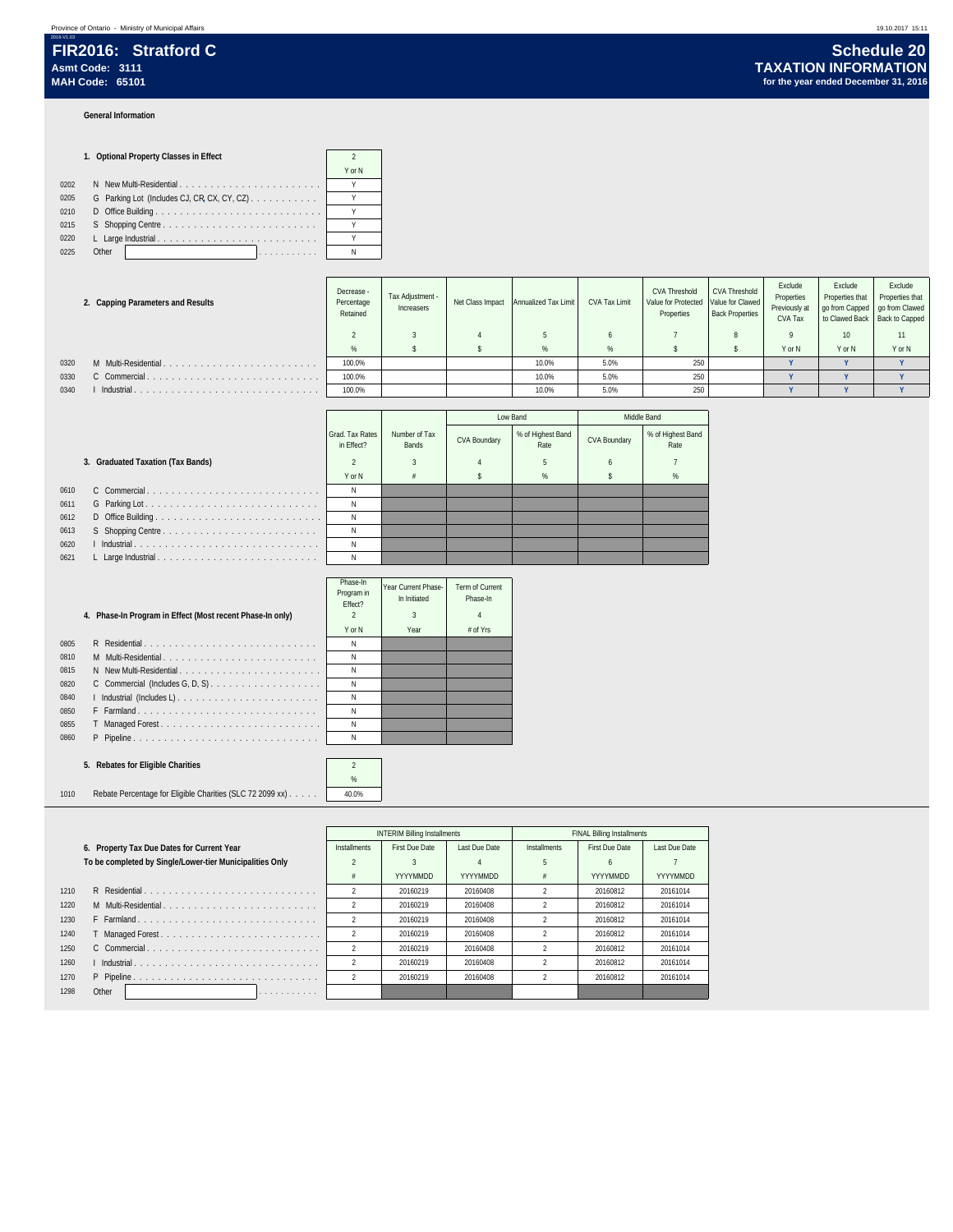#### **General Information**

|  | 1. Optional Property Classes in Effect |  |
|--|----------------------------------------|--|
|--|----------------------------------------|--|

|      |                                              | Y or N |
|------|----------------------------------------------|--------|
| 0202 |                                              |        |
| 0205 | G Parking Lot (Includes CJ, CR, CX, CY, CZ). |        |
| 0210 |                                              |        |
| 0215 |                                              |        |
| 0220 |                                              |        |
| 0225 | Other                                        | Ν      |

|                     | 2. Capping Parameters and Results | Decrease -<br>Percentage<br>Retained | Tax Adjustment -<br>Increasers | Net Class Impact | Annualized Tax Limit | CVA Tax Limit | <b>CVA Threshold</b><br>Value for Protected Value for Clawed<br>Properties | <b>CVA Threshold</b><br><b>Back Properties</b> | Exclude<br>Properties<br>Previously at<br>CVA Tax | Exclude<br>Properties that<br>go from Capped   go from Clawed<br>to Clawed Back   Back to Capped | Exclude<br>Properties that |
|---------------------|-----------------------------------|--------------------------------------|--------------------------------|------------------|----------------------|---------------|----------------------------------------------------------------------------|------------------------------------------------|---------------------------------------------------|--------------------------------------------------------------------------------------------------|----------------------------|
|                     |                                   |                                      |                                |                  |                      |               |                                                                            |                                                |                                                   | 10 <sup>10</sup>                                                                                 | 11                         |
|                     |                                   | %                                    |                                |                  | %                    | %             |                                                                            |                                                | Y or N                                            | Y or N                                                                                           | Y or N                     |
| 0320                | M Multi-Residential.              | 100.0%                               |                                |                  | 10.0%                | 5.0%          | 250                                                                        |                                                |                                                   |                                                                                                  |                            |
| 0330                | C Commercial.                     | 100.0%                               |                                |                  | 10.0%                | 5.0%          | 250                                                                        |                                                |                                                   |                                                                                                  |                            |
| Industrial.<br>0340 |                                   | 100.0%                               |                                |                  | 10.0%                | 5.0%          | 250                                                                        |                                                |                                                   |                                                                                                  |                            |
|                     |                                   |                                      |                                |                  | Low Band             |               | Middle Band                                                                |                                                |                                                   |                                                                                                  |                            |

┱

┰

|                                   | Grad, Tax Rates<br>in Effect? | Number of Tax<br>Bands | <b>CVA Boundary</b> | % of Highest Band<br>Rate | <b>CVA Boundary</b> | % of Highest Band<br>Rate |
|-----------------------------------|-------------------------------|------------------------|---------------------|---------------------------|---------------------|---------------------------|
| 3. Graduated Taxation (Tax Bands) |                               |                        |                     |                           |                     |                           |
|                                   | Y or N                        |                        |                     |                           |                     | %                         |
|                                   | N                             |                        |                     |                           |                     |                           |
|                                   | N                             |                        |                     |                           |                     |                           |
|                                   | N                             |                        |                     |                           |                     |                           |
|                                   | N                             |                        |                     |                           |                     |                           |
|                                   | N                             |                        |                     |                           |                     |                           |
|                                   |                               |                        |                     |                           |                     |                           |

| 0610 | N |
|------|---|
| 0611 | N |
| 0612 | N |
| 0613 | N |
| 0620 | N |
| 0621 | N |

0855 T Managed Forest . . . . . . . . . . . . . . . . . . . . . . . . . . N 0860 P Pipeline . . . . . . . . . . . . . . . . . . . . . . . . . . . . . . N

|      |                                                           | Phase-In<br>Program in<br>Fffect? | Year Current Phase-<br>In Initiated | Term of Current<br>Phase-In |
|------|-----------------------------------------------------------|-----------------------------------|-------------------------------------|-----------------------------|
|      | 4. Phase-In Program in Effect (Most recent Phase-In only) | Y or N                            | Year                                | 4<br>$#$ of Yrs             |
|      |                                                           |                                   |                                     |                             |
| 0805 |                                                           | N                                 |                                     |                             |
| 0810 | M Multi-Residential                                       | N                                 |                                     |                             |
| 0815 | N New Multi-Residential                                   | N                                 |                                     |                             |
| 0820 |                                                           | N                                 |                                     |                             |
| 0840 |                                                           | N                                 |                                     |                             |
| 0850 | F Farmland                                                | N                                 |                                     |                             |
| 0855 |                                                           | N                                 |                                     |                             |
| 0860 | P Pipeline                                                | N                                 |                                     |                             |
|      |                                                           |                                   |                                     |                             |

%

#### **5. Rebates for Eligible Charities** 2

1010 Rebate Percentage for Eligible Charities (SLC 72 2099 xx) . . . . . . . 40.0%

| 6. Property Tax Due Dates for Current Year<br>To be completed by Single/Lower-tier Municipalities Only |                  |                |  |  |  |  |  |  |  |  |  |  |  |
|--------------------------------------------------------------------------------------------------------|------------------|----------------|--|--|--|--|--|--|--|--|--|--|--|
| 1210                                                                                                   |                  | $\mathfrak z$  |  |  |  |  |  |  |  |  |  |  |  |
| 1220                                                                                                   |                  | $\mathfrak z$  |  |  |  |  |  |  |  |  |  |  |  |
| 1230                                                                                                   | F Farmland       | 2              |  |  |  |  |  |  |  |  |  |  |  |
| 1240                                                                                                   | T Managed Forest | 2              |  |  |  |  |  |  |  |  |  |  |  |
| 1250                                                                                                   |                  | $\mathfrak z$  |  |  |  |  |  |  |  |  |  |  |  |
| 1260                                                                                                   |                  | 2              |  |  |  |  |  |  |  |  |  |  |  |
| 1270                                                                                                   | P                | $\mathfrak{D}$ |  |  |  |  |  |  |  |  |  |  |  |
| 1298                                                                                                   | Other<br>.       |                |  |  |  |  |  |  |  |  |  |  |  |
|                                                                                                        |                  |                |  |  |  |  |  |  |  |  |  |  |  |

|      |                                                          |               | <b>INTERIM Billing Installments</b> |                 | <b>FINAL Billing Installments</b> |                 |               |  |  |
|------|----------------------------------------------------------|---------------|-------------------------------------|-----------------|-----------------------------------|-----------------|---------------|--|--|
|      | 6. Property Tax Due Dates for Current Year               | Installments  | First Due Date                      | Last Due Date   | <b>Installments</b>               | First Due Date  | Last Due Date |  |  |
|      | To be completed by Single/Lower-tier Municipalities Only |               |                                     |                 |                                   |                 |               |  |  |
|      |                                                          |               | YYYYMMDD                            | <b>YYYYMMDD</b> |                                   | <b>YYYYMMDD</b> | YYYYMMDD      |  |  |
| 1210 |                                                          |               | 20160219                            | 20160408        |                                   | 20160812        | 20161014      |  |  |
| 1220 |                                                          |               | 20160219                            | 20160408        |                                   | 20160812        | 20161014      |  |  |
| 1230 | F Farmland                                               |               | 20160219                            | 20160408        |                                   | 20160812        | 20161014      |  |  |
| 1240 |                                                          | $\mathcal{L}$ | 20160219                            | 20160408        |                                   | 20160812        | 20161014      |  |  |
| 1250 |                                                          |               | 20160219                            | 20160408        |                                   | 20160812        | 20161014      |  |  |
| 1260 |                                                          |               | 20160219                            | 20160408        |                                   | 20160812        | 20161014      |  |  |
| 1270 | P Pipeline                                               |               | 20160219                            | 20160408        |                                   | 20160812        | 20161014      |  |  |
| 1298 | Other<br>.                                               |               |                                     |                 |                                   |                 |               |  |  |

┯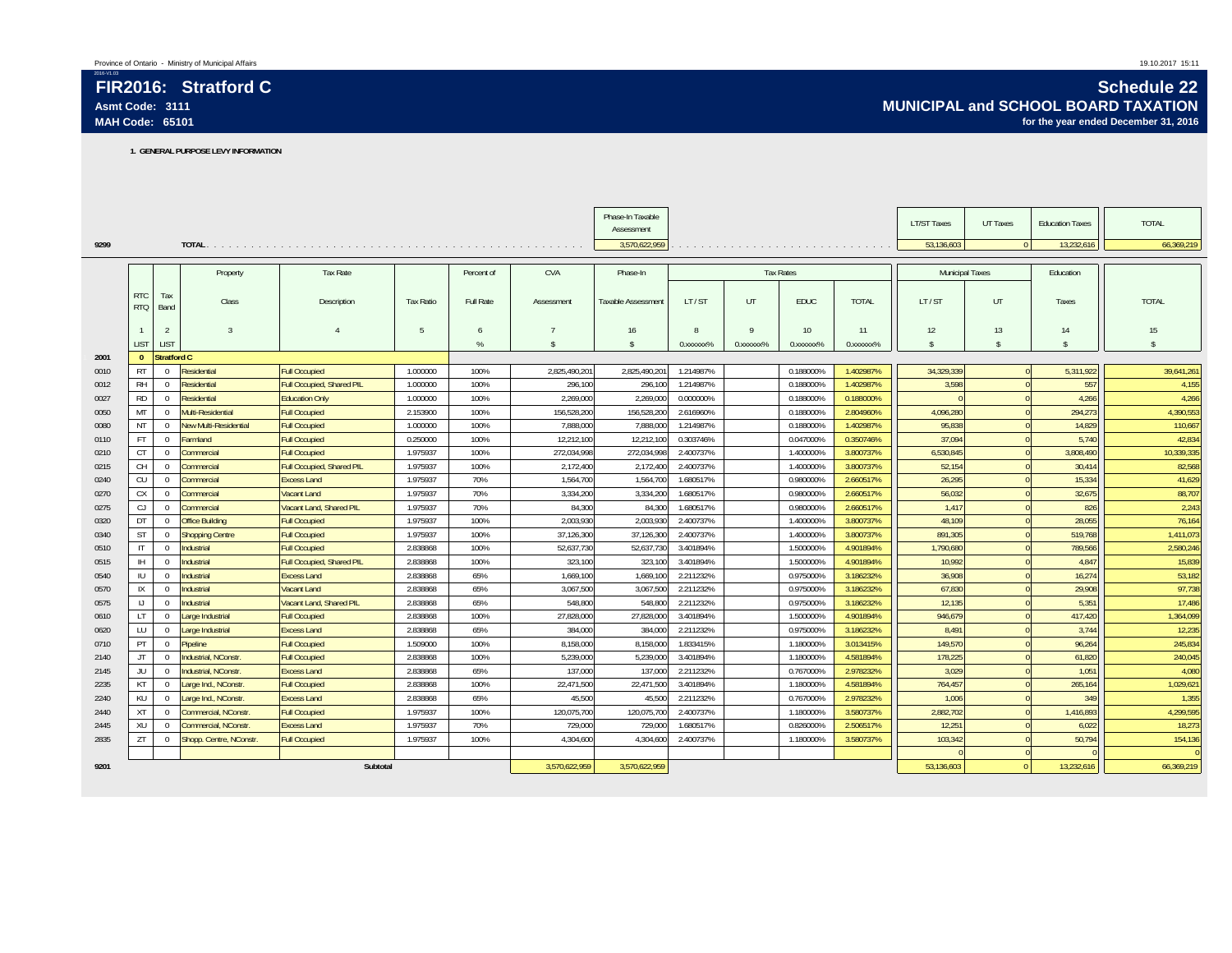**FIR2016: Stratford CAsmt Code: 3111MAH Code: 65101**

#### **Schedule 22 MUNICIPAL and SCHOOL BOARD TAXATION for the year ended December 31, 2016**

**1. GENERAL PURPOSE LEVY INFORMATION**

|      |                |                    |                              |                           |                  |               |                    | Phase-In Taxable<br>Assessment |               |              |                  |                        | <b>LT/ST Taxes</b>     | UT Taxes           | <b>Education Taxes</b> | <b>TOTAL</b>       |
|------|----------------|--------------------|------------------------------|---------------------------|------------------|---------------|--------------------|--------------------------------|---------------|--------------|------------------|------------------------|------------------------|--------------------|------------------------|--------------------|
|      |                |                    |                              |                           |                  |               |                    |                                |               |              |                  |                        |                        |                    |                        |                    |
| 9299 |                |                    |                              |                           |                  |               |                    | 3.570.622.959                  |               |              |                  |                        | 53.136.603             | $\Omega$           | 13.232.616             | 66.369.219         |
|      |                |                    |                              |                           |                  |               |                    |                                |               |              |                  |                        |                        |                    |                        |                    |
|      |                |                    | Property                     | Tax Rate                  |                  | Percent of    | CVA                | Phase-In                       |               |              | <b>Tax Rates</b> |                        | <b>Municipal Taxes</b> |                    | Education              |                    |
|      | <b>RTC</b>     | Tax                |                              |                           |                  |               |                    |                                |               |              |                  |                        |                        |                    |                        |                    |
|      | <b>RTQ</b>     | Band               | <b>Class</b>                 | Description               | <b>Tax Ratio</b> | Full Rate     | Assessment         | Taxable Assessment             | LT/ST         | UT           | <b>EDUC</b>      | <b>TOTAL</b>           | LT/ST                  | UT                 | Taxes                  | <b>TOTAL</b>       |
|      |                |                    |                              |                           |                  |               |                    |                                |               |              |                  |                        |                        |                    |                        |                    |
|      |                | $\overline{2}$     | -3                           |                           | 5                | 6             | $\overline{7}$     | 16                             | $\mathcal{R}$ | $\mathsf{Q}$ | 10               | 11                     | 12                     | 13                 | 14                     | 15                 |
|      | <b>LIST</b>    | LIST               |                              |                           |                  | $\frac{Q}{D}$ | $\hat{\mathbf{x}}$ | $\mathbf{\hat{S}}$             | 0.xxxxxx%     | 0.xxxxxx%    | $0.$ xxxxxx%     | 0. XXXXXX <sup>9</sup> | $\mathbf{\hat{S}}$     | $\hat{\mathbf{x}}$ | $\hat{\mathbf{x}}$     | $\hat{\mathbf{S}}$ |
| 2001 | $\overline{0}$ | <b>Stratford C</b> |                              |                           |                  |               |                    |                                |               |              |                  |                        |                        |                    |                        |                    |
| 0010 | RT             | $\mathbf{0}$       | Residential                  | <b>Full Occupied</b>      | 1.000000         | 100%          | 2,825,490,201      | 2,825,490,201                  | 1.214987%     |              | 0.188000%        | 1.402987%              | 34,329,339             |                    | 5,311,922              | 39,641,261         |
| 0012 | <b>RH</b>      | $\mathbf{0}$       | Residential                  | Full Occupied, Shared PIL | 1.000000         | 100%          | 296,100            | 296,100                        | 1.214987%     |              | 0.188000%        | 1.402987%              | 3.598                  |                    | 557                    | 4,155              |
| 0027 | <b>RD</b>      | $\mathbf{0}$       | Residential                  | <b>Education Only</b>     | 1.000000         | 100%          | 2.269.000          | 2,269,000                      | 0.000000%     |              | 0.188000%        | 0.188000%              |                        |                    | 4,266                  | 4,266              |
| 0050 | MT             | $\mathbf{0}$       | Multi-Residential            | <b>Full Occupied</b>      | 2.153900         | 100%          | 156.528.200        | 156,528,200                    | 2.616960%     |              | 0.188000%        | 2.804960%              | 4.096.280              |                    | 294.273                | 4,390,553          |
| 0080 | NT             | $\mathbf{0}$       | <b>New Multi-Residential</b> | <b>Full Occupied</b>      | 1.000000         | 100%          | 7,888,000          | 7,888,000                      | 1.214987%     |              | 0.188000%        | 1.402987%              | 95,838                 |                    | 14,829                 | 110,667            |
| 0110 | <b>FT</b>      | $\mathbf{0}$       | Farmland                     | <b>Full Occupied</b>      | 0.250000         | 100%          | 12,212,100         | 12,212,100                     | 0.303746%     |              | 0.047000%        | 0.350746%              | 37,094                 |                    | 5.740                  | 42,834             |
| 0210 | <b>CT</b>      | $\overline{0}$     | Commercial                   | <b>Full Occupied</b>      | 1.975937         | 100%          | 272.034.998        | 272.034.998                    | 2.400737%     |              | 1.400000%        | 3.800737%              | 6,530,845              |                    | 3,808,490              | 10,339,335         |
| 0215 | CH             | $\mathbf{0}$       | Commercial                   | Full Occupied, Shared PIL | 1.975937         | 100%          | 2,172,400          | 2,172,400                      | 2.400737%     |              | 1.400000%        | 3.800737%              | 52,154                 |                    | 30,414                 | 82,568             |
| 0240 | CU             | $\mathbf{0}$       | Commercial                   | <b>Excess Land</b>        | 1.975937         | 70%           | 1,564,700          | 1,564,700                      | 1.680517%     |              | 0.980000%        | 2.660517%              | 26,295                 |                    | 15,334                 | 41,629             |
| 0270 | CX             | $\mathbf{0}$       | Commercial                   | <b>Vacant Land</b>        | 1.975937         | 70%           | 3,334,200          | 3,334,200                      | 1.680517%     |              | 0.980000%        | 2.660517%              | 56,032                 |                    | 32,675                 | 88,707             |
| 0275 | CJ             | $\mathbf{0}$       | Commercial                   | Vacant Land, Shared PIL   | 1.975937         | 70%           | 84.300             | 84.300                         | 1.680517%     |              | 0.980000%        | 2.660517%              | 1.417                  |                    | 826                    | 2,243              |
| 0320 | DT             | $\mathbf 0$        | <b>Office Building</b>       | <b>Full Occupied</b>      | 1.975937         | 100%          | 2,003,930          | 2,003,930                      | 2.400737%     |              | 1.400000%        | 3.800737%              | 48,109                 |                    | 28,055                 | 76,164             |
| 0340 | <b>ST</b>      | $\mathbf{0}$       | <b>Shopping Centre</b>       | <b>Full Occupied</b>      | 1.975937         | 100%          | 37,126,300         | 37,126,300                     | 2.400737%     |              | 1.400000%        | 3.800737%              | 891,305                |                    | 519,768                | 1,411,073          |
| 0510 | $\mathsf{I}$   | $\mathbf{0}$       | Industrial                   | <b>Full Occupied</b>      | 2.838868         | 100%          | 52,637,730         | 52,637,730                     | 3.401894%     |              | 1.500000%        | 4.901894%              | 1,790,680              |                    | 789,566                | 2,580,246          |
| 0515 | <b>IH</b>      | $\mathbf{0}$       | Industrial                   | Full Occupied, Shared PIL | 2.838868         | 100%          | 323.100            | 323.100                        | 3.401894%     |              | 1.500000%        | 4.901894%              | 10.992                 |                    | 4.847                  | 15,839             |
| 0540 | IU             | $\overline{0}$     | Industrial                   | <b>Excess Land</b>        | 2.838868         | 65%           | 1,669,100          | 1,669,100                      | 2.211232%     |              | 0.975000%        | 3.186232%              | 36,908                 |                    | 16,274                 | 53,182             |
| 0570 | IX             | $\mathbf{0}$       | Industrial                   | Vacant Land               | 2.838868         | 65%           | 3.067.500          | 3,067,500                      | 2.211232%     |              | 0.975000%        | 3.186232%              | 67.830                 |                    | 29,908                 | 97,738             |
| 0575 | U              | $\mathbf{0}$       | Industrial                   | Vacant Land, Shared PIL   | 2.838868         | 65%           | 548.800            | 548.800                        | 2.211232%     |              | 0.975000%        | 3.186232%              | 12.135                 |                    | 5.351                  | 17,486             |
| 0610 | LT             | $\mathbf 0$        | Large Industrial             | <b>Full Occupied</b>      | 2.838868         | 100%          | 27,828,000         | 27,828,000                     | 3.401894%     |              | 1.500000%        | 4.901894%              | 946,679                |                    | 417,420                | 1,364,099          |
| 0620 | LU             | $\mathbf 0$        | Large Industrial             | <b>Excess Land</b>        | 2.838868         | 65%           | 384,000            | 384,000                        | 2.211232%     |              | 0.975000%        | 3.186232%              | 8.491                  |                    | 3.744                  | 12,235             |
| 0710 | PT             | $\mathbf 0$        | Pipeline                     | <b>Full Occupied</b>      | 1.509000         | 100%          | 8.158.000          | 8.158.000                      | 1.833415%     |              | 1.180000%        | 3.013415%              | 149,570                |                    | 96.264                 | 245,834            |
| 2140 | JT             | $\Omega$           | Industrial, NConstr.         | <b>Full Occupied</b>      | 2.838868         | 100%          | 5.239.000          | 5.239.000                      | 3.401894%     |              | 1.180000%        | 4.581894%              | 178,225                |                    | 61.820                 | 240,045            |
| 2145 | JU             | $\mathbf{0}$       | Industrial, NConstr.         | <b>Excess Land</b>        | 2.838868         | 65%           | 137,000            | 137,000                        | 2.211232%     |              | 0.767000%        | 2.978232%              | 3,029                  |                    | 1,051                  | 4,080              |
| 2235 | KT             | $\overline{0}$     | Large Ind., NConstr.         | <b>Full Occupied</b>      | 2.838868         | 100%          | 22,471,500         | 22,471,500                     | 3.401894%     |              | 1.180000%        | 4.581894%              | 764,457                |                    | 265,164                | 1,029,621          |
| 2240 | KU             | $\mathbf{0}$       | Large Ind., NConstr.         | <b>Excess Land</b>        | 2.838868         | 65%           | 45.500             | 45.500                         | 2.211232%     |              | 0.767000%        | 2.978232%              | 1.006                  |                    | 349                    | 1,355              |
| 2440 | XT             | $\mathbf{0}$       | <b>Commercial, NConstr</b>   | <b>Full Occupied</b>      | 1.975937         | 100%          | 120.075.700        | 120.075.700                    | 2.400737%     |              | 1.180000%        | 3.580737%              | 2.882.702              |                    | 1.416.893              | 4.299.595          |
| 2445 | XU             | $\mathbf{0}$       | Commercial, NConstr          | <b>Excess Land</b>        | 1.975937         | 70%           | 729,000            | 729,000                        | 1.680517%     |              | 0.826000%        | 2.506517%              | 12,25'                 |                    | 6,022                  | 18,273             |
| 2835 | ZT             | $\mathbf 0$        | Shopp. Centre, NConstr       | <b>Full Occupied</b>      | 1.975937         | 100%          | 4.304.600          | 4,304,600                      | 2.400737%     |              | 1.180000%        | 3.580737%              | 103,342                |                    | 50,794                 | 154,136            |
|      |                |                    |                              |                           |                  |               |                    |                                |               |              |                  |                        |                        |                    |                        |                    |
| 9201 |                |                    |                              | Subtotal                  |                  |               | 3,570,622,959      | 3,570,622,959                  |               |              |                  |                        | 53,136,603             |                    | 13,232,616             | 66,369,219         |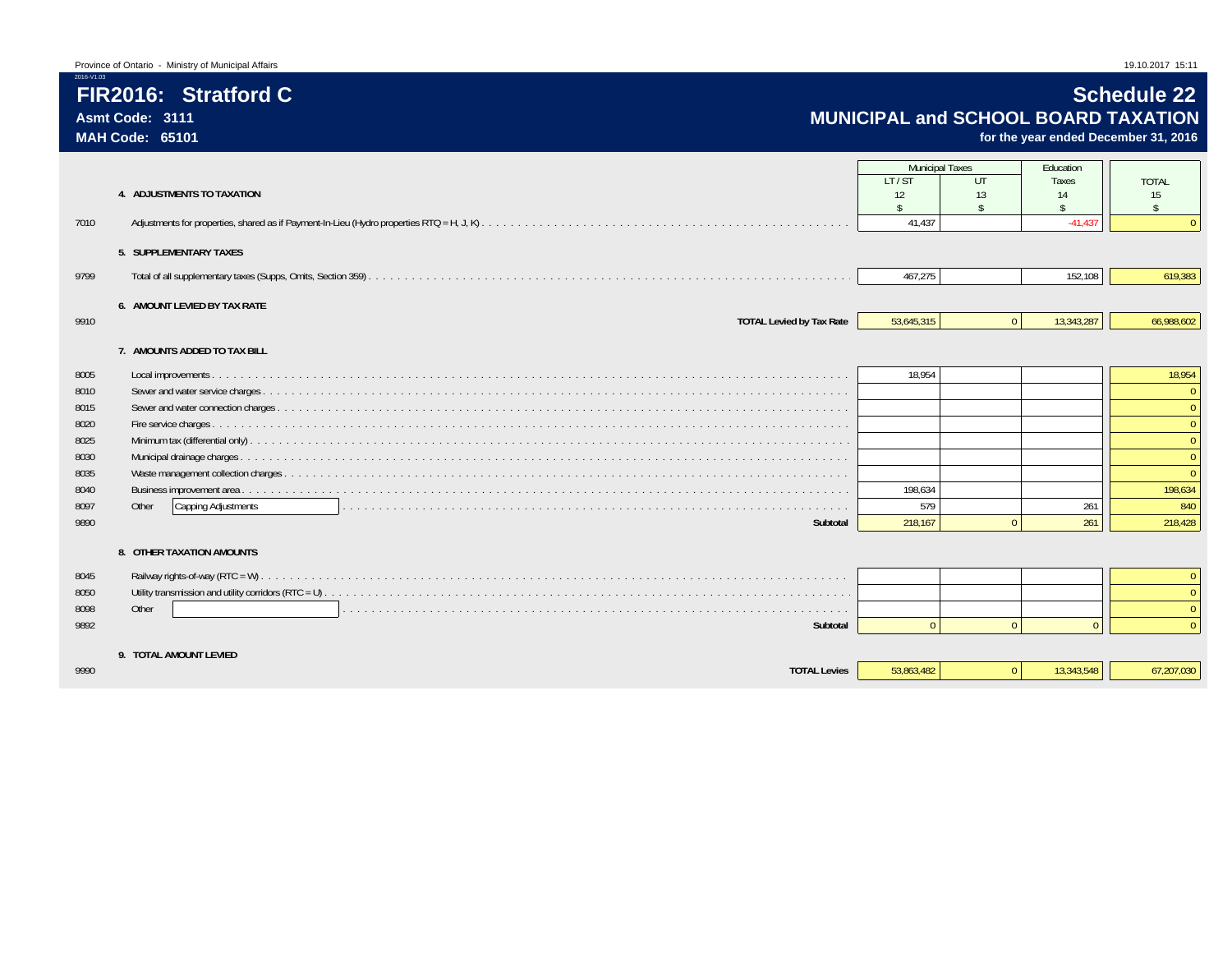## **Schedule 22 MUNICIPAL and SCHOOL BOARD TAXATION**

|                                 |                              |                    | Education              |               |
|---------------------------------|------------------------------|--------------------|------------------------|---------------|
|                                 | LT/ST                        | UT                 | Taxes                  | <b>TOTAL</b>  |
| 4. ADJUSTMENTS TO TAXATION      | 12                           | 13                 | 14                     | 15            |
|                                 | $\hat{\mathbf{S}}$           | $\mathbf{\hat{S}}$ | ¢                      | $\mathsf{\$}$ |
|                                 |                              |                    |                        |               |
| 5. SUPPLEMENTARY TAXES          |                              |                    |                        |               |
|                                 | 467,275                      |                    | 152,108                | 619,383       |
| 6. AMOUNT LEVIED BY TAX RATE    |                              |                    |                        |               |
| <b>TOTAL Levied by Tax Rate</b> | 53,645,315                   | $\overline{0}$     | 13,343,287             | 66,988,602    |
|                                 |                              |                    |                        |               |
|                                 |                              |                    |                        |               |
|                                 |                              |                    |                        | 18,954        |
|                                 |                              |                    |                        |               |
|                                 |                              |                    |                        |               |
|                                 |                              |                    |                        |               |
|                                 |                              |                    |                        |               |
|                                 |                              |                    |                        |               |
|                                 |                              |                    |                        |               |
|                                 | 198,634                      |                    |                        | 198,634       |
| Capping Adjustments<br>Other    | 579                          |                    | 261                    | 840           |
| Subtotal                        | 218,167                      | $\Omega$           | 261                    | 218,428       |
| 8. OTHER TAXATION AMOUNTS       |                              |                    |                        |               |
|                                 |                              |                    |                        |               |
|                                 |                              |                    |                        |               |
| Other                           |                              |                    |                        |               |
|                                 |                              |                    | $\Omega$               | $\Omega$      |
| Subtotal                        |                              | $\Omega$           |                        |               |
| 9. TOTAL AMOUNT LEVIED          |                              |                    |                        |               |
|                                 | 7. AMOUNTS ADDED TO TAX BILL | 41.437<br>18,954   | <b>Municipal Taxes</b> | $-41.437$     |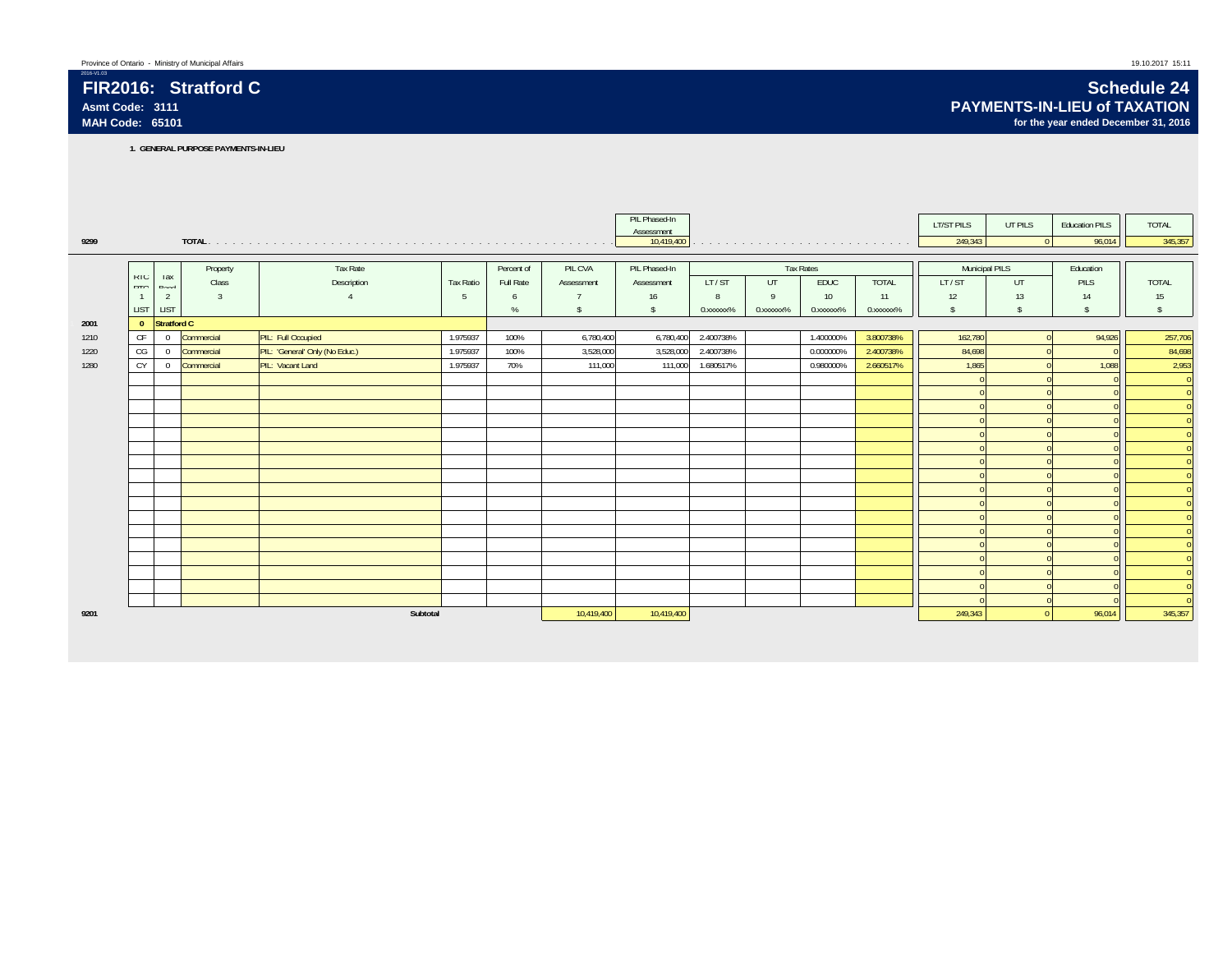#### **FIR2016: Stratford CAsmt Code: 3111MAH Code: 65101**

## **Schedule 24 PAYMENTS-IN-LIEU of TAXATION**

**for the year ended December 31, 2016**

**1. GENERAL PURPOSE PAYMENTS-IN-LIEU**

|      |                |                     |               |                                |                  |            |                    | PIL Phased-In<br>Assessment |           |              |                  |                                                                                                                                                                                                                                | LT/ST PILS         | UT PILS            | <b>Education PILS</b> | <b>TOTAL</b>   |
|------|----------------|---------------------|---------------|--------------------------------|------------------|------------|--------------------|-----------------------------|-----------|--------------|------------------|--------------------------------------------------------------------------------------------------------------------------------------------------------------------------------------------------------------------------------|--------------------|--------------------|-----------------------|----------------|
| 9299 |                |                     |               |                                |                  |            |                    | 10,419,400                  |           |              |                  | the contract of the contract of the contract of the contract of the contract of the contract of the contract of the contract of the contract of the contract of the contract of the contract of the contract of the contract o | 249,343            | $\Omega$           | 96.014                | 345,357        |
|      |                |                     |               |                                |                  |            |                    |                             |           |              |                  |                                                                                                                                                                                                                                |                    |                    |                       |                |
|      |                |                     | Property      | Tax Rate                       |                  | Percent of | PIL CVA            | PIL Phased-In               |           |              | <b>Tax Rates</b> |                                                                                                                                                                                                                                | Municipal PILS     |                    | Education             |                |
|      | KIU<br>DTO     | <b>I</b> dX<br>Rond | Class         | Description                    | <b>Tax Ratio</b> | Full Rate  | Assessment         | Assessment                  | LT/ST     | UT           | <b>EDUC</b>      | <b>TOTAL</b>                                                                                                                                                                                                                   | LT/ST              | UT                 | PILS                  | <b>TOTAL</b>   |
|      | $\overline{1}$ | $\overline{2}$      | $\mathcal{R}$ |                                | -5               | 6          |                    | 16                          | 8         | $\mathsf{q}$ | 10 <sup>10</sup> | 11                                                                                                                                                                                                                             | 12                 | 13                 | 14                    | 15             |
|      | <b>LIST</b>    | LIST                |               |                                |                  | $\%$       | $\mathbf{\hat{s}}$ | s.                          | 0.xxxxxx% | 0.xxxxxx%    | 0.xxxxxx%        | 0. XXXXXX <sup>%</sup>                                                                                                                                                                                                         | $\mathbf{\hat{s}}$ | $\hat{\mathbf{S}}$ | $\mathsf{s}$          | \$             |
| 2001 | $\mathbf{0}$   | Stratford C         |               |                                |                  |            |                    |                             |           |              |                  |                                                                                                                                                                                                                                |                    |                    |                       |                |
| 1210 | CF             | $\overline{0}$      | Commercial    | PIL: Full Occupied             | 1.975937         | 100%       | 6,780,400          | 6,780,400                   | 2.400738% |              | 1.400000%        | 3.800738%                                                                                                                                                                                                                      | 162,780            |                    | 94,926                | 257,706        |
| 1220 | CG             | $\overline{0}$      | Commercial    | PIL: 'General' Only (No Educ.) | 1.975937         | 100%       | 3,528,000          | 3,528,000                   | 2.400738% |              | 0.000000%        | 2.400738%                                                                                                                                                                                                                      | 84,698             |                    |                       | 84,698         |
| 1280 | CY             | $\overline{0}$      | Commercial    | <b>PIL:</b> Vacant Land        | 1.975937         | 70%        | 111,000            | 111,000                     | 1.680517% |              | 0.980000%        | 2.660517%                                                                                                                                                                                                                      | 1,865              |                    | 1,088                 | 2,953          |
|      |                |                     |               |                                |                  |            |                    |                             |           |              |                  |                                                                                                                                                                                                                                |                    |                    |                       | $\overline{0}$ |
|      |                |                     |               |                                |                  |            |                    |                             |           |              |                  |                                                                                                                                                                                                                                |                    |                    |                       | $\overline{0}$ |
|      |                |                     |               |                                |                  |            |                    |                             |           |              |                  |                                                                                                                                                                                                                                |                    |                    |                       | $\overline{0}$ |
|      |                |                     |               |                                |                  |            |                    |                             |           |              |                  |                                                                                                                                                                                                                                |                    |                    |                       | $\overline{0}$ |
|      |                |                     |               |                                |                  |            |                    |                             |           |              |                  |                                                                                                                                                                                                                                |                    |                    |                       |                |
|      |                |                     |               |                                |                  |            |                    |                             |           |              |                  |                                                                                                                                                                                                                                |                    |                    |                       |                |
|      |                |                     |               |                                |                  |            |                    |                             |           |              |                  |                                                                                                                                                                                                                                |                    |                    |                       | $\Omega$       |
|      |                |                     |               |                                |                  |            |                    |                             |           |              |                  |                                                                                                                                                                                                                                |                    |                    |                       | $\Omega$       |
|      |                |                     |               |                                |                  |            |                    |                             |           |              |                  |                                                                                                                                                                                                                                |                    |                    |                       | $\overline{0}$ |
|      |                |                     |               |                                |                  |            |                    |                             |           |              |                  |                                                                                                                                                                                                                                |                    |                    |                       | $\Omega$       |
|      |                |                     |               |                                |                  |            |                    |                             |           |              |                  |                                                                                                                                                                                                                                |                    |                    |                       | $\overline{0}$ |
|      |                |                     |               |                                |                  |            |                    |                             |           |              |                  |                                                                                                                                                                                                                                |                    |                    |                       | $\Omega$       |
|      |                |                     |               |                                |                  |            |                    |                             |           |              |                  |                                                                                                                                                                                                                                |                    |                    |                       | $\overline{0}$ |
|      |                |                     |               |                                |                  |            |                    |                             |           |              |                  |                                                                                                                                                                                                                                |                    |                    |                       | $\overline{0}$ |
|      |                |                     |               |                                |                  |            |                    |                             |           |              |                  |                                                                                                                                                                                                                                |                    |                    |                       | $\Omega$       |
|      |                |                     |               |                                |                  |            |                    |                             |           |              |                  |                                                                                                                                                                                                                                |                    |                    |                       | $\Omega$       |
|      |                |                     |               |                                |                  |            |                    |                             |           |              |                  |                                                                                                                                                                                                                                |                    |                    |                       | $\Omega$       |
| 9201 |                |                     |               | Subtotal                       |                  |            | 10,419,400         | 10,419,400                  |           |              |                  |                                                                                                                                                                                                                                | 249,343            |                    | 96,014                | 345,357        |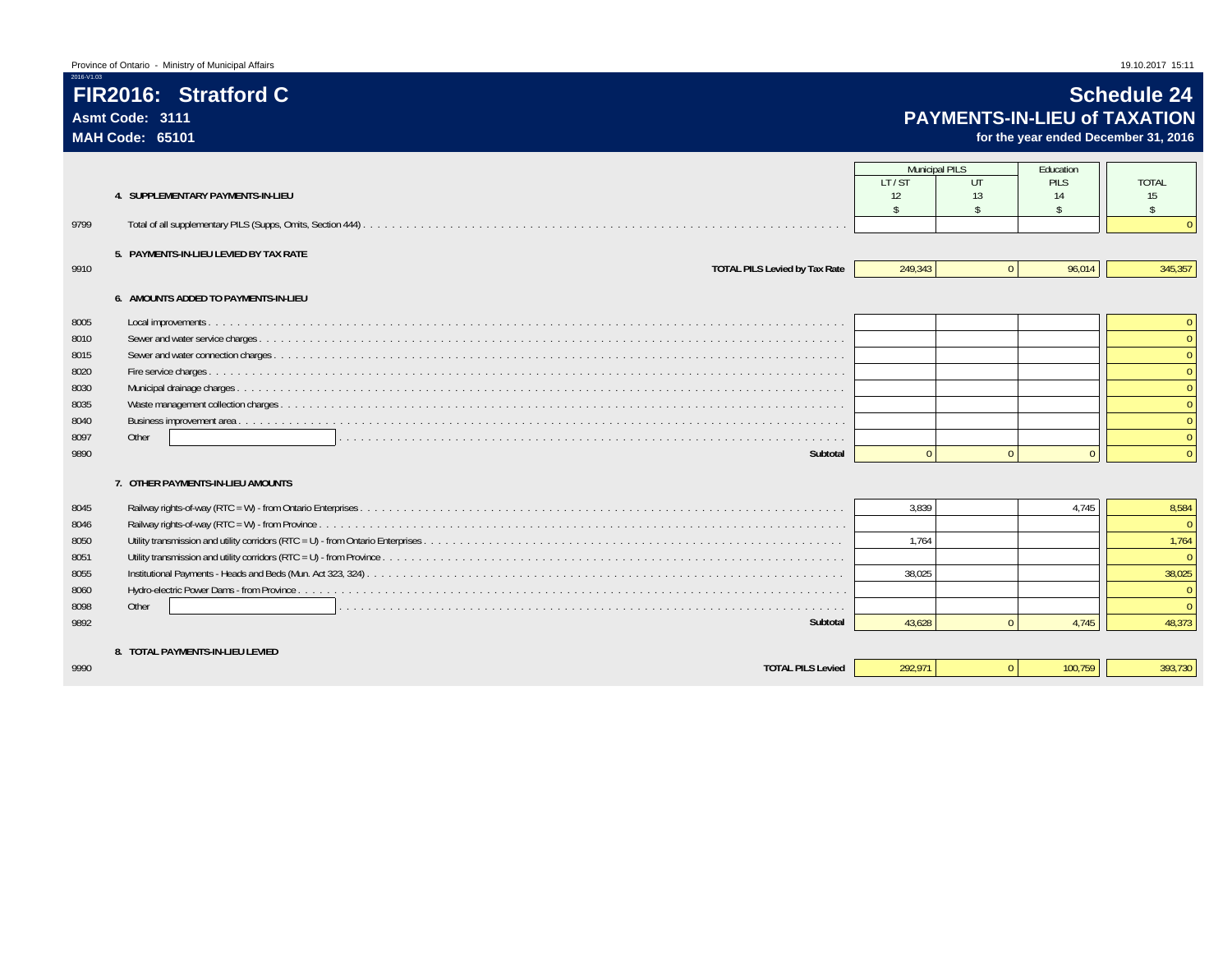**FIR2016: Stratford C**

**Asmt Code: 3111MAH Code: 65101**

2016-V1.03

## **Schedule 24 PAYMENTS-IN-LIEU of TAXATION**

|      |                                        | <b>Municipal PILS</b><br>LT/ST | UT                 | Education<br><b>PILS</b> | <b>TOTAL</b> |
|------|----------------------------------------|--------------------------------|--------------------|--------------------------|--------------|
|      | 4. SUPPLEMENTARY PAYMENTS-IN-LIEU      | 12                             | 13                 | 14                       | 15           |
|      |                                        | $\mathbf{\hat{S}}$             | $\mathbf{\hat{S}}$ | $\mathbf{\hat{S}}$       | $\mathbb{S}$ |
| 9799 |                                        |                                |                    |                          |              |
|      | 5. PAYMENTS-IN-LIEU LEVIED BY TAX RATE |                                |                    |                          |              |
| 9910 | <b>TOTAL PILS Levied by Tax Rate</b>   | 249,343                        | $\Omega$           | 96,014                   | 345,357      |
|      | 6. AMOUNTS ADDED TO PAYMENTS-IN-LIEU   |                                |                    |                          |              |
| 8005 |                                        |                                |                    |                          |              |
| 8010 |                                        |                                |                    |                          |              |
| 8015 |                                        |                                |                    |                          |              |
| 8020 |                                        |                                |                    |                          |              |
| 8030 |                                        |                                |                    |                          |              |
| 8035 |                                        |                                |                    |                          |              |
| 8040 |                                        |                                |                    |                          |              |
| 8097 | Other                                  |                                |                    |                          |              |
| 9890 | Subtotal                               | $\Omega$                       | $\Omega$           | $\Omega$                 |              |
|      | 7. OTHER PAYMENTS-IN-LIEU AMOUNTS      |                                |                    |                          |              |
| 8045 |                                        | 3.839                          |                    | 4.745                    | 8,584        |
| 8046 |                                        |                                |                    |                          |              |
| 8050 |                                        | 1.764                          |                    |                          | 1,764        |
| 8051 |                                        |                                |                    |                          |              |
| 8055 |                                        | 38.025                         |                    |                          | 38.025       |
| 8060 |                                        |                                |                    |                          |              |
| 8098 | Other                                  |                                |                    |                          |              |
| 9892 | Subtotal                               | 43.628                         | $\mathbf{0}$       | 4.745                    | 48,373       |
|      | 8. TOTAL PAYMENTS-IN-LIEU LEVIED       |                                |                    |                          |              |
| 9990 | <b>TOTAL PILS Levied</b>               | 292.971                        | $\Omega$           | 100.759                  | 393,730      |
|      |                                        |                                |                    |                          |              |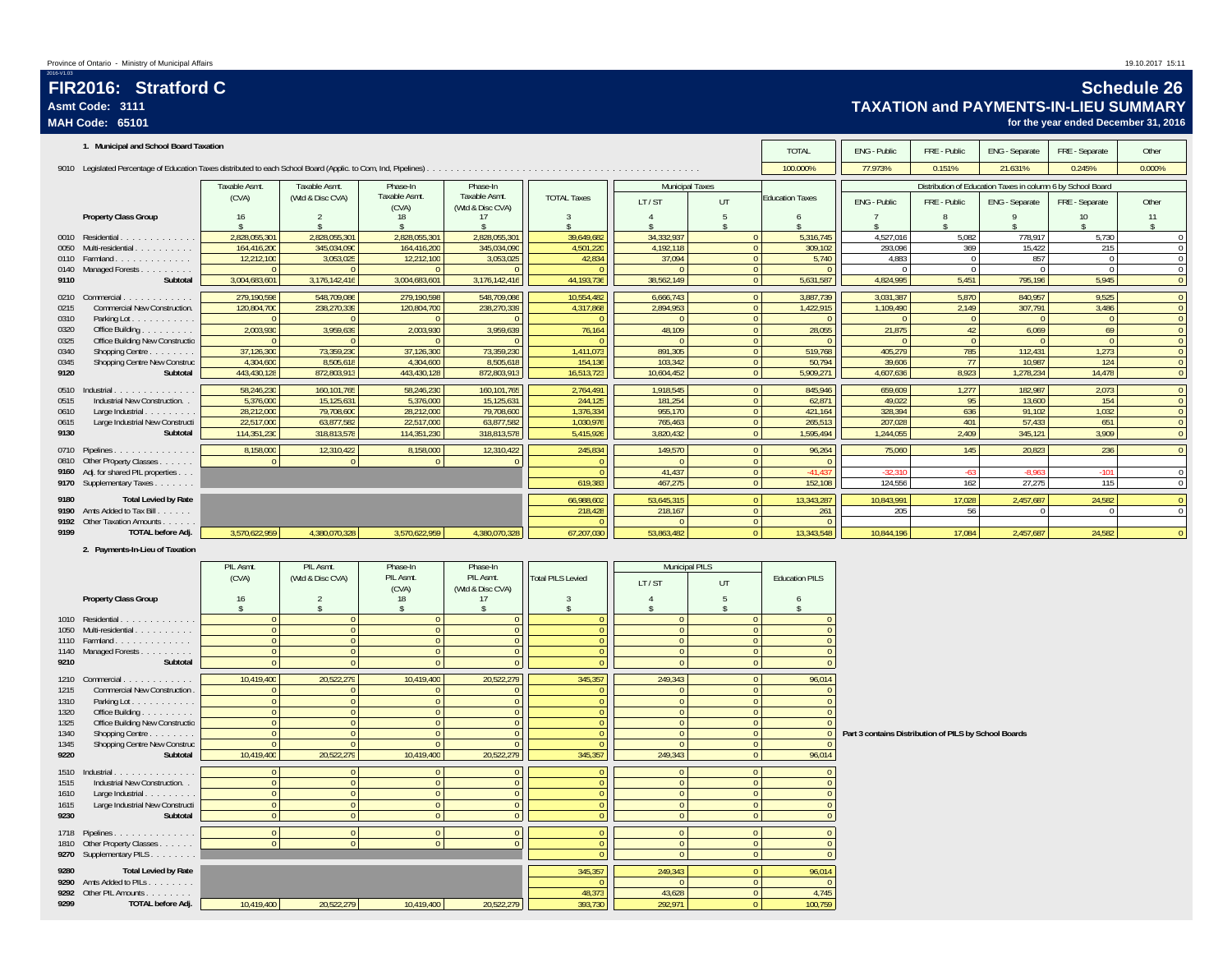#### **FIR2016: Stratford CAsmt Code: 3111**

#### **MAH Code: 65101**

2016-V1.03

#### **Schedule 26 TAXATION and PAYMENTS-IN-LIEU SUMMARYfor the year ended December 31, 2016**

|      | 1. Municipal and School Board Taxation |                                                                                         |               | <b>TOTAL</b>  | ENG - Public  | FRE - Public                                                                                                                                                                                                                                                                                                                                                                                                                                   | ENG - Separate | FRE - Separate | Other                  |                                                             |              |                |                |          |
|------|----------------------------------------|-----------------------------------------------------------------------------------------|---------------|---------------|---------------|------------------------------------------------------------------------------------------------------------------------------------------------------------------------------------------------------------------------------------------------------------------------------------------------------------------------------------------------------------------------------------------------------------------------------------------------|----------------|----------------|------------------------|-------------------------------------------------------------|--------------|----------------|----------------|----------|
|      |                                        |                                                                                         |               |               |               |                                                                                                                                                                                                                                                                                                                                                                                                                                                |                |                | 100.000%               | 77.973%                                                     | 0.151%       | 21.631%        | 0.245%         | 0.000%   |
|      |                                        | Taxable Asmt.                                                                           | Taxable Asmt. | Phase-In      | Phase-In      | <b>Municipal Taxes</b><br><b>TOTAL Taxes</b><br>LT/ST<br>UT<br>34.332.937<br>39.649.682<br>4.501.220<br>4,192,118<br>42.834<br>37.094<br>44,193,736<br>38.562.149<br>10.554.482<br>6.666.743<br>4,317,868<br>2,894,953<br>76,164<br>48.109<br>1,411,073<br>891,305<br>154,136<br>103,342<br>16,513,723<br>10,604,452<br>2,764,491<br>1,918,545<br>244,125<br>181.254<br>1,376,334<br>955,170<br>765.463<br>1,030,976<br>3.820.432<br>5,415,926 |                |                |                        | Distribution of Education Taxes in column 6 by School Board |              |                |                |          |
|      |                                        | Taxable Asmt.<br>Taxable Asmt<br>(CVA)<br>(Wtd & Disc CVA)<br>(CVA)<br>(Wtd & Disc CVA) |               |               |               |                                                                                                                                                                                                                                                                                                                                                                                                                                                |                |                | <b>Education Taxes</b> | ENG - Public                                                | FRE - Public | ENG - Separate | FRE - Separate | Other    |
|      | <b>Property Class Group</b>            | 16                                                                                      |               |               |               |                                                                                                                                                                                                                                                                                                                                                                                                                                                |                |                |                        |                                                             |              |                | 10             | 11       |
|      |                                        |                                                                                         |               |               |               |                                                                                                                                                                                                                                                                                                                                                                                                                                                |                |                |                        |                                                             |              |                |                |          |
|      | 0010 Residential<br>.                  | 2.828.055.301                                                                           | 2.828.055.301 | 2.828.055.301 | 2.828.055.301 |                                                                                                                                                                                                                                                                                                                                                                                                                                                |                | $\Omega$       | 5.316.745              | 4.527.016                                                   | 5.082        | 778.917        | 5.730          |          |
| 0050 | Multi-residential                      | 164.416.200                                                                             | 345.034.090   | 164.416.200   | 345.034.090   |                                                                                                                                                                                                                                                                                                                                                                                                                                                |                | $\Omega$       | 309,102                | 293,096                                                     | 369          | 15,422         | 215            |          |
|      | 0110 Farmland<br>.                     | 12,212,100                                                                              | 3.053.025     | 12,212,100    | 3,053,025     |                                                                                                                                                                                                                                                                                                                                                                                                                                                |                | $\Omega$       | 5.740                  | 4.883                                                       |              | 857            |                |          |
| 0140 | Managed Forests                        |                                                                                         |               |               |               |                                                                                                                                                                                                                                                                                                                                                                                                                                                |                | $\Omega$       |                        |                                                             |              |                |                | $\Omega$ |
| 9110 | Subtotal                               | 3.004.683.601                                                                           | 3,176,142,416 | 3,004,683,601 | 3,176,142,416 |                                                                                                                                                                                                                                                                                                                                                                                                                                                |                | $\Omega$       | 5,631,587              | 4.824.995                                                   | 5,451        | 795.196        | 5,945          |          |
|      | 0210 Commercial<br>.                   | 279.190.598                                                                             | 548.709.086   | 279.190.598   | 548.709.086   |                                                                                                                                                                                                                                                                                                                                                                                                                                                |                | $\Omega$       | 3.887.739              | 3.031.387                                                   | 5.870        | 840.957        | 9.525          |          |
| 0215 | Commercial New Construction.           | 120,804,700                                                                             | 238,270,339   | 120,804,700   | 238,270,339   |                                                                                                                                                                                                                                                                                                                                                                                                                                                |                | $\Omega$       | 1,422,915              | 1,109,490                                                   | 2,149        | 307.791        | 3,486          |          |
| 0310 | Parking Lot.                           |                                                                                         |               |               |               |                                                                                                                                                                                                                                                                                                                                                                                                                                                |                | $\Omega$       |                        |                                                             |              |                |                |          |
| 0320 | Office Building                        | 2.003.930                                                                               | 3,959,639     | 2,003,930     | 3,959,639     |                                                                                                                                                                                                                                                                                                                                                                                                                                                |                | $\Omega$       | 28.055                 | 21.875                                                      | 42           | 6.069          | 69             |          |
| 0325 | Office Building New Constructio        |                                                                                         |               |               |               |                                                                                                                                                                                                                                                                                                                                                                                                                                                |                | $\Omega$       |                        |                                                             |              |                |                |          |
| 0340 | Shopping Centre                        | 37,126,300                                                                              | 73,359,230    | 37,126,300    | 73,359,230    |                                                                                                                                                                                                                                                                                                                                                                                                                                                |                | $\Omega$       | 519,768                | 405,279                                                     | 785          | 112,431        | 1,273          |          |
| 0345 | Shopping Centre New Construc           | 4,304,600                                                                               | 8,505,618     | 4.304.600     | 8,505,618     |                                                                                                                                                                                                                                                                                                                                                                                                                                                |                | $\Omega$       | 50.794                 | 39.606                                                      | 77           | 10.987         | 124            |          |
| 9120 | Subtotal                               | 443,430,128                                                                             | 872,803,913   | 443,430,128   | 872,803,913   |                                                                                                                                                                                                                                                                                                                                                                                                                                                |                | $\Omega$       | 5,909,271              | 4,607,636                                                   | 8,923        | 1,278,234      | 14,478         |          |
| 0510 | Industrial                             | 58.246.230                                                                              | 160,101,765   | 58.246.230    | 160,101,765   |                                                                                                                                                                                                                                                                                                                                                                                                                                                |                | $\Omega$       | 845,946                | 659,609                                                     | 1,277        | 182.987        | 2,073          |          |
| 0515 | Industrial New Construction.           | 5.376.000                                                                               | 15,125,631    | 5.376.000     | 15,125,631    |                                                                                                                                                                                                                                                                                                                                                                                                                                                |                | $\Omega$       | 62.871                 | 49.022                                                      | 95           | 13.600         | 154            |          |
| 0610 | Large Industrial.                      | 28,212,000                                                                              | 79,708,600    | 28,212,000    | 79,708,600    |                                                                                                                                                                                                                                                                                                                                                                                                                                                |                | $\Omega$       | 421,164                | 328.394                                                     | 636          | 91,102         | 1,032          |          |
| 0615 | Large Industrial New Constructi        | 22.517.000                                                                              | 63.877.582    | 22.517.000    | 63,877,582    |                                                                                                                                                                                                                                                                                                                                                                                                                                                |                | $\Omega$       | 265.513                | 207.028                                                     | 401          | 57.433         | 651            |          |
| 9130 | Subtotal                               | 114.351.230                                                                             | 318.813.578   | 114.351.230   | 318,813,578   |                                                                                                                                                                                                                                                                                                                                                                                                                                                |                | $\Omega$       | 1.595.494              | 1.244.055                                                   | 2.409        | 345.121        | 3.909          |          |
|      | 0710 Pipelines                         | 8,158,000                                                                               | 12.310.422    | 8.158.000     | 12.310.422    | 245.834                                                                                                                                                                                                                                                                                                                                                                                                                                        | 149,570        | $\Omega$       | 96.264                 | 75.060                                                      | 145          | 20.823         | 236            |          |
|      | 0810 Other Property Classes            | $\mathbf{0}$                                                                            |               | $\Omega$      |               |                                                                                                                                                                                                                                                                                                                                                                                                                                                |                | $\Omega$       |                        |                                                             |              |                |                |          |
|      | 9160 Adj. for shared PIL properties    |                                                                                         |               |               |               |                                                                                                                                                                                                                                                                                                                                                                                                                                                | 41.437         | $\overline{0}$ | $-41.437$              | $-32.310$                                                   | $-63$        | $-8.963$       | $-101$         |          |
|      | 9170 Supplementary Taxes               |                                                                                         |               |               |               | 619.383                                                                                                                                                                                                                                                                                                                                                                                                                                        | 467.275        | $\Omega$       | 152,108                | 124,556                                                     | 162          | 27.275         | 115            |          |
| 9180 | <b>Total Levied by Rate</b>            |                                                                                         |               |               |               | 66,988,602                                                                                                                                                                                                                                                                                                                                                                                                                                     | 53.645.315     | $\Omega$       | 13,343,287             | 10.843.991                                                  | 17,028       | 2,457,687      | 24,582         |          |
|      | 9190 Amts Added to Tax Bill            |                                                                                         |               |               |               | 218,428                                                                                                                                                                                                                                                                                                                                                                                                                                        | 218,167        | $\Omega$       | 261                    | 205                                                         | 56           |                |                |          |
|      | 9192 Other Taxation Amounts.           |                                                                                         |               |               |               |                                                                                                                                                                                                                                                                                                                                                                                                                                                |                | $\Omega$       |                        |                                                             |              |                |                |          |
| 9199 | TOTAL before Adj.                      | 3,570,622,959                                                                           | 4.380.070.328 | 3.570.622.959 | 4,380,070,328 | 67,207,030                                                                                                                                                                                                                                                                                                                                                                                                                                     | 53.863.482     |                | 13.343.548             | 10.844.196                                                  | 17.084       | 2.457.687      | 24,582         |          |
|      |                                        |                                                                                         |               |               |               |                                                                                                                                                                                                                                                                                                                                                                                                                                                |                |                |                        |                                                             |              |                |                |          |

#### **2. Payments-In-Lieu of Taxation**

|      |                                    | PIL Asmt.            | PIL Asmt.            | Phase-In             | Phase-In                 |                          | <b>Municipal PILS</b>    |                      |                       |                                                       |
|------|------------------------------------|----------------------|----------------------|----------------------|--------------------------|--------------------------|--------------------------|----------------------|-----------------------|-------------------------------------------------------|
|      |                                    | (CVA)                | (Wtd & Disc CVA)     | PIL Asmt.            | PIL Asmt.                | <b>Total PILS Levied</b> | LT/ST                    | UT                   | <b>Education PILS</b> |                                                       |
|      |                                    |                      |                      | (CVA)                | (Wtd & Disc CVA)         |                          |                          |                      |                       |                                                       |
|      | Property Class Group               | 16                   |                      | 18                   |                          |                          |                          |                      |                       |                                                       |
|      |                                    |                      |                      |                      |                          |                          |                          |                      |                       |                                                       |
|      | 1010 Residential                   |                      |                      |                      | $\Omega$                 |                          | $\Omega$                 | $\Omega$             |                       |                                                       |
|      | 1050 Multi-residential             | $\sqrt{ }$           |                      |                      |                          |                          | $\Omega$                 | $\Omega$             |                       |                                                       |
|      | 1110 Farmland                      | $\Omega$             | $\Omega$             |                      | $\overline{0}$           |                          | $\Omega$                 | $\Omega$             |                       |                                                       |
|      | 1140 Managed Forests               | $\Omega$             | $\Omega$<br>$\Omega$ |                      | $\mathbf{0}$<br>$\Omega$ | $\Omega$                 | $\Omega$                 | $\Omega$             |                       |                                                       |
| 9210 | Subtotal                           | $\Omega$             |                      |                      |                          | $\Omega$                 | $\Omega$                 | $\Omega$             |                       |                                                       |
|      | 1210 Commercial.<br>.              | 10,419,400           | 20,522,279           | 10,419,400           | 20,522,279               | 345,357                  | 249,343                  | $\Omega$             | 96,014                |                                                       |
| 1215 | <b>Commercial New Construction</b> |                      |                      |                      | $\Omega$                 |                          |                          | $\Omega$             |                       |                                                       |
| 1310 | Parking Lot.                       | $\Omega$             |                      |                      |                          |                          | $\Omega$                 | $\Omega$             |                       |                                                       |
| 1320 | Office Building                    | $\Omega$             |                      |                      | $\Omega$                 |                          | $\Omega$                 | $\Omega$             |                       |                                                       |
| 1325 | Office Building New Constructio    | $\sqrt{ }$           |                      |                      | $\Omega$                 |                          | $\Omega$                 | $\Omega$             |                       |                                                       |
| 1340 | Shopping Centre<br>$\sim 100$      | $\Omega$             |                      |                      | $\Omega$                 |                          | $\Omega$                 | $\Omega$             |                       | Part 3 contains Distribution of PILS by School Boards |
| 1345 | Shopping Centre New Construc       |                      |                      |                      |                          |                          |                          | $\overline{0}$       |                       |                                                       |
| 9220 | Subtotal                           | 10,419,400           | 20,522,279           | 10,419,400           | 20,522,279               | 345,357                  | 249,343                  | $\Omega$             | 96,014                |                                                       |
|      | 1510 Industrial.                   | $\sqrt{ }$           |                      |                      | $\mathbf{0}$             |                          | $\Omega$                 | $\Omega$             |                       |                                                       |
| 1515 | Industrial New Construction        | $\Omega$             |                      |                      | $\Omega$                 |                          | $\Omega$                 | $\Omega$             |                       |                                                       |
| 1610 | Large Industrial.                  | $\Omega$             |                      |                      | $\Omega$                 |                          | $\Omega$                 | $\Omega$             |                       |                                                       |
| 1615 | Large Industrial New Constructi    |                      |                      |                      | $\Omega$                 |                          | $\Omega$                 | $\Omega$             |                       |                                                       |
| 9230 | Subtotal                           | $\Omega$             | $\Omega$             | $\Omega$             | $\Omega$                 | $\Omega$                 | $\Omega$                 | $\Omega$             |                       |                                                       |
|      |                                    |                      |                      |                      |                          |                          |                          |                      |                       |                                                       |
|      | 1718 Pipelines                     | $\Omega$<br>$\Omega$ | $\Omega$<br>$\Omega$ | $\Omega$<br>$\Omega$ | $\Omega$<br>$\Omega$     | $\Omega$                 | $\Omega$                 | $\Omega$             |                       |                                                       |
|      | 1810 Other Property Classes        |                      |                      |                      |                          | $\Omega$                 | $\mathbf{0}$<br>$\Omega$ | $\Omega$<br>$\Omega$ |                       |                                                       |
|      | 9270 Supplementary PILS            |                      |                      |                      |                          |                          |                          |                      |                       |                                                       |
| 9280 | <b>Total Levied by Rate</b>        |                      |                      |                      |                          | 345,357                  | 249,343                  | $\Omega$             | 96,014                |                                                       |
|      | 9290 Amts Added to PILs            |                      |                      |                      |                          |                          | $\Omega$                 | $\Omega$             |                       |                                                       |
|      | 9292 Other PIL Amounts             |                      |                      |                      |                          | 48,373                   | 43,628                   | $\Omega$             | 4,745                 |                                                       |
| 9299 | TOTAL before Adj.                  | 10.419.400           | 20,522,279           | 10,419,400           | 20,522,279               | 393,730                  | 292,971                  | $\Omega$             | 100,759               |                                                       |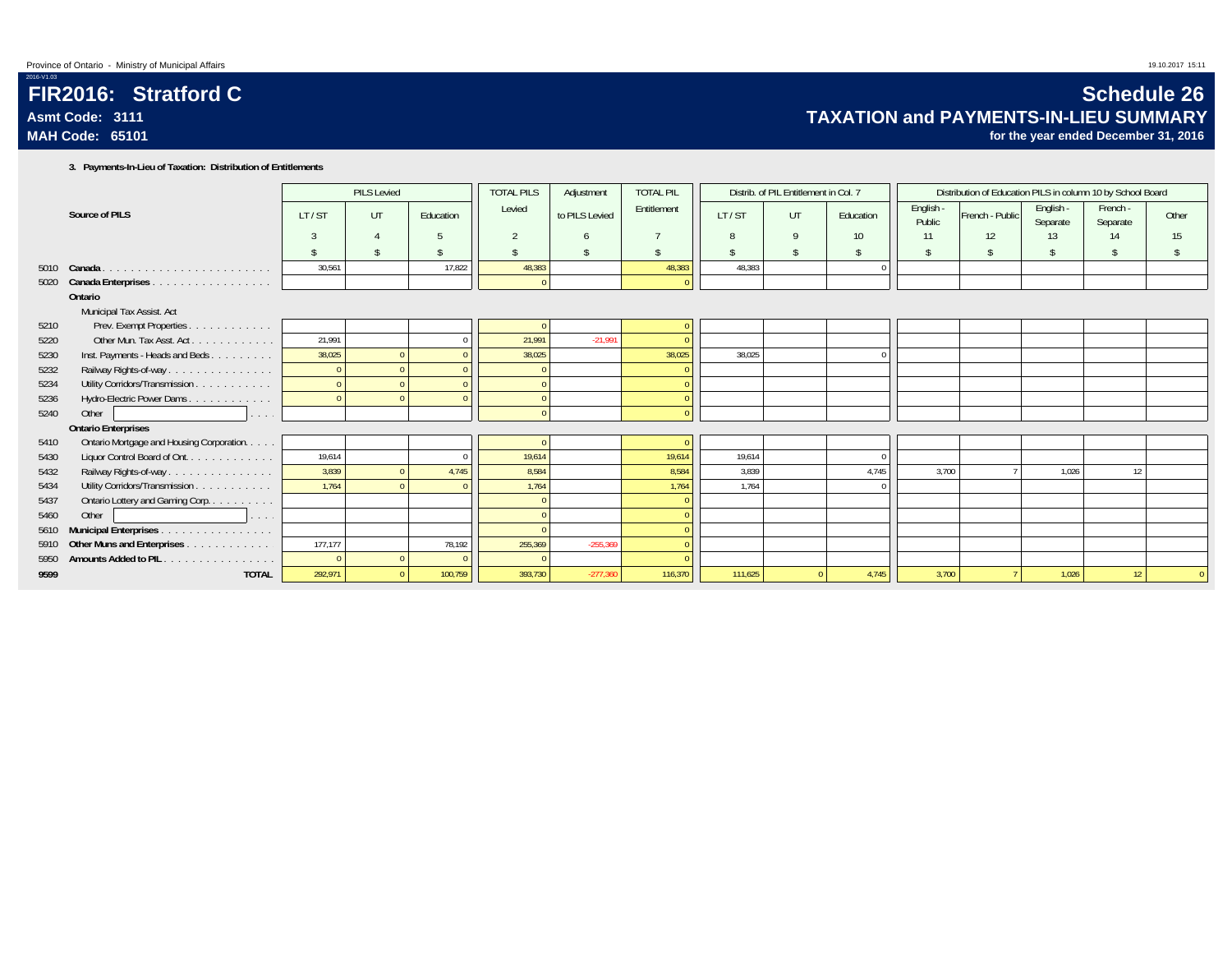|      |                                                              |         | <b>PILS Levied</b> |           | <b>TOTAL PILS</b>  | Adjustment     | <b>TOTAL PIL</b> |                    | Distrib. of PIL Entitlement in Col. 7 |                    |                     | Distribution of Education PILS in column 10 by School Board |                       |                      |               |
|------|--------------------------------------------------------------|---------|--------------------|-----------|--------------------|----------------|------------------|--------------------|---------------------------------------|--------------------|---------------------|-------------------------------------------------------------|-----------------------|----------------------|---------------|
|      | Source of PILS                                               | LT/ST   | UT                 | Education | Levied             | to PILS Levied | Entitlement      | LT/ST              | UT                                    | Education          | English -<br>Public | French - Public                                             | English -<br>Separate | French -<br>Separate | Other         |
|      |                                                              |         |                    |           | $\mathfrak{D}$     | $\sqrt{2}$     |                  | 8                  | $\mathsf{q}$                          | 10                 | 11                  | 12                                                          | 13                    | 14                   | 15            |
|      |                                                              |         |                    |           | $\mathbf{\hat{S}}$ | $\mathcal{L}$  | \$.              | $\mathbf{\hat{S}}$ | <sup>\$</sup>                         | $\mathbf{\hat{S}}$ |                     |                                                             |                       | \$.                  | $\mathcal{S}$ |
| 5010 | Canada.                                                      | 30,561  |                    | 17,822    | 48,383             |                | 48,383           | 48,383             |                                       |                    |                     |                                                             |                       |                      |               |
| 5020 | Canada Enterprises.<br>and a series of the contract of       |         |                    |           |                    |                |                  |                    |                                       |                    |                     |                                                             |                       |                      |               |
|      | Ontario                                                      |         |                    |           |                    |                |                  |                    |                                       |                    |                     |                                                             |                       |                      |               |
|      | Municipal Tax Assist. Act                                    |         |                    |           |                    |                |                  |                    |                                       |                    |                     |                                                             |                       |                      |               |
| 5210 | Prev. Exempt Properties.<br>المالم المالم المالي المالية الم |         |                    |           |                    |                |                  |                    |                                       |                    |                     |                                                             |                       |                      |               |
| 5220 | Other Mun. Tax Asst. Act.                                    | 21,991  |                    |           | 21,991             | $-21.991$      |                  |                    |                                       |                    |                     |                                                             |                       |                      |               |
| 5230 | Inst. Payments - Heads and Beds                              | 38,025  |                    |           | 38,025             |                | 38,025           | 38,025             |                                       | $\Omega$           |                     |                                                             |                       |                      |               |
| 5232 | Railway Rights-of-way.                                       |         |                    |           |                    |                |                  |                    |                                       |                    |                     |                                                             |                       |                      |               |
| 5234 | Utility Corridors/Transmission                               |         |                    |           |                    |                |                  |                    |                                       |                    |                     |                                                             |                       |                      |               |
| 5236 | Hydro-Electric Power Dams                                    |         |                    |           | $\Omega$           |                |                  |                    |                                       |                    |                     |                                                             |                       |                      |               |
| 5240 | Other<br>$\alpha$ , $\alpha$ , $\alpha$ , $\alpha$           |         |                    |           | $\Omega$           |                |                  |                    |                                       |                    |                     |                                                             |                       |                      |               |
|      | <b>Ontario Enterprises</b>                                   |         |                    |           |                    |                |                  |                    |                                       |                    |                     |                                                             |                       |                      |               |
| 5410 | Ontario Mortgage and Housing Corporation.                    |         |                    |           |                    |                |                  |                    |                                       |                    |                     |                                                             |                       |                      |               |
| 5430 | Liquor Control Board of Ont.                                 | 19,614  |                    |           | 19,614             |                | 19,614           | 19,614             |                                       | $\Omega$           |                     |                                                             |                       |                      |               |
| 5432 | Railway Rights-of-way                                        | 3,839   |                    | 4,745     | 8,584              |                | 8,584            | 3,839              |                                       | 4,745              | 3.700               |                                                             | 1.026                 | 12                   |               |
| 5434 | Utility Corridors/Transmission                               | 1,764   |                    |           | 1,764              |                | 1.764            | 1,764              |                                       |                    |                     |                                                             |                       |                      |               |
| 5437 | Ontario Lottery and Gaming Corp                              |         |                    |           |                    |                |                  |                    |                                       |                    |                     |                                                             |                       |                      |               |
| 5460 | Other<br>$\alpha$ , $\alpha$ , $\alpha$ , $\alpha$           |         |                    |           |                    |                |                  |                    |                                       |                    |                     |                                                             |                       |                      |               |
| 5610 | <b>Municipal Enterprises</b> .                               |         |                    |           | $\Omega$           |                |                  |                    |                                       |                    |                     |                                                             |                       |                      |               |
| 5910 | Other Muns and Enterprises.<br>a características             | 177,177 |                    | 78,192    | 255,369            | $-255,369$     |                  |                    |                                       |                    |                     |                                                             |                       |                      |               |
| 5950 | <b>Amounts Added to PIL</b><br>.                             |         |                    |           |                    |                |                  |                    |                                       |                    |                     |                                                             |                       |                      |               |
| 9599 | <b>TOTAL</b>                                                 | 292,971 |                    | 100,759   | 393,730            | $-277,360$     | 116,370          | 111,625            |                                       | 4,745              | 3,700               |                                                             | 1,026                 | 12                   |               |

## **Schedule 26 TAXATION and PAYMENTS-IN-LIEU SUMMARY**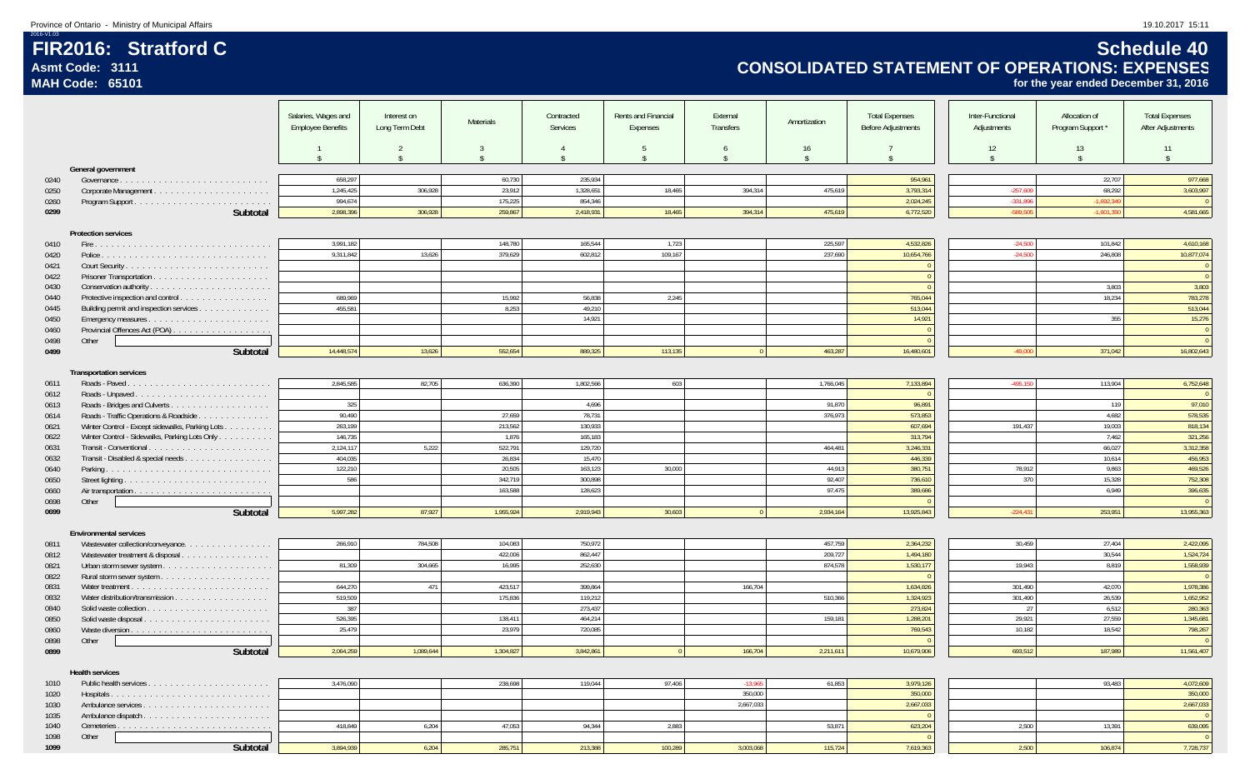**Asmt Code: 3111**

**MAH Code: 65101**

**FIR2016: Stratford C**

2016-V1.03

**1099**

**Subtotal**

# **Schedule 40 CONSOLIDATED STATEMENT OF OPERATIONS: EXPENSES**

**for the year ended December 31, 2016**

|      |                                                 | Salaries, Wages and<br><b>Employee Benefits</b> | Interest on<br>Long Term Debt | Materials                       | Contracted<br>Services | Rents and Financial<br>Expenses | External<br><b>Transfers</b> | Amortization       | <b>Total Expenses</b><br><b>Before Adjustments</b> | Inter-Functional<br>Adjustments | Allocation of<br>Program Support | <b>Total Expenses</b><br><b>After Adjustments</b> |
|------|-------------------------------------------------|-------------------------------------------------|-------------------------------|---------------------------------|------------------------|---------------------------------|------------------------------|--------------------|----------------------------------------------------|---------------------------------|----------------------------------|---------------------------------------------------|
|      |                                                 |                                                 |                               |                                 |                        |                                 |                              |                    |                                                    |                                 |                                  |                                                   |
|      |                                                 |                                                 | 2                             | $\overline{3}$<br>$\hat{\zeta}$ | $\overline{4}$         | -5<br>$\hat{\mathbf{S}}$        | 6<br>$\hat{\mathbf{S}}$      | 16                 | $\overline{7}$<br>$\hat{\mathbf{r}}$               | 12<br>$\hat{\mathbf{s}}$        | 13<br>$\hat{\mathbf{s}}$         | 11                                                |
|      |                                                 | $\mathbf{\hat{s}}$                              | $\mathbf{\hat{s}}$            |                                 | $\mathbf{\hat{S}}$     |                                 |                              | $\mathbf{\hat{S}}$ |                                                    |                                 |                                  | $\mathbb{S}$                                      |
|      | General government                              |                                                 |                               |                                 |                        |                                 |                              |                    |                                                    |                                 |                                  |                                                   |
| 0240 |                                                 | 658,297                                         |                               | 60,730                          | 235,934                |                                 |                              |                    | 954,961                                            |                                 | 22,707                           | 977,668                                           |
| 0250 |                                                 | 1,245,425                                       | 306,928                       | 23,912                          | 1,328,651              | 18.465                          | 394,314                      | 475,619            | 3,793,314                                          | $-257,609$                      | 68,292                           | 3,603,997                                         |
| 0260 |                                                 | 994,674                                         |                               | 175,225                         | 854,346                |                                 |                              |                    | 2,024,245                                          | $-331,89$                       | 1.692.34                         |                                                   |
| 0299 | Subtotal                                        | 2,898,396                                       | 306,928                       | 259,867                         | 2,418,931              | 18,465                          | 394,314                      | 475,619            | 6,772,520                                          | $-589,50$                       | 1,601,35                         | 4,581,665                                         |
|      |                                                 |                                                 |                               |                                 |                        |                                 |                              |                    |                                                    |                                 |                                  |                                                   |
|      | <b>Protection services</b>                      |                                                 |                               |                                 |                        |                                 |                              |                    |                                                    |                                 |                                  |                                                   |
| 0410 |                                                 | 3,991,182                                       |                               | 148.780                         | 165,544                | 1,723                           |                              | 225,597            | 4,532,826                                          | $-24,500$                       | 101,842                          | 4,610,168                                         |
| 0420 |                                                 | 9,311,842                                       | 13.626                        | 379,629                         | 602,812                | 109,167                         |                              | 237,690            | 10,654,766                                         | $-24,500$                       | 246,808                          | 10,877,074                                        |
| 0421 |                                                 |                                                 |                               |                                 |                        |                                 |                              |                    |                                                    |                                 |                                  |                                                   |
| 0422 |                                                 |                                                 |                               |                                 |                        |                                 |                              |                    | $\Omega$                                           |                                 |                                  |                                                   |
| 0430 |                                                 |                                                 |                               |                                 |                        |                                 |                              |                    |                                                    |                                 | 3.803                            | 3,803                                             |
| 0440 | Protective inspection and control               | 689.969                                         |                               | 15,992                          | 56,838                 | 2,245                           |                              |                    | 765.044                                            |                                 | 18,234                           | 783,278                                           |
| 0445 | Building permit and inspection services         | 455.581                                         |                               | 8,253                           | 49,210                 |                                 |                              |                    | 513.044                                            |                                 |                                  | 513,044                                           |
| 0450 |                                                 |                                                 |                               |                                 | 14,921                 |                                 |                              |                    | 14,921                                             |                                 | 355                              | 15,276                                            |
| 0460 |                                                 |                                                 |                               |                                 |                        |                                 |                              |                    | $\overline{0}$                                     |                                 |                                  |                                                   |
| 0498 | Other                                           |                                                 |                               |                                 |                        |                                 |                              |                    | $\sqrt{2}$                                         |                                 |                                  |                                                   |
| 0499 | Subtotal                                        | 14.448.574                                      | 13.626                        | 552.654                         | 889.325                | 113.135                         | $\Omega$                     | 463,287            | 16.480.601                                         | $-49.000$                       | 371,042                          | 16,802,643                                        |
|      |                                                 |                                                 |                               |                                 |                        |                                 |                              |                    |                                                    |                                 |                                  |                                                   |
|      | <b>Transportation services</b>                  |                                                 |                               |                                 |                        |                                 |                              |                    |                                                    |                                 |                                  |                                                   |
| 0611 |                                                 | 2.845.585                                       | 82.705                        | 636.390                         | 1.802.566              | 603                             |                              | 1.766.045          | 7.133.894                                          | $-495.150$                      | 113.904                          | 6,752,648                                         |
| 0612 | Roads - Unpaved                                 |                                                 |                               |                                 |                        |                                 |                              |                    |                                                    |                                 |                                  |                                                   |
| 0613 |                                                 | 325                                             |                               |                                 | 4,696                  |                                 |                              | 91,870             | 96,891                                             |                                 | 119                              | 97,010                                            |
| 0614 | Roads - Traffic Operations & Roadside           | 90,490                                          |                               | 27,659                          | 78,731                 |                                 |                              | 376,973            | 573,853                                            |                                 | 4,682                            | 578,535                                           |
| 0621 | Winter Control - Except sidewalks, Parking Lots | 263,199                                         |                               | 213,562                         | 130,933                |                                 |                              |                    | 607,694                                            | 191,437                         | 19,003                           | 818,134                                           |
| 0622 | Winter Control - Sidewalks, Parking Lots Only   | 146,735                                         |                               | 1,876                           | 165,183                |                                 |                              |                    | 313,794                                            |                                 | 7,462                            | 321,256                                           |
| 0631 | Transit - Conventional                          | 2,124,117                                       | 5,222                         | 522,791                         | 129,720                |                                 |                              | 464,481            | 3,246,331                                          |                                 | 66,027                           | 3,312,358                                         |
| 0632 | Transit - Disabled & special needs              | 404,035                                         |                               | 26,834                          | 15,470                 |                                 |                              |                    | 446,339                                            |                                 | 10,614                           | 456,953                                           |
| 0640 |                                                 | 122,210                                         |                               | 20,505                          | 163,123                | 30,000                          |                              | 44.913             | 380,751                                            | 78,912                          | 9,863                            | 469,526                                           |
| 0650 |                                                 | 586                                             |                               | 342.719                         | 300.898                |                                 |                              | 92,407             | 736,610                                            | 370                             | 15,328                           | 752,308                                           |
| 0660 |                                                 |                                                 |                               | 163,588                         | 128,623                |                                 |                              | 97,475             | 389,686                                            |                                 | 6,949                            | 396,635                                           |
| 0698 | Other                                           |                                                 |                               |                                 |                        |                                 |                              |                    |                                                    |                                 |                                  |                                                   |
| 0699 | Subtotal                                        | 5,997,282                                       | 87,927                        | 1,955,924                       | 2,919,943              | 30,603                          |                              | 2,934,164          | 13,925,843                                         | $-224,43$                       | 253,951                          | 13,955,363                                        |
|      |                                                 |                                                 |                               |                                 |                        |                                 |                              |                    |                                                    |                                 |                                  |                                                   |
|      | <b>Environmental services</b>                   |                                                 |                               |                                 |                        |                                 |                              |                    |                                                    |                                 |                                  |                                                   |
| 0811 | Wastewater collection/conveyance.               | 266,910                                         | 784,508                       | 104,083                         | 750,972                |                                 |                              | 457,759            | 2,364,232                                          | 30,459                          | 27,404                           | 2,422,095                                         |
| 0812 | Wastewater treatment & disposal                 |                                                 |                               | 422,006                         | 862,447                |                                 |                              | 209,727            | 1,494,180                                          |                                 | 30,544                           | 1,524,724                                         |
| 0821 |                                                 | 81,309                                          | 304,665                       | 16,995                          | 252,630                |                                 |                              | 874,578            | 1,530,177                                          | 19,943                          | 8,819                            | 1,558,939                                         |
| 0822 |                                                 |                                                 |                               |                                 |                        |                                 |                              |                    |                                                    |                                 |                                  |                                                   |
| 0831 |                                                 | 644,270                                         | 471                           | 423,517                         | 399,864                |                                 | 166,704                      |                    | 1,634,826                                          | 301,490                         | 42,070                           | 1,978,386                                         |
| 0832 |                                                 | 519,509                                         |                               | 175,836                         | 119,212                |                                 |                              | 510,366            | 1,324,923                                          | 301,490                         | 26,539                           | 1,652,952                                         |
| 0840 |                                                 | 387                                             |                               |                                 | 273,437                |                                 |                              |                    | 273,824                                            | 27                              | 6,512                            | 280,363                                           |
| 0850 |                                                 | 526,395                                         |                               | 138,411                         | 464,214                |                                 |                              | 159,181            | 1,288,201                                          | 29,921                          | 27,559                           | 1,345,681                                         |
| 0860 |                                                 | 25,479                                          |                               | 23,979                          | 720,085                |                                 |                              |                    | 769,543                                            | 10,182                          | 18,542                           | 798,267                                           |
| 0898 | Other                                           |                                                 |                               |                                 |                        |                                 |                              |                    |                                                    |                                 |                                  |                                                   |
|      |                                                 |                                                 |                               |                                 |                        |                                 |                              |                    |                                                    |                                 |                                  |                                                   |
| 0899 | Subtotal                                        | 2,064,259                                       | 1,089,644                     | 1,304,827                       | 3,842,861              |                                 | 166,704                      | 2,211,611          | 10,679,906                                         | 693,512                         | 187,989                          | 11,561,407                                        |
|      | <b>Health services</b>                          |                                                 |                               |                                 |                        |                                 |                              |                    |                                                    |                                 |                                  |                                                   |
| 1010 |                                                 | 3,476,090                                       |                               | 238,698                         | 119,044                | 97,406                          | $-13,965$                    | 61,853             | 3,979,126                                          |                                 | 93,483                           | 4,072,609                                         |
|      |                                                 |                                                 |                               |                                 |                        |                                 | 350,000                      |                    | 350,000                                            |                                 |                                  | 350,000                                           |
| 1020 |                                                 |                                                 |                               |                                 |                        |                                 | 2,667,033                    |                    |                                                    |                                 |                                  |                                                   |
| 1030 | Ambulance services                              |                                                 |                               |                                 |                        |                                 |                              |                    | 2,667,033                                          |                                 |                                  | 2,667,033                                         |
| 1035 |                                                 |                                                 |                               |                                 |                        |                                 |                              |                    |                                                    |                                 |                                  |                                                   |
| 1040 |                                                 | 418.849                                         | 6.204                         | 47.053                          | 94.344                 | 2.883                           |                              | 53.871             | 623,204                                            | 2.500                           | 13,391                           | 639,095                                           |
| 1098 | Other                                           |                                                 |                               |                                 |                        |                                 |                              |                    |                                                    |                                 |                                  |                                                   |

3,894,939 6,204 285,751 213,388 100,289 3,003,068 115,724 7,619,363 2,500 106,874 7,728,737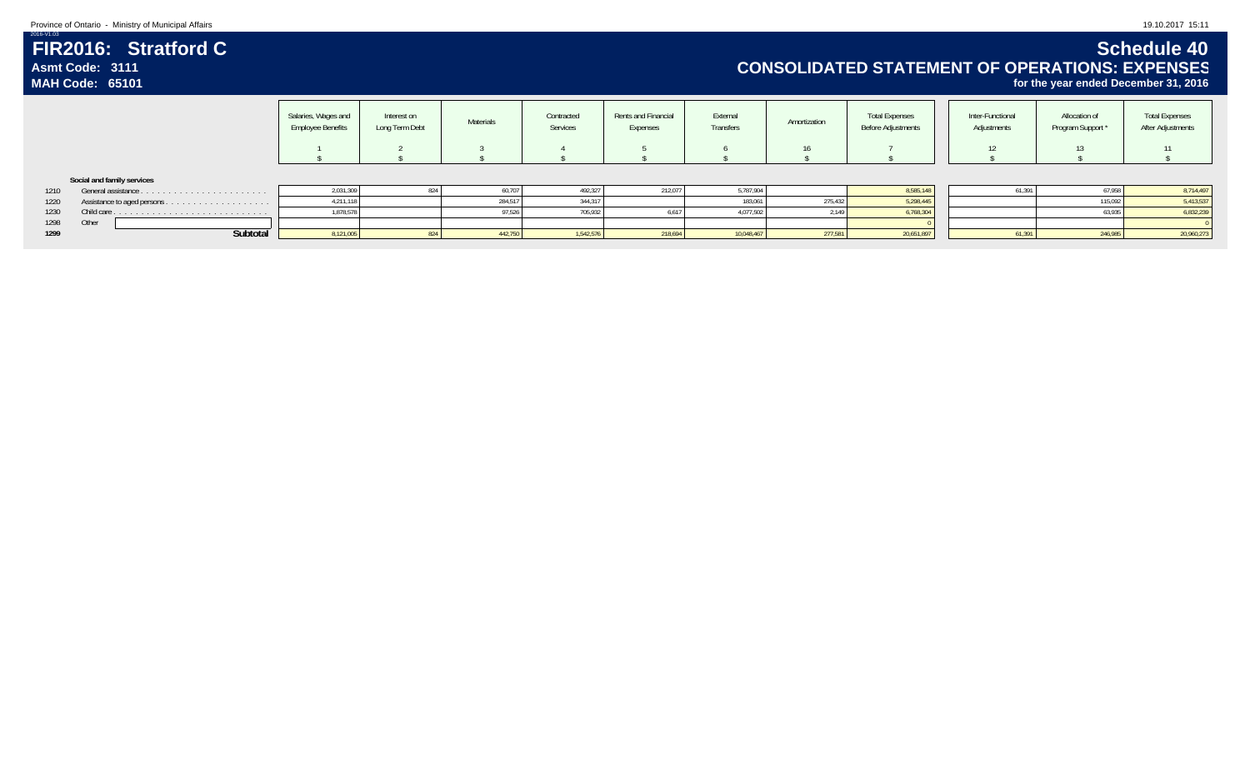**Asmt Code: 3111**

**MAH Code: 65101**

**FIR2016: Stratford C**

2016-V1.03

# **Schedule 40 CONSOLIDATED STATEMENT OF OPERATIONS: EXPENSES**

|      |                                  | Salaries, Wages and<br><b>Employee Benefits</b> | Interest on<br>Long Term Debt | <b>Materials</b> | Contracted<br>Services | Rents and Financial<br>Expenses | External<br>Transfers | Amortization<br>16 | <b>Total Expenses</b><br><b>Before Adjustments</b> | Inter-Functional<br>Adjustments<br>12 | Allocation of<br>Program Support *<br>13 | <b>Total Expenses</b><br>After Adjustments<br>11 |
|------|----------------------------------|-------------------------------------------------|-------------------------------|------------------|------------------------|---------------------------------|-----------------------|--------------------|----------------------------------------------------|---------------------------------------|------------------------------------------|--------------------------------------------------|
|      | Social and family services       |                                                 |                               |                  |                        |                                 |                       |                    |                                                    |                                       |                                          |                                                  |
| 1210 | General assistance.              | 2,031,309                                       | 824                           | 60,707           | 492,327                | 212,077                         | 5,787,904             |                    | 8,585,148                                          | 61,391                                | 67,958                                   | 8,714,497                                        |
| 1220 | Assistance to aged persons.<br>. | 4,211,118                                       |                               | 284,517          | 344,317                |                                 | 183,06                | 275,432            | 5,298,445                                          |                                       | 115,092                                  | 5,413,537                                        |
| 1230 | Child care.                      | 1,878,578                                       |                               | 97,526           | 705,932                | 6,617                           | 4,077,502             | 2,149              | 6,768,304                                          |                                       | 63,935                                   | 6,832,239                                        |
| 1298 | Other                            |                                                 |                               |                  |                        |                                 |                       |                    |                                                    |                                       |                                          |                                                  |
| 1299 | Subtotal                         | 8,121,005                                       | 824                           | 442,750          | 1,542,576              | 218,694                         | 10,048,467            | 277,581            | 20,651,897                                         | 61,391                                | 246,985                                  | 20,960,273                                       |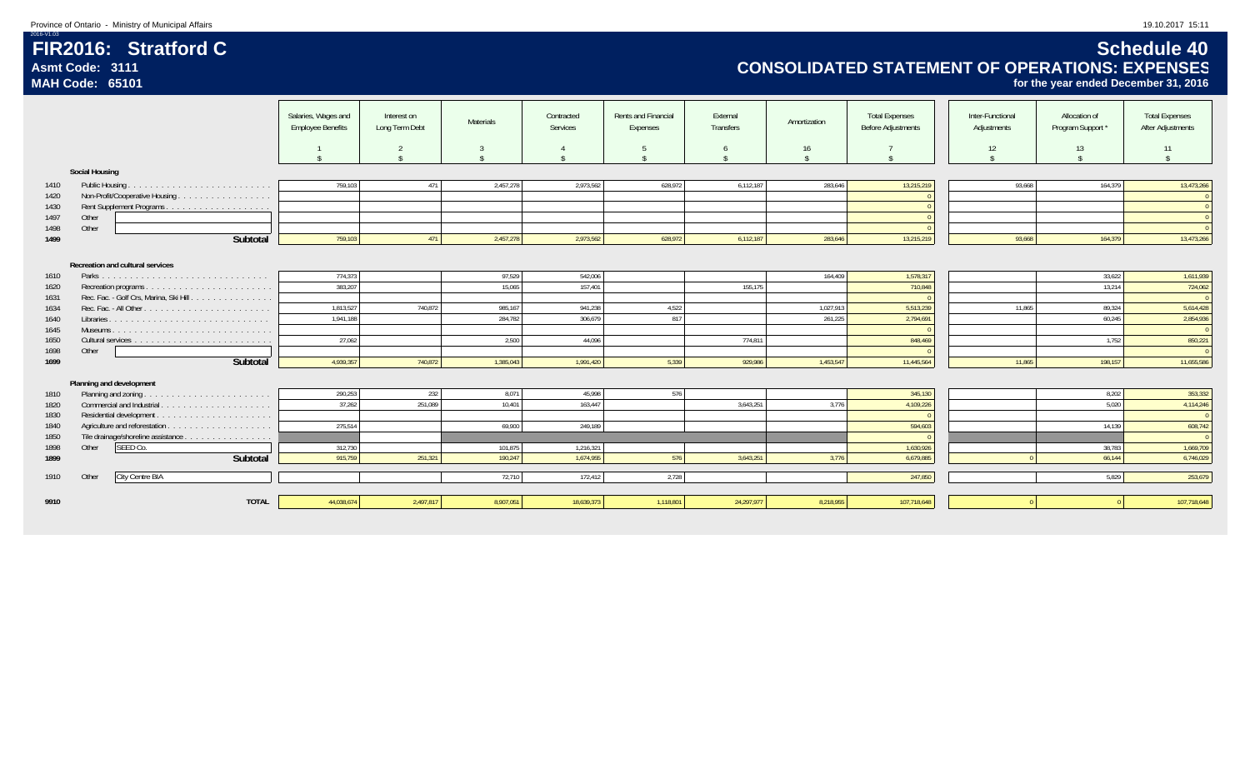#### Province of Ontario - Ministry of Municipal Affairs 19.10.2017 15:11

**Asmt Code: 3111**

**MAH Code: 65101**

**FIR2016: Stratford C**

2016-V1.03

# **Schedule 40 CONSOLIDATED STATEMENT OF OPERATIONS: EXPENSES**

|              |                                        | Salaries, Wages and<br><b>Employee Benefits</b> | Interest on<br>Long Term Debt | Materials     | Contracted<br>Services | Rents and Financial<br>Expenses | External<br>Transfers | Amortization | <b>Total Expenses</b><br><b>Before Adjustments</b> | Inter-Functional<br>Adjustments | Allocation of<br>Program Support | <b>Total Expenses</b><br>After Adjustments |
|--------------|----------------------------------------|-------------------------------------------------|-------------------------------|---------------|------------------------|---------------------------------|-----------------------|--------------|----------------------------------------------------|---------------------------------|----------------------------------|--------------------------------------------|
|              |                                        |                                                 | 2                             | 3             |                        | -5                              | 6                     | 16           |                                                    | 12                              | 13                               | 11                                         |
|              |                                        |                                                 | $\hat{\mathbf{r}}$            | $\hat{\zeta}$ |                        | $\hat{\mathbf{S}}$              |                       |              |                                                    | $\hat{\mathbf{S}}$              | $\hat{\mathbf{s}}$               |                                            |
|              | <b>Social Housing</b>                  |                                                 |                               |               |                        |                                 |                       |              |                                                    |                                 |                                  |                                            |
| 1410         |                                        | 759.103                                         | 471                           | 2.457.278     | 2,973,562              | 628.972                         | 6,112,187             | 283,646      | 13,215,219                                         | 93,668                          | 164,379                          | 13,473,266                                 |
| 1420         |                                        |                                                 |                               |               |                        |                                 |                       |              |                                                    |                                 |                                  |                                            |
| 1430         |                                        |                                                 |                               |               |                        |                                 |                       |              |                                                    |                                 |                                  |                                            |
| 1497<br>1498 | Other<br>Other                         |                                                 |                               |               |                        |                                 |                       |              |                                                    |                                 |                                  |                                            |
| 1499         | Subtotal                               | 759,103                                         | 471                           | 2,457,278     | 2,973,562              | 628,972                         | 6,112,187             | 283,646      | 13,215,219                                         | 93,668                          | 164,379                          | 13,473,266                                 |
|              |                                        |                                                 |                               |               |                        |                                 |                       |              |                                                    |                                 |                                  |                                            |
|              | Recreation and cultural services       |                                                 |                               |               |                        |                                 |                       |              |                                                    |                                 |                                  |                                            |
| 1610         |                                        | 774,373                                         |                               | 97,529        | 542,006                |                                 |                       | 164,409      | 1,578,317                                          |                                 | 33,622                           | 1,611,939                                  |
| 1620         |                                        | 383,207                                         |                               | 15.065        | 157,401                |                                 | 155.175               |              | 710,848                                            |                                 | 13,214                           | 724,062                                    |
| 1631<br>1634 | Rec. Fac. - Golf Crs, Marina, Ski Hill | 1,813,527                                       | 740,872                       | 985.167       | 941,238                | 4,522                           |                       | 1,027,913    | 5,513,239                                          | 11,865                          | 89,324                           | 5,614,428                                  |
| 1640         |                                        | 1,941,188                                       |                               | 284,782       | 306,679                | 817                             |                       | 261,225      | 2,794,691                                          |                                 | 60,245                           | 2,854,936                                  |
| 1645         |                                        |                                                 |                               |               |                        |                                 |                       |              |                                                    |                                 |                                  |                                            |
| 1650         |                                        | 27,062                                          |                               | 2,500         | 44,096                 |                                 | 774,811               |              | 848,469                                            |                                 | 1,752                            | 850,221                                    |
| 1698         | Other                                  |                                                 |                               |               |                        |                                 |                       |              |                                                    |                                 |                                  |                                            |
| 1699         | Subtotal                               | 4,939,357                                       | 740,872                       | 1,385,043     | 1,991,420              | 5,339                           | 929,986               | 1,453,547    | 11,445,564                                         | 11,865                          | 198,157                          | 11,655,586                                 |
|              |                                        |                                                 |                               |               |                        |                                 |                       |              |                                                    |                                 |                                  |                                            |
|              | Planning and development               |                                                 |                               |               |                        |                                 |                       |              |                                                    |                                 |                                  |                                            |
| 1810         |                                        | 290,253                                         | 232                           | 8,071         | 45,998                 | 576                             |                       |              | 345,130                                            |                                 | 8,202                            | 353,332                                    |
| 1820<br>1830 | Commercial and Industrial              | 37,262                                          | 251,089                       | 10,401        | 163,447                |                                 | 3,643,251             | 3,776        | 4,109,226                                          |                                 | 5,020                            | 4,114,246                                  |
| 1840         |                                        | 275,514                                         |                               | 69,900        | 249,189                |                                 |                       |              | 594,603                                            |                                 | 14.139                           | 608,742                                    |
| 1850         | Tile drainage/shoreline assistance     |                                                 |                               |               |                        |                                 |                       |              |                                                    |                                 |                                  |                                            |
| 1898         | SEED Co.<br>Other                      | 312,730                                         |                               | 101,875       | 1,216,321              |                                 |                       |              | 1,630,926                                          |                                 | 38,783                           | 1,669,709                                  |
| 1899         | Subtotal                               | 915,759                                         | 251,321                       | 190,247       | 1,674,955              | 576                             | 3,643,251             | 3,776        | 6,679,885                                          |                                 | 66,144                           | 6,746,029                                  |
|              |                                        |                                                 |                               |               |                        |                                 |                       |              |                                                    |                                 |                                  |                                            |
| 1910         | City Centre BIA<br>Other               |                                                 |                               | 72,710        | 172,412                | 2,728                           |                       |              | 247,850                                            |                                 | 5,829                            | 253,679                                    |
| 9910         | <b>TOTAL</b>                           | 44,038,674                                      | 2,497,817                     | 8,907,051     | 18,639,373             | 1,118,801                       | 24,297,977            | 8,218,955    | 107,718,648                                        |                                 |                                  | 107,718,648                                |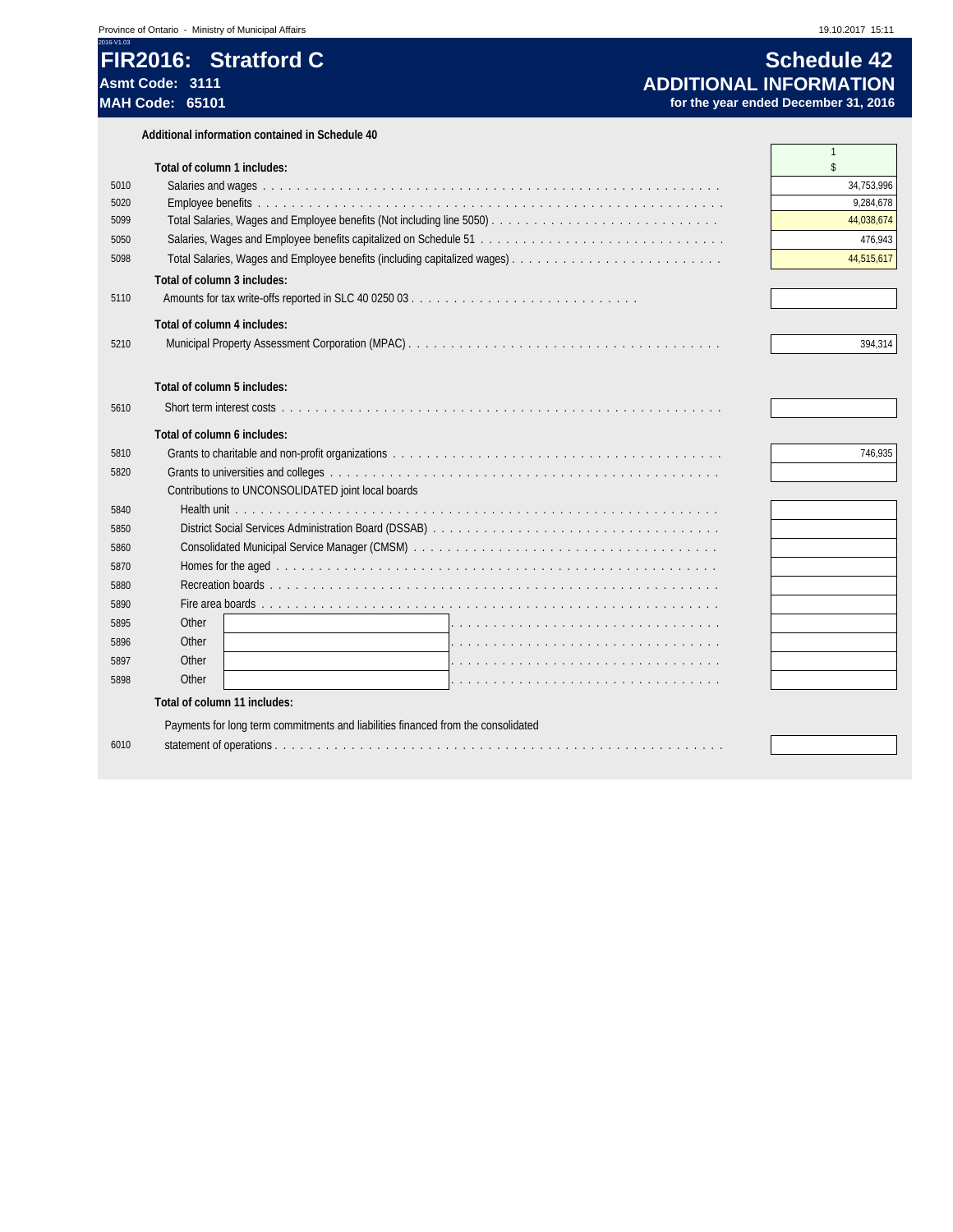# **FIR2016:** Stratford C Senedule 42<br>
Asmt Code: 3111 **Schedule 42**

# **Asmt Code: 3111 ADDITIONAL INFORMATION** for the year ended December 31, 2016

**Additional information contained in Schedule 40**

|      |                              | Additional implimation contained in Scriedule 40                                  |            |
|------|------------------------------|-----------------------------------------------------------------------------------|------------|
|      | Total of column 1 includes:  |                                                                                   | \$         |
| 5010 |                              |                                                                                   | 34,753,996 |
| 5020 |                              |                                                                                   | 9,284,678  |
| 5099 |                              |                                                                                   | 44,038,674 |
| 5050 |                              |                                                                                   | 476,943    |
| 5098 |                              |                                                                                   | 44,515,617 |
|      | Total of column 3 includes:  |                                                                                   |            |
| 5110 |                              |                                                                                   |            |
|      |                              |                                                                                   |            |
|      | Total of column 4 includes:  |                                                                                   |            |
| 5210 |                              |                                                                                   | 394,314    |
|      |                              |                                                                                   |            |
|      | Total of column 5 includes:  |                                                                                   |            |
| 5610 |                              |                                                                                   |            |
|      |                              |                                                                                   |            |
|      | Total of column 6 includes:  |                                                                                   |            |
| 5810 |                              |                                                                                   | 746.935    |
| 5820 |                              |                                                                                   |            |
|      |                              | Contributions to UNCONSOLIDATED joint local boards                                |            |
| 5840 |                              |                                                                                   |            |
| 5850 |                              |                                                                                   |            |
| 5860 |                              |                                                                                   |            |
| 5870 |                              |                                                                                   |            |
| 5880 |                              |                                                                                   |            |
| 5890 |                              |                                                                                   |            |
| 5895 | Other                        |                                                                                   |            |
| 5896 | Other                        |                                                                                   |            |
| 5897 | Other                        |                                                                                   |            |
| 5898 | Other                        |                                                                                   |            |
|      | Total of column 11 includes: |                                                                                   |            |
|      |                              | Payments for long term commitments and liabilities financed from the consolidated |            |
| 6010 |                              |                                                                                   |            |
|      |                              |                                                                                   |            |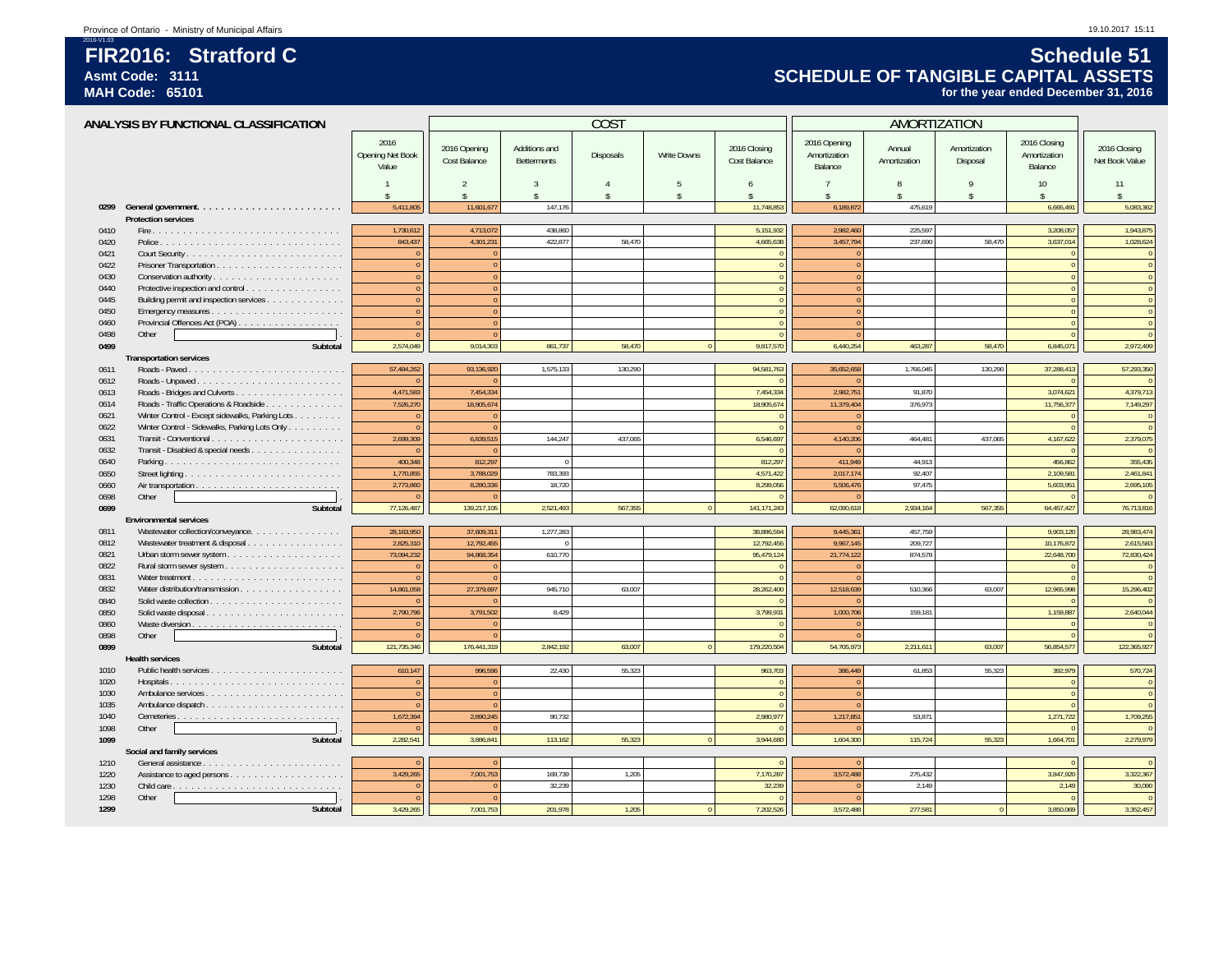## 2016-V1.03 **FIR2016: Stratford CAsmt Code: 3111**

#### **MAH Code: 65101**

#### **Schedule 51 SCHEDULE OF TANGIBLE CAPITAL ASSETSfor the year ended December 31, 2016**

| ANALYSIS BY FUNCTIONAL CLASSIFICATION |                                                                      |                                          |                                     | <b>COST</b>                         |                    |                    | <b>AMORTIZATION</b>          |                                         |                        |                                    |                                         |                                |
|---------------------------------------|----------------------------------------------------------------------|------------------------------------------|-------------------------------------|-------------------------------------|--------------------|--------------------|------------------------------|-----------------------------------------|------------------------|------------------------------------|-----------------------------------------|--------------------------------|
|                                       |                                                                      | 2016<br><b>Opening Net Book</b><br>Value | 2016 Opening<br><b>Cost Balance</b> | Additions and<br><b>Betterments</b> | Disposals          | <b>Write Downs</b> | 2016 Closing<br>Cost Balance | 2016 Opening<br>Amortization<br>Balance | Annual<br>Amortization | Amortization<br>Disposal           | 2016 Closing<br>Amortization<br>Balance | 2016 Closing<br>Net Book Value |
|                                       |                                                                      | -1<br>$\hat{\mathbf{S}}$                 | -2<br>$\hat{\mathbf{S}}$            | 3<br>$\mathbf{\hat{S}}$             | $\mathbf{\hat{s}}$ | -5<br>\$           | 6<br>$\mathbf{\hat{S}}$      | $\overline{7}$<br>$\hat{\mathbf{x}}$    | 8<br>\$                | $\mathsf{Q}$<br>$\mathbf{\hat{S}}$ | 10<br>$\hat{\mathbf{x}}$                | 11<br>$\hat{\mathbf{x}}$       |
| 0299                                  |                                                                      | 5,411,80                                 | 11,601,677                          | 147,176                             |                    |                    | 11,748,853                   | 6,189,872                               | 475,619                |                                    | 6,665,491                               | 5,083,362                      |
|                                       | Protection services                                                  |                                          |                                     |                                     |                    |                    |                              |                                         |                        |                                    |                                         |                                |
| 0410                                  |                                                                      | 1,730,612                                | 4,713,072                           | 438,860                             |                    |                    | 5,151,932                    | 2,982,460                               | 225,597                |                                    | 3,208,057                               | 1,943,875                      |
| 0420                                  |                                                                      | 843,437                                  | 4,301,231                           | 422,877                             | 58,470             |                    | 4,665,638                    | 3,457,794                               | 237,690                | 58,470                             | 3,637,014                               | 1,028,624                      |
| 0421                                  |                                                                      |                                          |                                     |                                     |                    |                    | $\Omega$                     |                                         |                        |                                    |                                         | $\pmb{0}$                      |
| 0422                                  |                                                                      |                                          | $\Omega$                            |                                     |                    |                    | $\overline{0}$               | $\Omega$                                |                        |                                    |                                         | $\overline{0}$                 |
| 0430                                  |                                                                      | $\Omega$                                 | $\Omega$                            |                                     |                    |                    | $\mathbf{0}$                 |                                         |                        |                                    |                                         | $\overline{0}$                 |
| 0440                                  | Protective inspection and control                                    | $\Omega$                                 | $\Omega$                            |                                     |                    |                    | $\mathbf{0}$                 |                                         |                        |                                    |                                         | $\overline{0}$                 |
| 0445                                  | Building permit and inspection services                              | $\sqrt{2}$                               | $\Omega$                            |                                     |                    |                    | $\overline{0}$               |                                         |                        |                                    |                                         | $\overline{0}$                 |
| 0450                                  |                                                                      |                                          | $\overline{0}$                      |                                     |                    |                    | $\overline{0}$               | $\Omega$                                |                        |                                    |                                         | $\overline{0}$                 |
| 0460                                  |                                                                      |                                          | $\Omega$                            |                                     |                    |                    | $\overline{0}$               |                                         |                        |                                    |                                         | $\overline{0}$                 |
| 0498                                  | Other                                                                |                                          | $\sqrt{ }$                          |                                     |                    |                    | $\overline{0}$               |                                         |                        |                                    |                                         | $\overline{0}$                 |
| 0499                                  | Subtotal                                                             | 2,574,049                                | 9,014,303                           | 861,737                             | 58,470             | $\Omega$           | 9,817,570                    | 6,440,254                               | 463,287                | 58,470                             | 6,845,071                               | 2,972,499                      |
|                                       | <b>Transportation services</b>                                       |                                          |                                     |                                     |                    |                    |                              |                                         |                        |                                    |                                         |                                |
| 0611                                  | Roads - Paved                                                        | 57,484,262                               | 93,136,920                          | 1,575,133                           | 130,290            |                    | 94,581,763                   | 35,652,658                              | 1,766,045              | 130,290                            | 37,288,413                              | 57,293,350                     |
| 0612                                  |                                                                      |                                          |                                     |                                     |                    |                    | $\Omega$                     |                                         |                        |                                    |                                         | $\overline{0}$                 |
| 0613                                  |                                                                      | 4,471,583                                | 7,454,334                           |                                     |                    |                    | 7,454,334                    | 2,982,751                               | 91,870                 |                                    | 3,074,621                               | 4,379,713                      |
| 0614                                  | Roads - Traffic Operations & Roadside                                | 7,526,270                                | 18,905,674                          |                                     |                    |                    | 18,905,674                   | 11,379,404                              | 376,973                |                                    | 11,756,377                              | 7,149,297                      |
| 0621                                  | Winter Control - Except sidewalks, Parking Lots                      |                                          |                                     |                                     |                    |                    | $\Omega$                     |                                         |                        |                                    |                                         | $\mathbf{0}$                   |
| 0622                                  | Winter Control - Sidewalks, Parking Lots Only                        |                                          |                                     |                                     |                    |                    | $\Omega$                     |                                         |                        |                                    |                                         | $\overline{0}$                 |
| 0631                                  |                                                                      | 2,699,309                                | 6,839,515                           | 144.247                             | 437.065            |                    | 6,546,697                    | 4,140,206                               | 464,481                | 437.065                            | 4,167,622                               | 2,379,075                      |
| 0632                                  | Transit - Disabled & special needs                                   |                                          |                                     |                                     |                    |                    |                              |                                         |                        |                                    |                                         | $\Omega$                       |
| 0640                                  |                                                                      | 400.348                                  | 812,297                             | $\overline{0}$                      |                    |                    | 812,297                      | 411,949<br>2.017.174                    | 44,913                 |                                    | 456,862                                 | 355,435                        |
| 0650                                  |                                                                      | 1.770.855                                | 3.788.029                           | 783.393                             |                    |                    | 4.571.422                    | 5.506.476                               | 92,407                 |                                    | 2,109,581                               | 2,461,841                      |
| 0660<br>0698                          |                                                                      | 2,773,860                                | 8,280,336                           | 18,720                              |                    |                    | 8,299,056<br>$\Omega$        |                                         | 97,475                 |                                    | 5,603,951                               | 2,695,105                      |
| 0699                                  | Other<br>Subtotal                                                    |                                          |                                     |                                     | 567.355            |                    |                              |                                         |                        | 567.355                            |                                         | $\overline{0}$                 |
|                                       | <b>Environmental services</b>                                        | 77,126,487                               | 139,217,105                         | 2,521,493                           |                    | $\overline{0}$     | 141, 171, 243                | 62,090,618                              | 2,934,164              |                                    | 64,457,427                              | 76,713,816                     |
| 0811                                  |                                                                      | 28,163,950                               | 37,609,311                          | 1,277,283                           |                    |                    | 38,886,594                   | 9,445,361                               | 457,759                |                                    | 9,903,120                               | 28,983,474                     |
| 0812                                  | Wastewater collection/conveyance.<br>Wastewater treatment & disposal | 2,825,310                                | 12,792,455                          |                                     |                    |                    | 12,792,455                   | 9,967,145                               | 209,727                |                                    | 10,176,872                              | 2,615,583                      |
| 0821                                  |                                                                      | 73,094,232                               | 94.868.354                          | 610,770                             |                    |                    | 95,479,124                   | 21,774,122                              | 874,578                |                                    | 22,648,700                              | 72,830,424                     |
| 0822                                  |                                                                      |                                          |                                     |                                     |                    |                    | $\Omega$                     |                                         |                        |                                    |                                         | $\mathbf{0}$                   |
| 0831                                  |                                                                      |                                          |                                     |                                     |                    |                    | $\Omega$                     |                                         |                        |                                    |                                         | $\overline{0}$                 |
| 0832                                  |                                                                      | 14,861,058                               | 27,379,697                          | 945.710                             | 63.007             |                    | 28,262,400                   | 12,518,639                              | 510,366                | 63.007                             | 12,965,998                              | 15,296,402                     |
| 0840                                  |                                                                      |                                          |                                     |                                     |                    |                    | $\sqrt{ }$                   |                                         |                        |                                    |                                         | $\overline{0}$                 |
| 0850                                  | Solid waste disposal                                                 | 2,790,796                                | 3,791,502                           | 8,429                               |                    |                    | 3,799,931                    | 1,000,706                               | 159,181                |                                    | 1,159,887                               | 2,640,044                      |
| 0860                                  |                                                                      |                                          |                                     |                                     |                    |                    | $\Omega$                     |                                         |                        |                                    |                                         | $\,$ 0                         |
| 0898                                  | Other                                                                |                                          |                                     |                                     |                    |                    | $\sqrt{ }$                   |                                         |                        |                                    |                                         | $\overline{0}$                 |
| 0899                                  | Subtotal                                                             | 121,735,346                              | 176,441,319                         | 2,842,192                           | 63,007             |                    | 179,220,504                  | 54,705,973                              | 2,211,611              | 63,007                             | 56,854,577                              | 122,365,927                    |
|                                       | <b>Health services</b>                                               |                                          |                                     |                                     |                    |                    |                              |                                         |                        |                                    |                                         |                                |
| 1010                                  |                                                                      | 610,147                                  | 996,596                             | 22,430                              | 55,323             |                    | 963,703                      | 386,449                                 | 61,853                 | 55.323                             | 392,979                                 | 570,724                        |
| 1020                                  |                                                                      |                                          |                                     |                                     |                    |                    | $\Omega$                     |                                         |                        |                                    |                                         | $\overline{0}$                 |
| 1030                                  |                                                                      |                                          | $\sqrt{2}$                          |                                     |                    |                    | $\Omega$                     |                                         |                        |                                    |                                         | $\overline{0}$                 |
| 1035                                  |                                                                      |                                          |                                     |                                     |                    |                    | $\Omega$                     |                                         |                        |                                    |                                         | $\Omega$                       |
| 1040                                  |                                                                      | 1,672,394                                | 2,890,245                           | 90.732                              |                    |                    | 2,980,977                    | 1,217,851                               | 53.871                 |                                    | 1,271,722                               | 1,709,255                      |
| 1098                                  | Other                                                                |                                          |                                     |                                     |                    |                    | $\Omega$                     |                                         |                        |                                    |                                         | $\Omega$                       |
| 1099                                  | Subtotal                                                             | 2,282,541                                | 3,886,841                           | 113.162                             | 55.323             | $\Omega$           | 3,944,680                    | 1.604.300                               | 115.724                | 55.323                             | 1.664.701                               | 2,279,979                      |
|                                       | Social and family services                                           |                                          |                                     |                                     |                    |                    |                              |                                         |                        |                                    |                                         |                                |
| 1210                                  |                                                                      |                                          |                                     |                                     |                    |                    | $\Omega$                     |                                         |                        |                                    |                                         | $\overline{0}$                 |
| 1220                                  |                                                                      | 3.429.265                                | 7.001.753                           | 169.739                             | 1.205              |                    | 7,170,287                    | 3.572.488                               | 275,432                |                                    | 3.847.920                               | 3,322,367                      |
| 1230                                  |                                                                      |                                          |                                     | 32.239                              |                    |                    | 32,239                       |                                         | 2.149                  |                                    | 2.149                                   | 30,090                         |
| 1298                                  | Other                                                                |                                          |                                     |                                     |                    |                    | $\sqrt{2}$                   |                                         |                        |                                    |                                         | $\overline{0}$                 |
| 1299                                  | Subtotal                                                             | 3.429.265                                | 7.001.753                           | 201.978                             | 1.205              |                    | 7,202,526                    | 3.572.488                               | 277,581                |                                    | 3.850.069                               | 3,352,457                      |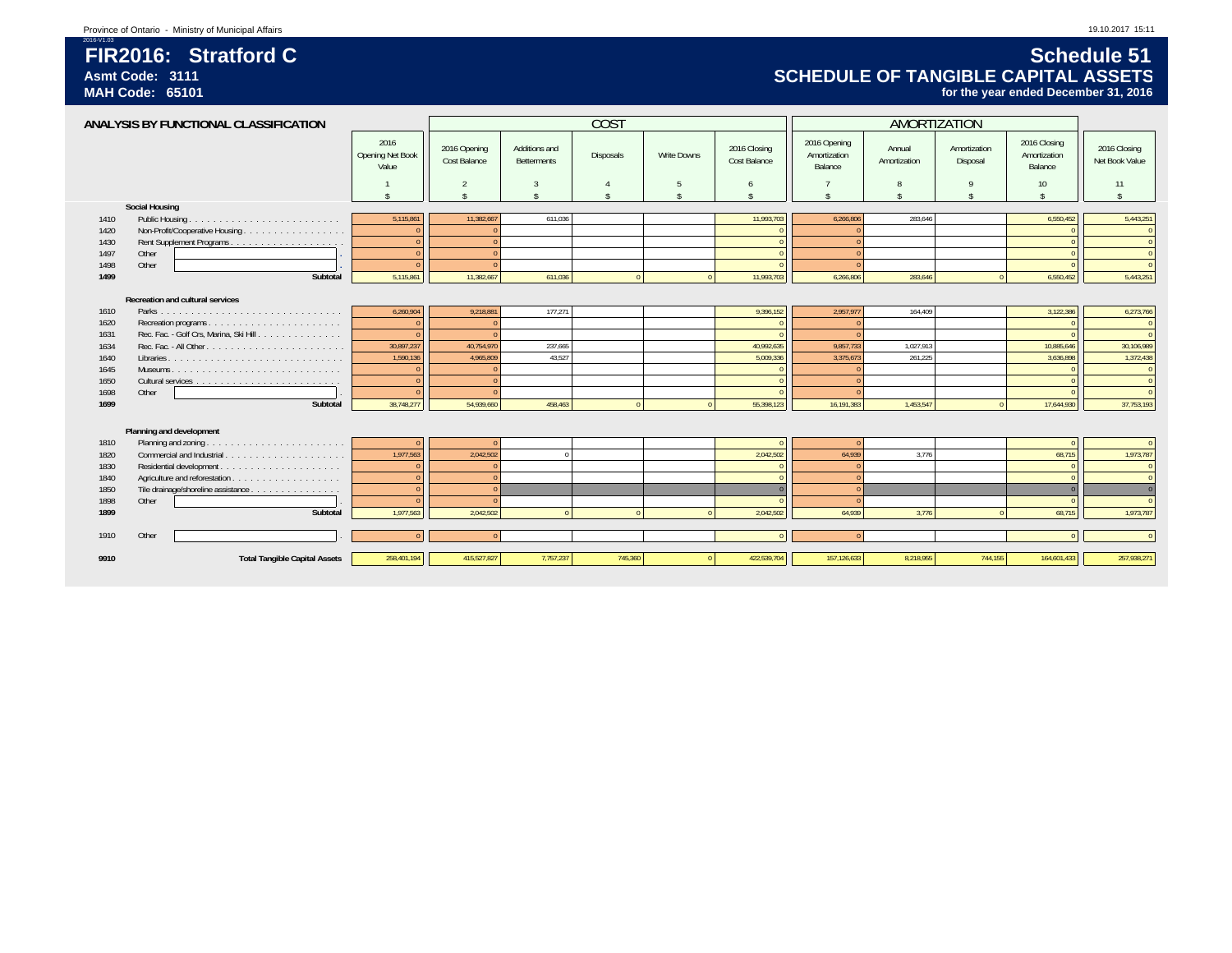**Schedule 51 SCHEDULE OF TANGIBLE CAPITAL ASSETS for the year ended December 31, 2016**

#### **MAH Code: 65101**

|      | ANALYSIS BY FUNCTIONAL CLASSIFICATION   |                                   |                                     |                                     | COS <sub>1</sub> |                    |                              |                                         |                        | AMORTIZATION             |                                         |                                |
|------|-----------------------------------------|-----------------------------------|-------------------------------------|-------------------------------------|------------------|--------------------|------------------------------|-----------------------------------------|------------------------|--------------------------|-----------------------------------------|--------------------------------|
|      |                                         | 2016<br>Opening Net Book<br>Value | 2016 Opening<br><b>Cost Balance</b> | Additions and<br><b>Betterments</b> | Disposals        | <b>Write Downs</b> | 2016 Closing<br>Cost Balance | 2016 Opening<br>Amortization<br>Balance | Annual<br>Amortization | Amortization<br>Disposal | 2016 Closing<br>Amortization<br>Balance | 2016 Closing<br>Net Book Value |
|      |                                         | $\hat{\zeta}$                     |                                     |                                     |                  | -5                 | 6                            |                                         |                        |                          | 10<br>$\hat{\mathbf{r}}$                | 11                             |
|      | <b>Social Housing</b>                   |                                   |                                     |                                     |                  |                    |                              |                                         |                        |                          |                                         |                                |
| 1410 |                                         | 5,115,861                         | 11,382,667                          | 611,036                             |                  |                    | 11,993,703                   | 6,266,806                               | 283,646                |                          | 6,550,452                               | 5,443,251                      |
| 1420 | Non-Profit/Cooperative Housing          |                                   |                                     |                                     |                  |                    | $\sqrt{ }$                   |                                         |                        |                          |                                         | $\Omega$                       |
| 1430 |                                         |                                   | $\Omega$                            |                                     |                  |                    | $\Omega$                     |                                         |                        |                          |                                         | $\overline{0}$                 |
| 1497 | Other                                   |                                   | $\sqrt{ }$                          |                                     |                  |                    | $\Omega$                     |                                         |                        |                          |                                         | $\overline{0}$                 |
| 1498 | Other                                   |                                   | $\sqrt{ }$                          |                                     |                  |                    | $\Omega$                     |                                         |                        |                          |                                         | $\overline{0}$                 |
| 1499 | Subtotal                                | 5,115,861                         | 11,382,667                          | 611,036                             | $\Omega$         | $\Omega$           | 11,993,703                   | 6,266,806                               | 283,646                | $\Omega$                 | 6,550,452                               | 5,443,251                      |
|      | Recreation and cultural services        |                                   |                                     |                                     |                  |                    |                              |                                         |                        |                          |                                         |                                |
| 1610 |                                         | 6,260,904                         | 9,218,881                           | 177,271                             |                  |                    | 9,396,152                    | 2,957,977                               | 164,409                |                          | 3,122,386                               | 6,273,766                      |
| 1620 |                                         |                                   |                                     |                                     |                  |                    |                              |                                         |                        |                          |                                         |                                |
| 1631 | Rec. Fac. - Golf Crs, Marina, Ski Hill. |                                   | $\sqrt{ }$                          |                                     |                  |                    | $\Omega$                     |                                         |                        |                          |                                         | $\overline{0}$                 |
| 1634 |                                         | 30,897,237                        | 40,754,970                          | 237,665                             |                  |                    | 40,992,635                   | 9,857,733                               | 1,027,913              |                          | 10,885,646                              | 30,106,989                     |
| 1640 |                                         | 1,590,136                         | 4.965.809                           | 43.527                              |                  |                    | 5.009.336                    | 3,375,673                               | 261.225                |                          | 3.636.898                               | 1,372,438                      |
| 1645 |                                         |                                   |                                     |                                     |                  |                    | $\sqrt{ }$                   |                                         |                        |                          |                                         | $\overline{0}$                 |
| 1650 |                                         |                                   | $\Omega$                            |                                     |                  |                    | $\sqrt{ }$                   |                                         |                        |                          |                                         | $\overline{0}$                 |
| 1698 | Other                                   |                                   |                                     |                                     |                  |                    | $\sqrt{ }$                   |                                         |                        |                          |                                         | $\overline{0}$                 |
| 1699 | Subtotal                                | 38,748,277                        | 54,939,660                          | 458,463                             | $\sqrt{2}$       | $\Omega$           | 55,398,123                   | 16,191,383                              | 1,453,547              | $\Omega$                 | 17,644,930                              | 37,753,193                     |
|      |                                         |                                   |                                     |                                     |                  |                    |                              |                                         |                        |                          |                                         |                                |
|      | Planning and development                |                                   |                                     |                                     |                  |                    |                              |                                         |                        |                          |                                         |                                |
| 1810 |                                         |                                   |                                     |                                     |                  |                    |                              |                                         |                        |                          |                                         | $\Omega$                       |
| 1820 | Commercial and Industrial               | 1,977,563                         | 2.042.502                           | $\Omega$                            |                  |                    | 2.042.502                    | 64.939                                  | 3.776                  |                          | 68,715                                  | 1,973,787                      |
| 1830 |                                         |                                   |                                     |                                     |                  |                    |                              |                                         |                        |                          |                                         | $\overline{0}$                 |
| 1840 |                                         |                                   | $\sqrt{ }$                          |                                     |                  |                    | $\sqrt{2}$                   | $\Omega$                                |                        |                          |                                         | $\overline{0}$                 |
| 1850 | Tile drainage/shoreline assistance      |                                   | $\sqrt{ }$                          |                                     |                  |                    | $\Omega$                     | $\Omega$                                |                        |                          |                                         | $\overline{0}$                 |
| 1898 | Other                                   |                                   | $\sqrt{ }$                          |                                     |                  |                    |                              |                                         |                        |                          |                                         | $\Omega$                       |
| 1899 | Subtotal                                | 1.977.563                         | 2.042.502                           | $\sqrt{2}$                          | $\sqrt{ }$       | $\Omega$           | 2.042.502                    | 64.939                                  | 3.776                  | $\Omega$                 | 68.715                                  | 1,973,787                      |
| 1910 | Other                                   |                                   |                                     |                                     |                  |                    |                              | $\Omega$                                |                        |                          |                                         |                                |
|      |                                         |                                   |                                     |                                     |                  |                    |                              |                                         |                        |                          |                                         |                                |
| 9910 | <b>Total Tangible Capital Assets</b>    | 258,401,194                       | 415,527,827                         | 7,757,237                           | 745,360          | $\Omega$           | 422,539,704                  | 157,126,633                             | 8,218,955              | 744,155                  | 164,601,433                             | 257,938,271                    |
|      |                                         |                                   |                                     |                                     |                  |                    |                              |                                         |                        |                          |                                         |                                |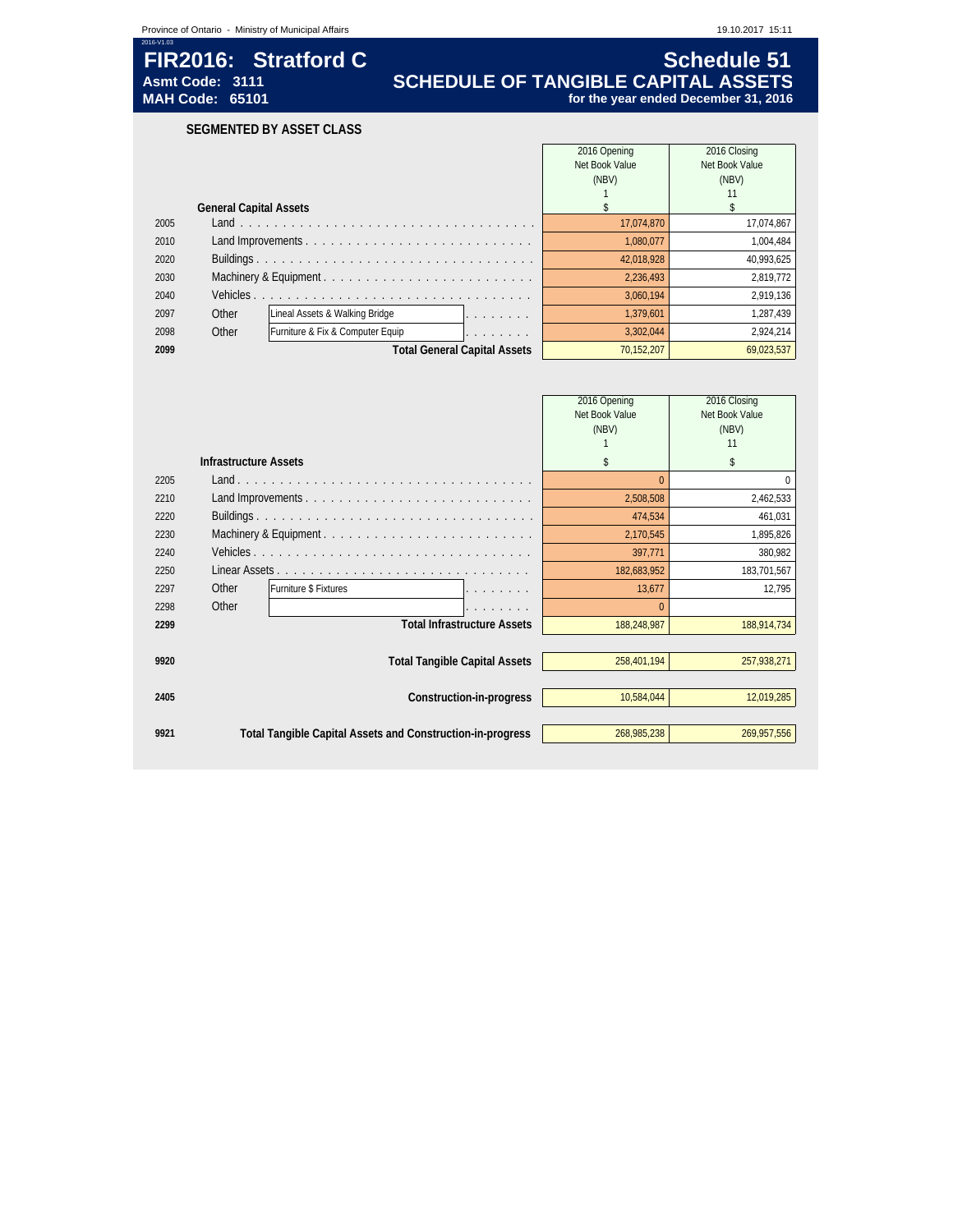### **FIR2016: Stratford C**<br>Asmt Code: 3111 **SCHEDULE OF TANGIBLE CAPITAL ASSETS**<br>MAH Code: 65101 **SCHEDULE OF TANGIBLE CAPITAL ASSETS**<br>for the year ended December 31, 2016 **Asmt Code: 3111 SCHEDULE OF TANGIBLE CAPITAL ASSETS MAH Code: 65101 for the year ended December 31, 2016**

**SEGMENTED BY ASSET CLASS**

|      |                               |                                                               | 2016 Opening   | 2016 Closing   |
|------|-------------------------------|---------------------------------------------------------------|----------------|----------------|
|      |                               |                                                               | Net Book Value | Net Book Value |
|      |                               |                                                               | (NBV)          | (NBV)          |
|      |                               |                                                               |                |                |
|      | <b>General Capital Assets</b> |                                                               |                |                |
| 2005 |                               |                                                               | 17.074.870     | 17,074,867     |
| 2010 |                               |                                                               | 1.080.077      | 1,004,484      |
| 2020 |                               |                                                               | 42,018,928     | 40,993,625     |
| 2030 |                               |                                                               | 2.236.493      | 2.819.772      |
| 2040 | Vehicles.                     |                                                               | 3.060.194      | 2.919.136      |
| 2097 | Other                         | Lineal Assets & Walking Bridge<br>and a series and a          | 1.379.601      | 1.287.439      |
| 2098 | Other                         | Furniture & Fix & Computer Equip<br>and a series and a series | 3.302.044      | 2.924.214      |
| 2099 |                               | <b>Total General Capital Assets</b>                           | 70.152.207     | 69,023,537     |

|      |                              |                                                            | 2016 Opening<br>Net Book Value | 2016 Closing<br>Net Book Value |
|------|------------------------------|------------------------------------------------------------|--------------------------------|--------------------------------|
|      |                              |                                                            | (NBV)                          | (NBV)                          |
|      |                              |                                                            |                                | 11                             |
|      | <b>Infrastructure Assets</b> |                                                            | \$                             | \$                             |
| 2205 |                              |                                                            | $\Omega$                       | 0                              |
| 2210 |                              |                                                            | 2,508,508                      | 2,462,533                      |
| 2220 |                              |                                                            | 474,534                        | 461,031                        |
| 2230 |                              |                                                            | 2,170,545                      | 1,895,826                      |
| 2240 |                              |                                                            | 397,771                        | 380,982                        |
| 2250 |                              |                                                            | 182,683,952                    | 183,701,567                    |
| 2297 | Other                        | Furniture \$ Fixtures                                      | 13,677                         | 12,795                         |
| 2298 | Other                        |                                                            | 0                              |                                |
| 2299 |                              | <b>Total Infrastructure Assets</b>                         | 188.248.987                    | 188,914,734                    |
|      |                              |                                                            |                                |                                |
| 9920 |                              | <b>Total Tangible Capital Assets</b>                       | 258,401,194                    | 257,938,271                    |
|      |                              |                                                            |                                |                                |
| 2405 |                              | Construction-in-progress                                   | 10,584,044                     | 12,019,285                     |
|      |                              |                                                            |                                |                                |
| 9921 |                              | Total Tangible Capital Assets and Construction-in-progress | 268,985,238                    | 269,957,556                    |
|      |                              |                                                            |                                |                                |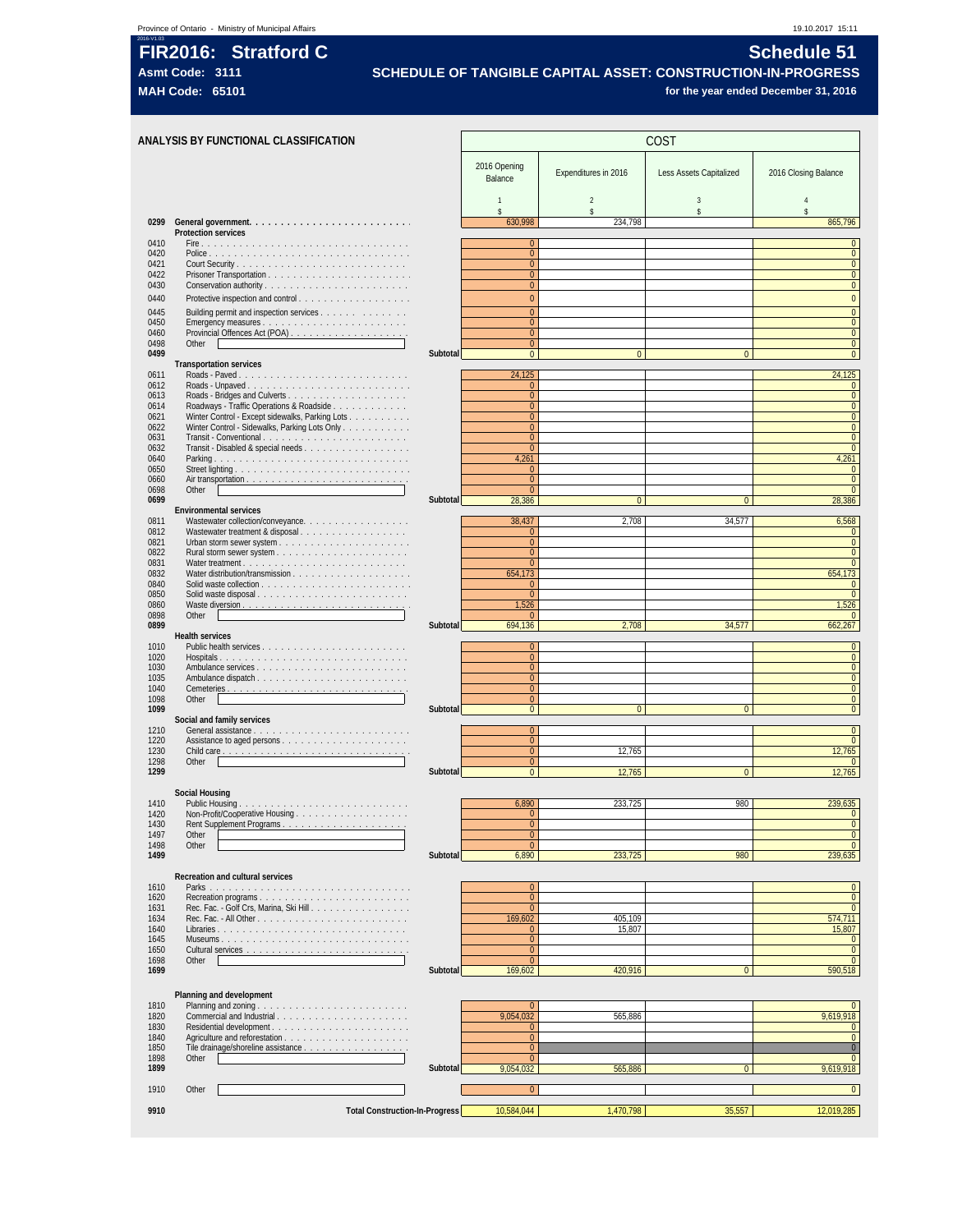#### **Province of Ontario - Ministry of Municipal Affairs** 19.10.2017 15:11

# **FIR2016: Stratford C** Sample of the Schedule 51 Schedule 51

**Asmt Code: 3111 SCHEDULE OF TANGIBLE CAPITAL ASSET: CONSTRUCTION-IN-PROGRESS**

**MAH Code: 65101 for the year ended December 31, 2016**

|              | ANALYSIS BY FUNCTIONAL CLASSIFICATION                                                            |          | COST                         |                      |                         |                                  |  |  |  |  |  |
|--------------|--------------------------------------------------------------------------------------------------|----------|------------------------------|----------------------|-------------------------|----------------------------------|--|--|--|--|--|
|              |                                                                                                  |          | 2016 Opening<br>Balance      | Expenditures in 2016 | Less Assets Capitalized | 2016 Closing Balance             |  |  |  |  |  |
|              |                                                                                                  |          | $\mathbf{1}$                 | $\sqrt{2}$           | $\mathbf{3}$            | $\overline{4}$                   |  |  |  |  |  |
|              |                                                                                                  |          | $\hat{\mathbf{x}}$           | \$                   | \$                      | $\hat{\mathbf{x}}$               |  |  |  |  |  |
| 0299         | <b>Protection services</b>                                                                       |          | 630.998                      | 234,798              |                         | 865.796                          |  |  |  |  |  |
| 0410         |                                                                                                  |          | $\mathbf{0}$                 |                      |                         | $\overline{0}$                   |  |  |  |  |  |
| 0420         |                                                                                                  |          | $\pmb{0}$                    |                      |                         | $\overline{0}$                   |  |  |  |  |  |
| 0421<br>0422 |                                                                                                  |          | $\mathbf{0}$<br>$\mathbf{0}$ |                      |                         | $\overline{0}$<br>$\mathbf{0}$   |  |  |  |  |  |
| 0430         |                                                                                                  |          | $\mathbf{0}$                 |                      |                         | $\overline{0}$                   |  |  |  |  |  |
| 0440         | Protective inspection and control                                                                |          | $\pmb{0}$                    |                      |                         | $\pmb{0}$                        |  |  |  |  |  |
| 0445         | Building permit and inspection services                                                          |          | $\overline{0}$               |                      |                         | $\overline{0}$                   |  |  |  |  |  |
| 0450         |                                                                                                  |          | $\mathbf{0}$                 |                      |                         | $\pmb{0}$                        |  |  |  |  |  |
| 0460<br>0498 | Other                                                                                            |          | $\pmb{0}$<br>$\mathbf{0}$    |                      |                         | $\mathbf 0$<br>$\mathbf{0}$      |  |  |  |  |  |
| 0499         |                                                                                                  | Subtotal | $\pmb{0}$                    | $\overline{0}$       | $\overline{0}$          | $\mathbf 0$                      |  |  |  |  |  |
|              | <b>Transportation services</b>                                                                   |          |                              |                      |                         |                                  |  |  |  |  |  |
| 0611<br>0612 | Roads - Paved                                                                                    |          | 24,125<br>$\mathbf{0}$       |                      |                         | 24,125<br>$\mathbf{0}$           |  |  |  |  |  |
| 0613         |                                                                                                  |          | $\mathbf{0}$                 |                      |                         | $\mathbf 0$                      |  |  |  |  |  |
| 0614         | Roadways - Traffic Operations & Roadside                                                         |          | $\mathbf{0}$                 |                      |                         | $\overline{0}$                   |  |  |  |  |  |
| 0621<br>0622 | Winter Control - Except sidewalks, Parking Lots<br>Winter Control - Sidewalks, Parking Lots Only |          | $\mathbf{0}$<br>$\mathbf{0}$ |                      |                         | $\overline{0}$<br>$\overline{0}$ |  |  |  |  |  |
| 0631         | Transit - Conventional                                                                           |          | $\mathbf{0}$                 |                      |                         | $\pmb{0}$                        |  |  |  |  |  |
| 0632         |                                                                                                  |          | $\overline{0}$               |                      |                         | $\pmb{0}$                        |  |  |  |  |  |
| 0640<br>0650 |                                                                                                  |          | 4,261<br>$\mathbf{0}$        |                      |                         | 4,261<br>$\mathbf{0}$            |  |  |  |  |  |
| 0660         |                                                                                                  |          | $\pmb{0}$                    |                      |                         | $\mathbf 0$                      |  |  |  |  |  |
| 0698         | Other                                                                                            |          | $\pmb{0}$                    |                      |                         | $\pmb{0}$                        |  |  |  |  |  |
| 0699         | <b>Environmental services</b>                                                                    | Subtotal | 28,386                       | $\bf{0}$             | 0                       | 28,386                           |  |  |  |  |  |
| 0811         | Wastewater collection/conveyance.                                                                |          | 38,437                       | 2,708                | 34,577                  | 6,568                            |  |  |  |  |  |
| 0812         | Wastewater treatment & disposal                                                                  |          | $\pmb{0}$                    |                      |                         | $\pmb{0}$                        |  |  |  |  |  |
| 0821         |                                                                                                  |          | $\mathbf{0}$                 |                      |                         | $\overline{0}$<br>$\overline{0}$ |  |  |  |  |  |
| 0822<br>0831 |                                                                                                  |          | $\mathbf{0}$<br>$\mathbf{0}$ |                      |                         | $\overline{0}$                   |  |  |  |  |  |
| 0832         |                                                                                                  |          | 654,173                      |                      |                         | 654,173                          |  |  |  |  |  |
| 0840         |                                                                                                  |          | $\mathbf{0}$                 |                      |                         | $\bf{0}$                         |  |  |  |  |  |
| 0850<br>0860 | Solid waste disposal                                                                             |          | $\pmb{0}$<br>1,526           |                      |                         | $\mathbf{0}$<br>1,526            |  |  |  |  |  |
| 0898         | Other                                                                                            |          | $\pmb{0}$                    |                      |                         | $\mathbf{0}$                     |  |  |  |  |  |
| 0899         |                                                                                                  | Subtotal | 694,136                      | 2,708                | 34,577                  | 662,267                          |  |  |  |  |  |
| 1010         | <b>Health services</b>                                                                           |          | $\mathbf{0}$                 |                      |                         | $\mathbf{0}$                     |  |  |  |  |  |
| 1020         |                                                                                                  |          | $\mathbf{0}$                 |                      |                         | $\mathbf{0}$                     |  |  |  |  |  |
| 1030         |                                                                                                  |          | $\overline{0}$               |                      |                         | $\overline{0}$                   |  |  |  |  |  |
| 1035<br>1040 | Ambulance dispatch                                                                               |          | $\mathbf 0$<br>$\mathbf{0}$  |                      |                         | $\overline{0}$<br>$\overline{0}$ |  |  |  |  |  |
| 1098         | Other                                                                                            |          | $\pmb{0}$                    |                      |                         | $\pmb{0}$                        |  |  |  |  |  |
| 1099         |                                                                                                  | Subtotal | $\pmb{0}$                    | $\overline{0}$       | $\overline{0}$          | $\overline{0}$                   |  |  |  |  |  |
| 1210         | Social and family services                                                                       |          | $\mathbf{0}$                 |                      |                         | $\overline{0}$                   |  |  |  |  |  |
| 1220         |                                                                                                  |          | $\mathbf{0}$                 |                      |                         | $\mathbf{0}$                     |  |  |  |  |  |
| 1230         |                                                                                                  |          | $\mathbf{0}$                 | 12,765               |                         | 12,765                           |  |  |  |  |  |
| 1298<br>1299 | Other                                                                                            | Subtotal | $\mathbf{0}$<br>$\pmb{0}$    | 12,765               | $\pmb{0}$               | $\mathbf{0}$<br>12,765           |  |  |  |  |  |
|              |                                                                                                  |          |                              |                      |                         |                                  |  |  |  |  |  |
|              | <b>Social Housing</b>                                                                            |          |                              |                      |                         |                                  |  |  |  |  |  |
| 1410<br>1420 |                                                                                                  |          | 6,890<br>$\mathbf{0}$        | 233,725              | 980                     | 239,635<br>$\overline{0}$        |  |  |  |  |  |
| 1430         | Rent Supplement Programs.<br>.                                                                   |          | $\mathbf{0}$                 |                      |                         | $\overline{0}$                   |  |  |  |  |  |
| 1497         | Other                                                                                            |          | $\pmb{0}$                    |                      |                         | $\mathbf 0$                      |  |  |  |  |  |
| 1498<br>1499 | Other                                                                                            | Subtotal | $\overline{0}$<br>6,890      | 233.725              | 980                     | $\overline{0}$<br>239,635        |  |  |  |  |  |
|              |                                                                                                  |          |                              |                      |                         |                                  |  |  |  |  |  |
|              | Recreation and cultural services                                                                 |          |                              |                      |                         |                                  |  |  |  |  |  |
| 1610<br>1620 | Recreation programs                                                                              |          | $\mathbf{0}$<br>$\pmb{0}$    |                      |                         | $\mathbf{0}$<br>$\overline{0}$   |  |  |  |  |  |
| 1631         | Rec. Fac. - Golf Crs. Marina. Ski Hill.                                                          |          | $\mathbf{0}$                 |                      |                         | $\overline{0}$                   |  |  |  |  |  |
| 1634         |                                                                                                  |          | 169,602                      | 405.109              |                         | 574,711                          |  |  |  |  |  |
| 1640<br>1645 |                                                                                                  |          | $\mathbf{0}$<br>$\mathbf{0}$ | 15,807               |                         | 15,807<br>$\mathbf{0}$           |  |  |  |  |  |
| 1650         |                                                                                                  |          | $\mathbf{0}$                 |                      |                         | $\overline{0}$                   |  |  |  |  |  |
| 1698         | Other                                                                                            |          | $\pmb{0}$                    |                      |                         | $\mathbf{0}$                     |  |  |  |  |  |
| 1699         |                                                                                                  | Subtotal | 169,602                      | 420,916              | $\overline{0}$          | 590.518                          |  |  |  |  |  |
|              | Planning and development                                                                         |          |                              |                      |                         |                                  |  |  |  |  |  |
| 1810         | Planning and zoning $\ldots \ldots \ldots \ldots \ldots \ldots \ldots \ldots$                    |          | $\mathbf{0}$                 |                      |                         | $\mathbf{0}$                     |  |  |  |  |  |
| 1820         | Commercial and Industrial                                                                        |          | 9,054,032                    | 565,886              |                         | 9,619,918                        |  |  |  |  |  |
| 1830<br>1840 |                                                                                                  |          | $\pmb{0}$<br>$\pmb{0}$       |                      |                         | $\mathbf{0}$<br>$\overline{0}$   |  |  |  |  |  |
| 1850         | Tile drainage/shoreline assistance                                                               |          | $\mathbf{0}$                 |                      |                         | $\overline{0}$                   |  |  |  |  |  |
| 1898         | Other                                                                                            |          | $\mathbf{0}$                 |                      |                         | $\mathbf{0}$                     |  |  |  |  |  |
| 1899         |                                                                                                  | Subtotal | 9,054,032                    | 565,886              | $\overline{0}$          | 9,619,918                        |  |  |  |  |  |
| 1910         | Other                                                                                            |          | $\mathbf{0}$                 |                      |                         | $\overline{0}$                   |  |  |  |  |  |
|              |                                                                                                  |          |                              |                      |                         |                                  |  |  |  |  |  |
| 9910         | <b>Total Construction-In-Progress</b>                                                            |          | 10,584,044                   | 1,470,798            | 35,557                  | 12,019,285                       |  |  |  |  |  |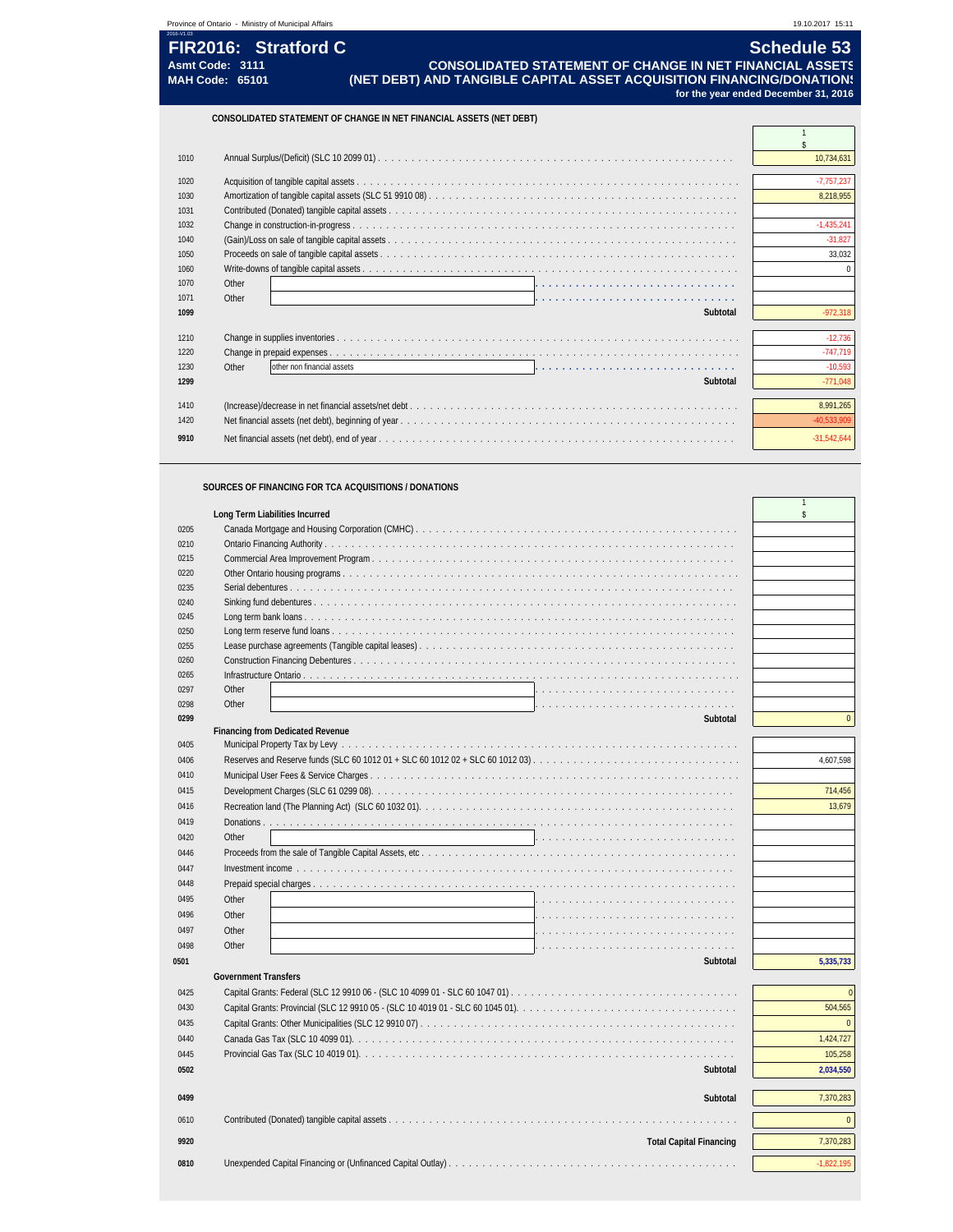|            | Province of Ontario - Ministry of Municipal Affairs                                                                                                                                                           | 19.10.2017 15:11                                           |
|------------|---------------------------------------------------------------------------------------------------------------------------------------------------------------------------------------------------------------|------------------------------------------------------------|
| 2016-V1.03 | FIR2016: Stratford C<br><b>CONSOLIDATED STATEMENT OF CHANGE IN NET FINANCIAL ASSETS</b><br>Asmt Code: 3111<br>(NET DEBT) AND TANGIBLE CAPITAL ASSET ACQUISITION FINANCING/DONATION:<br><b>MAH Code: 65101</b> | <b>Schedule 53</b><br>for the year ended December 31, 2016 |
|            | CONSOLIDATED STATEMENT OF CHANGE IN NET FINANCIAL ASSETS (NET DEBT)                                                                                                                                           |                                                            |
|            |                                                                                                                                                                                                               |                                                            |
|            |                                                                                                                                                                                                               |                                                            |
| 1010       |                                                                                                                                                                                                               | 10,734,631                                                 |
| 1020       |                                                                                                                                                                                                               | $-7,757,237$                                               |
| 1030       |                                                                                                                                                                                                               | 8.218.955                                                  |
| 1031       |                                                                                                                                                                                                               |                                                            |
| 1032       |                                                                                                                                                                                                               | $-1,435,241$                                               |
| 1040       |                                                                                                                                                                                                               | $-31,827$                                                  |
| 1050       |                                                                                                                                                                                                               | 33,032                                                     |
| 1060       |                                                                                                                                                                                                               |                                                            |
| 1070       | Other                                                                                                                                                                                                         |                                                            |
| 1071       | Other                                                                                                                                                                                                         |                                                            |
| 1099       | Subtotal                                                                                                                                                                                                      | $-972.318$                                                 |

| 1210<br>1220<br>1230 | Other<br>lother non financial assets<br>a construction of the construction of the construction of the construction of the construction of the construction of the construction of the construction of the construction of the construction of the construction of the | $-10.593$  |
|----------------------|-----------------------------------------------------------------------------------------------------------------------------------------------------------------------------------------------------------------------------------------------------------------------|------------|
| 1299                 | Subtotal                                                                                                                                                                                                                                                              | $-771.048$ |
|                      |                                                                                                                                                                                                                                                                       |            |
| 1410                 |                                                                                                                                                                                                                                                                       |            |
| 1420                 |                                                                                                                                                                                                                                                                       |            |
|                      |                                                                                                                                                                                                                                                                       |            |

#### **SOURCES OF FINANCING FOR TCA ACQUISITIONS / DONATIONS**

|      | Long Term Liabilities Incurred          | \$             |
|------|-----------------------------------------|----------------|
| 0205 |                                         |                |
| 0210 |                                         |                |
| 0215 |                                         |                |
| 0220 |                                         |                |
| 0235 |                                         |                |
| 0240 |                                         |                |
| 0245 |                                         |                |
| 0250 |                                         |                |
| 0255 |                                         |                |
| 0260 |                                         |                |
| 0265 |                                         |                |
| 0297 | Other                                   |                |
| 0298 | Other                                   |                |
| 0299 | Subtotal                                | $\Omega$       |
|      | <b>Financing from Dedicated Revenue</b> |                |
| 0405 |                                         |                |
| 0406 |                                         | 4,607,598      |
| 0410 |                                         |                |
| 0415 |                                         | 714,456        |
| 0416 |                                         | 13,679         |
| 0419 |                                         |                |
| 0420 | Other                                   |                |
| 0446 |                                         |                |
| 0447 |                                         |                |
| 0448 |                                         |                |
| 0495 | Other<br>.                              |                |
| 0496 | Other                                   |                |
| 0497 | Other                                   |                |
| 0498 | Other                                   |                |
| 0501 | Subtotal                                | 5,335,733      |
|      | <b>Government Transfers</b>             |                |
| 0425 |                                         | $\overline{0}$ |
|      |                                         |                |
| 0430 |                                         | 504,565        |
| 0435 |                                         | $\Omega$       |
| 0440 |                                         | 1,424,727      |
| 0445 |                                         | 105,258        |
| 0502 | Subtotal                                | 2,034,550      |
| 0499 | Subtotal                                | 7,370,283      |
| 0610 |                                         | $\Omega$       |
| 9920 | <b>Total Capital Financing</b>          | 7,370,283      |
| 0810 |                                         | $-1,822,195$   |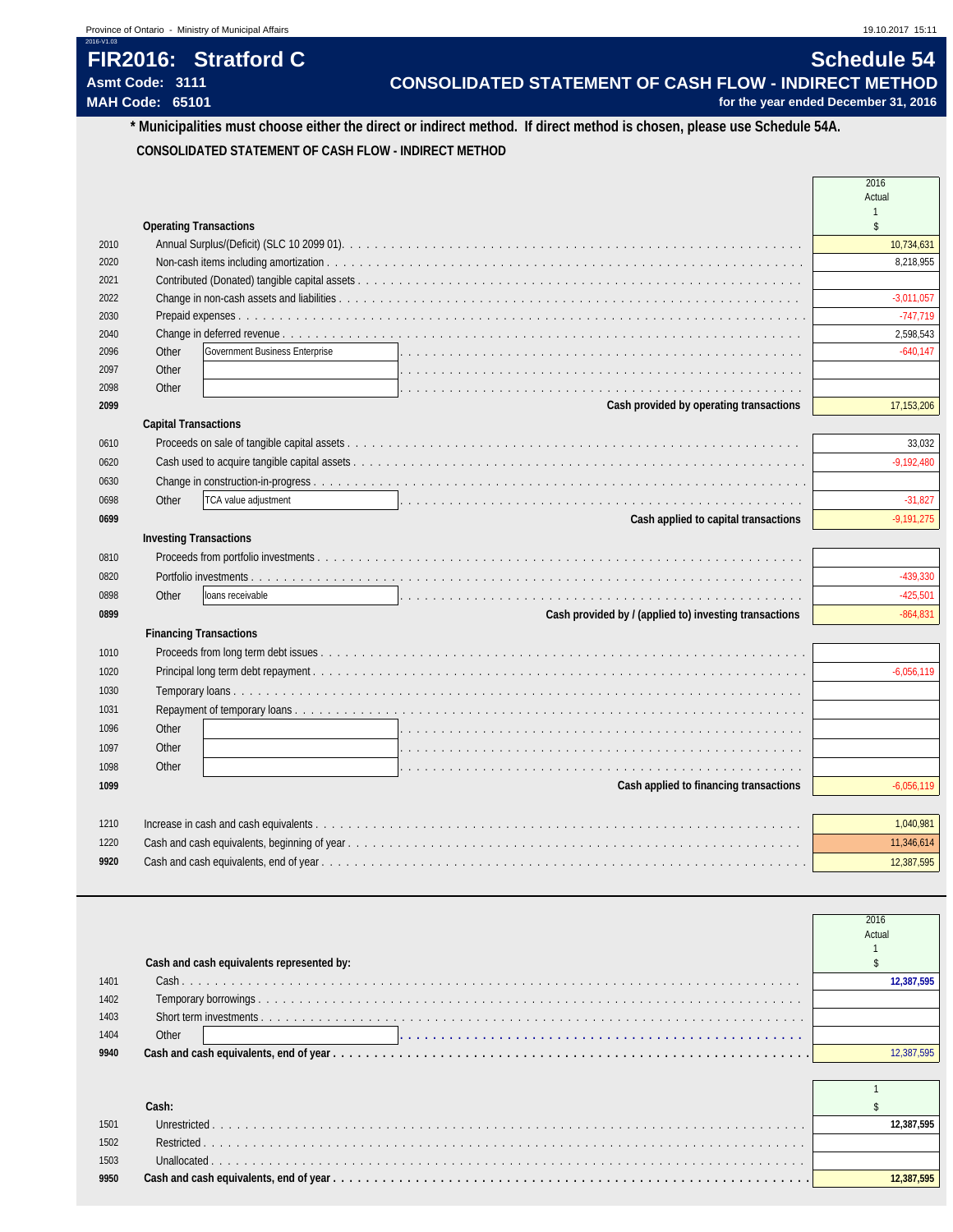# **FIR2016: Stratford C** Sample 19 and 200 and 200 and 200 and 200 and 200 and 200 and 200 and 200 and 200 and 200 and 200 and 200 and 200 and 200 and 200 and 200 and 200 and 200 and 200 and 200 and 200 and 200 and 200 and 2

Asmt Code: 3111 **CONSOLIDATED STATEMENT OF CASH FLOW - INDIRECT METHOD**<br>MAH Code: 65101 **MAH Code: 65101** for the year ended December 31, 2016

### **\* Municipalities must choose either the direct or indirect method. If direct method is chosen, please use Schedule 54A. CONSOLIDATED STATEMENT OF CASH FLOW - INDIRECT METHOD**

|      |                                                                                                                                 | Actual        |
|------|---------------------------------------------------------------------------------------------------------------------------------|---------------|
|      | <b>Operating Transactions</b>                                                                                                   | $\mathsf{\$}$ |
| 2010 |                                                                                                                                 | 10,734,631    |
| 2020 |                                                                                                                                 | 8.218.955     |
| 2021 |                                                                                                                                 |               |
| 2022 |                                                                                                                                 | $-3,011,057$  |
| 2030 |                                                                                                                                 | $-747,719$    |
| 2040 |                                                                                                                                 | 2,598,543     |
| 2096 | Government Business Enterprise<br>Other<br>.                                                                                    | $-640,147$    |
| 2097 | Other                                                                                                                           |               |
| 2098 | Other<br>المتعالم والمتحالة والمتحالة والمتحالة والمتحالة والمتحالة والمتحالة والمتحالة والمتحالة والمتحالة والمتحالة والمتحالة |               |
| 2099 | Cash provided by operating transactions                                                                                         | 17,153,206    |
|      | <b>Capital Transactions</b>                                                                                                     |               |
| 0610 |                                                                                                                                 | 33,032        |
| 0620 |                                                                                                                                 | $-9,192,480$  |
| 0630 |                                                                                                                                 |               |
| 0698 | TCA value adjustment<br>Other                                                                                                   | $-31,827$     |
| 0699 | Cash applied to capital transactions                                                                                            | $-9,191,275$  |
|      | <b>Investing Transactions</b>                                                                                                   |               |
| 0810 |                                                                                                                                 |               |
| 0820 |                                                                                                                                 | $-439,330$    |
| 0898 | Other<br>loans receivable                                                                                                       | $-425,501$    |
| 0899 | Cash provided by / (applied to) investing transactions                                                                          | $-864,831$    |
|      | <b>Financing Transactions</b>                                                                                                   |               |
| 1010 |                                                                                                                                 |               |
| 1020 |                                                                                                                                 | $-6,056,119$  |
| 1030 |                                                                                                                                 |               |
| 1031 |                                                                                                                                 |               |
| 1096 | Other                                                                                                                           |               |
| 1097 | Other                                                                                                                           |               |
| 1098 | Other<br>the contract of the contract of the contract of the contract of the contract of the contract of the contract of        |               |
| 1099 | Cash applied to financing transactions                                                                                          | $-6,056,119$  |
|      |                                                                                                                                 |               |
| 1210 |                                                                                                                                 | 1,040,981     |
| 1220 |                                                                                                                                 | 11,346,614    |
| 9920 |                                                                                                                                 | 12,387,595    |

|      |                                           | 2016   |
|------|-------------------------------------------|--------|
|      |                                           | Actual |
|      |                                           |        |
|      | Cash and cash equivalents represented by: |        |
| 1401 |                                           |        |
| 1402 |                                           |        |
| 1403 |                                           |        |
| 1404 | Other                                     |        |
| 9940 |                                           |        |
|      |                                           |        |

| 1501 |  |
|------|--|
| 1502 |  |
| 1503 |  |
| 9950 |  |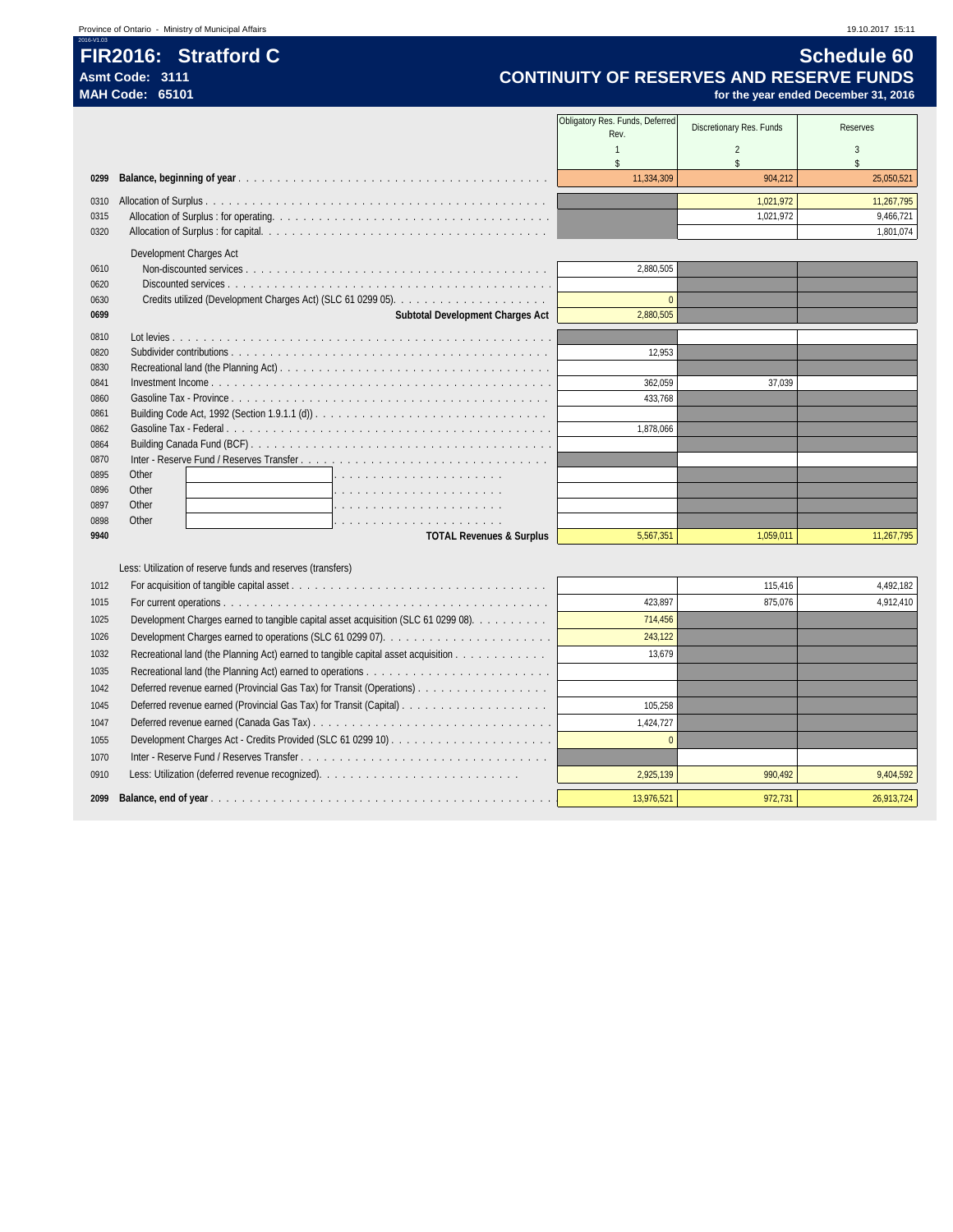**FIR2016: Stratford C** Stratford C Schedule 60

| <b>Asmt Code: 3111</b> |  |
|------------------------|--|

2016-V1.03

### Asmt Code: 3111 **Asmt Code: 3111 CONTINUITY OF RESERVES AND RESERVE FUNDS**<br>MAH Code: 65101 *CONTINUITY OF RESERVES AND RESERVE FUNDS* for the year ended December 31, 2016

|              |                                                                                    | Obligatory Res. Funds, Deferred | Discretionary Res. Funds        | <b>Reserves</b>                    |
|--------------|------------------------------------------------------------------------------------|---------------------------------|---------------------------------|------------------------------------|
|              |                                                                                    | Rev.                            |                                 |                                    |
|              |                                                                                    | $\mathbf{1}$<br>\$              | $\overline{2}$<br>$\mathsf{\$}$ | $\mathbf{3}$<br>$\mathbf{\hat{S}}$ |
| 0299         |                                                                                    | 11,334,309                      | 904,212                         | 25,050,521                         |
|              |                                                                                    |                                 | 1,021,972                       |                                    |
| 0310<br>0315 |                                                                                    |                                 | 1,021,972                       | 11,267,795<br>9,466,721            |
| 0320         |                                                                                    |                                 |                                 | 1,801,074                          |
|              |                                                                                    |                                 |                                 |                                    |
| 0610         | Development Charges Act                                                            | 2,880,505                       |                                 |                                    |
| 0620         |                                                                                    |                                 |                                 |                                    |
| 0630         |                                                                                    | $\Omega$                        |                                 |                                    |
| 0699         | Subtotal Development Charges Act                                                   | 2,880,505                       |                                 |                                    |
| 0810         |                                                                                    |                                 |                                 |                                    |
| 0820         |                                                                                    | 12,953                          |                                 |                                    |
| 0830         |                                                                                    |                                 |                                 |                                    |
| 0841         |                                                                                    | 362,059                         | 37,039                          |                                    |
| 0860         |                                                                                    | 433,768                         |                                 |                                    |
| 0861         |                                                                                    |                                 |                                 |                                    |
| 0862         |                                                                                    | 1,878,066                       |                                 |                                    |
| 0864         |                                                                                    |                                 |                                 |                                    |
| 0870         |                                                                                    |                                 |                                 |                                    |
| 0895         | Other                                                                              |                                 |                                 |                                    |
| 0896         | Other                                                                              |                                 |                                 |                                    |
| 0897         | Other<br>a dia analahana analahan analahan analah                                  |                                 |                                 |                                    |
| 0898         | Other<br>de la caractería de la caractería de la caractería                        |                                 |                                 |                                    |
| 9940         | <b>TOTAL Revenues &amp; Surplus</b>                                                | 5,567,351                       | 1,059,011                       | 11,267,795                         |
|              |                                                                                    |                                 |                                 |                                    |
|              | Less: Utilization of reserve funds and reserves (transfers)                        |                                 |                                 |                                    |
| 1012         |                                                                                    |                                 | 115,416                         | 4,492,182                          |
| 1015         |                                                                                    | 423,897                         | 875,076                         | 4,912,410                          |
| 1025         | Development Charges earned to tangible capital asset acquisition (SLC 61 0299 08). | 714,456                         |                                 |                                    |
| 1026         |                                                                                    | 243,122                         |                                 |                                    |
| 1032         | Recreational land (the Planning Act) earned to tangible capital asset acquisition  | 13.679                          |                                 |                                    |
| 1035         |                                                                                    |                                 |                                 |                                    |
| 1042         | Deferred revenue earned (Provincial Gas Tax) for Transit (Operations)              |                                 |                                 |                                    |
| 1045         |                                                                                    | 105,258                         |                                 |                                    |
| 1047         |                                                                                    | 1,424,727                       |                                 |                                    |
| 1055         |                                                                                    | $\Omega$                        |                                 |                                    |
| 1070         |                                                                                    |                                 |                                 |                                    |
| 0010         | coo. Hilliantion (deferred revenue recognized)                                     | 2025320                         | 000.402                         | 0.404 E02                          |

0910 Less: Utilization (deferred revenue recognized). . . . . . . . . . . . . . . . . . . . . . . . . . 2,925,139 990,492 9,404,592 **Balance, end of year** . . . . . . . . . . . . . . . . . . . . . . . . . . . . . . . . . . . . . . . . . . . . . 13,976,521 972,731 26,913,724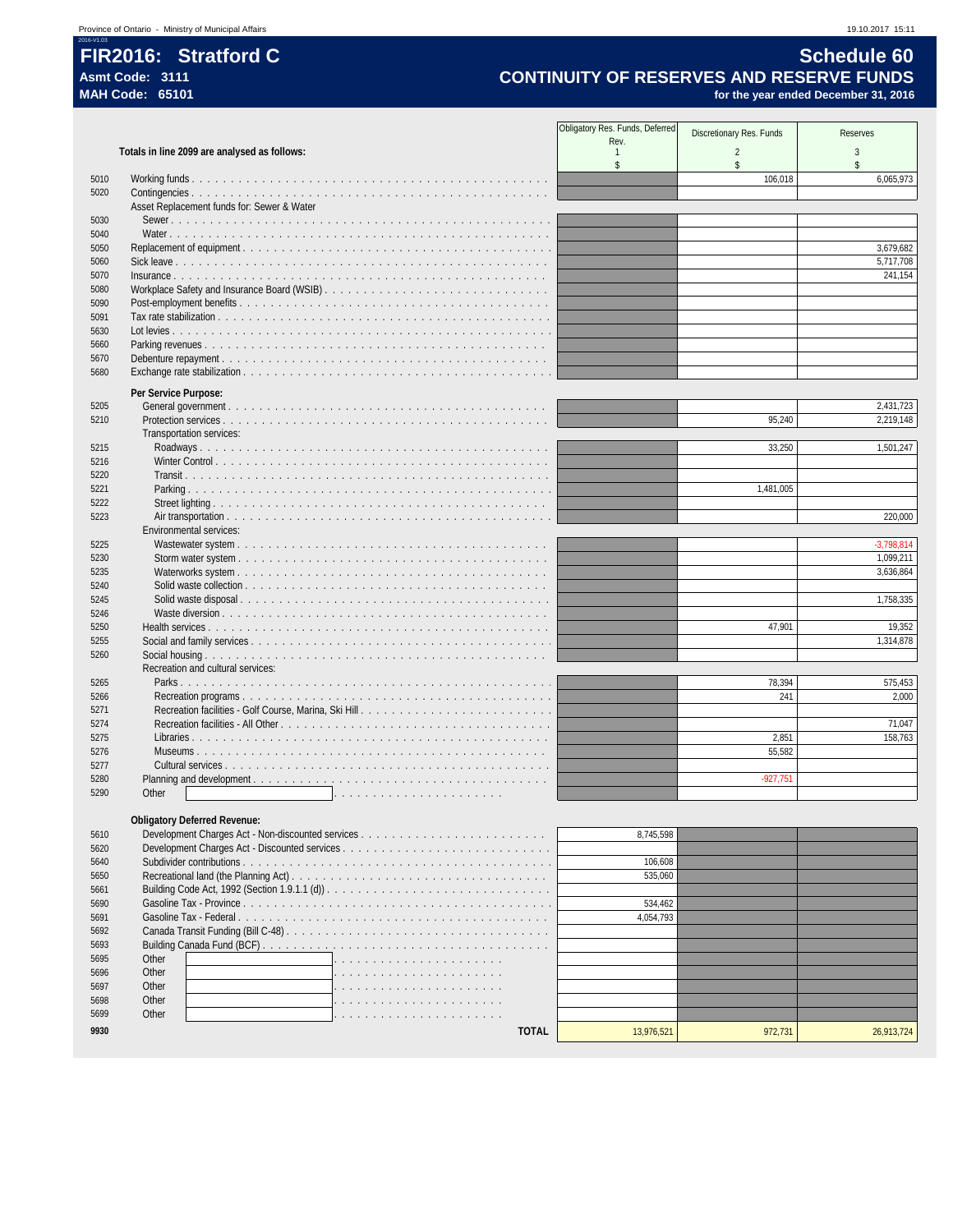# **FIR2016: Stratford C** Sample 19 and 200 and 200 and 200 and 200 and 200 and 200 and 200 and 200 and 200 and 200 and 200 and 200 and 200 and 200 and 200 and 200 and 200 and 200 and 200 and 200 and 200 and 200 and 200 and 2 Asmt Code: 3111<br>
MAH Code: 65101<br>
MAH Code: 65101<br>
MAH Code: 65101

|              |                                                       | Obligatory Res. Funds, Deferred | Discretionary Res. Funds | <b>Reserves</b> |
|--------------|-------------------------------------------------------|---------------------------------|--------------------------|-----------------|
|              | Totals in line 2099 are analysed as follows:          | Rev.<br>-1                      | $\overline{2}$           | 3               |
|              |                                                       | \$                              | \$                       | $\hat{S}$       |
| 5010         |                                                       |                                 | 106,018                  | 6,065,973       |
| 5020         |                                                       |                                 |                          |                 |
|              | Asset Replacement funds for: Sewer & Water            |                                 |                          |                 |
| 5030         |                                                       |                                 |                          |                 |
| 5040         |                                                       |                                 |                          |                 |
| 5050         |                                                       |                                 |                          | 3,679,682       |
| 5060         |                                                       |                                 |                          | 5,717,708       |
| 5070         |                                                       |                                 |                          | 241,154         |
| 5080         |                                                       |                                 |                          |                 |
| 5090         |                                                       |                                 |                          |                 |
| 5091         |                                                       |                                 |                          |                 |
| 5630         |                                                       |                                 |                          |                 |
| 5660         |                                                       |                                 |                          |                 |
| 5670         |                                                       |                                 |                          |                 |
| 5680         |                                                       |                                 |                          |                 |
|              | Per Service Purpose:                                  |                                 |                          |                 |
| 5205         |                                                       |                                 |                          | 2,431,723       |
| 5210         |                                                       |                                 | 95,240                   | 2,219,148       |
|              | Transportation services:                              |                                 |                          |                 |
| 5215         |                                                       |                                 | 33,250                   | 1,501,247       |
| 5216         |                                                       |                                 |                          |                 |
| 5220         |                                                       |                                 |                          |                 |
| 5221         |                                                       |                                 | 1,481,005                |                 |
| 5222         |                                                       |                                 |                          |                 |
| 5223         |                                                       |                                 |                          | 220,000         |
|              | Environmental services:                               |                                 |                          |                 |
| 5225         |                                                       |                                 |                          | $-3,798,814$    |
| 5230         |                                                       |                                 |                          | 1,099,211       |
| 5235         |                                                       |                                 |                          | 3,636,864       |
| 5240         |                                                       |                                 |                          |                 |
| 5245         |                                                       |                                 |                          | 1,758,335       |
| 5246         | Waste diversion                                       |                                 |                          |                 |
| 5250         |                                                       |                                 | 47,901                   | 19,352          |
| 5255         |                                                       |                                 |                          | 1,314,878       |
| 5260         |                                                       |                                 |                          |                 |
|              | Recreation and cultural services:                     |                                 |                          |                 |
| 5265         |                                                       |                                 | 78,394                   | 575,453         |
| 5266         |                                                       |                                 | 241                      | 2,000           |
| 5271         | Recreation facilities - Golf Course, Marina, Ski Hill |                                 |                          |                 |
| 5274         |                                                       |                                 |                          | 71,047          |
| 5275         |                                                       |                                 | 2,851<br>55,582          | 158,763         |
| 5276         |                                                       |                                 |                          |                 |
| 5277         |                                                       |                                 |                          |                 |
| 5280<br>5290 |                                                       |                                 | $-927,751$               |                 |
|              | Other                                                 |                                 |                          |                 |
|              | <b>Obligatory Deferred Revenue:</b>                   |                                 |                          |                 |
| 5610         | Development Charges Act - Non-discounted services     | 8 745 598                       |                          |                 |

| 5610 |              | 8,745,598  |         |  |
|------|--------------|------------|---------|--|
| 5620 |              |            |         |  |
| 5640 |              | 106.608    |         |  |
| 5650 |              | 535.060    |         |  |
| 5661 |              |            |         |  |
| 5690 |              | 534.462    |         |  |
| 5691 |              | 4.054.793  |         |  |
| 5692 |              |            |         |  |
| 5693 |              |            |         |  |
| 5695 | Other        |            |         |  |
| 5696 | Other        |            |         |  |
| 5697 | Other        |            |         |  |
| 5698 | Other        |            |         |  |
| 5699 | Other        |            |         |  |
| 9930 | <b>TOTAL</b> | 13.976.521 | 972.731 |  |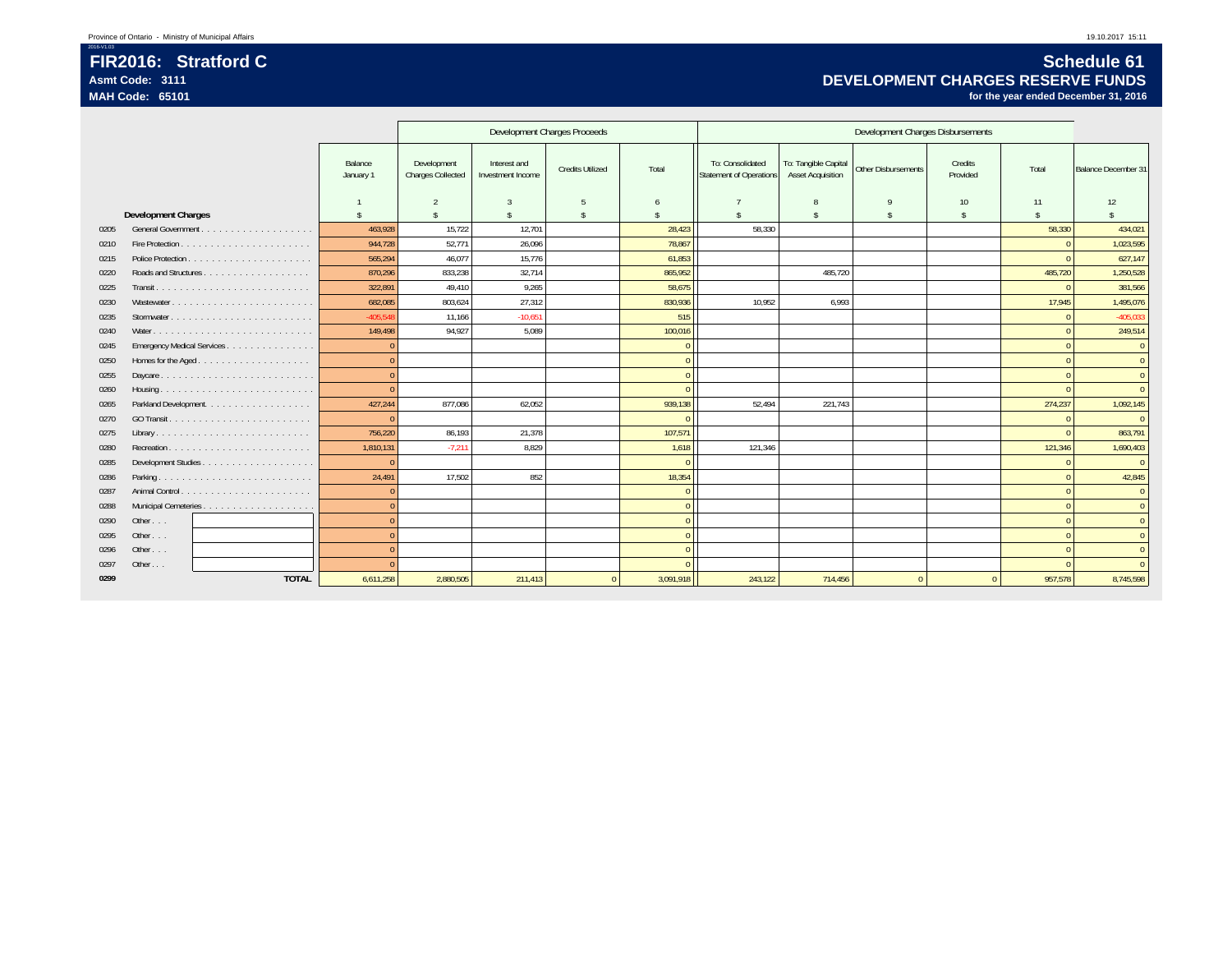**Asmt Code: 3111**

**MAH Code: 65101**

## **Schedule 61 DEVELOPMENT CHARGES RESERVE FUNDS**

|      |                            |                      |                                         |                                   | Development Charges Proceeds |                | Development Charges Disbursements           |                                                  |                     |                     |                    |                            |
|------|----------------------------|----------------------|-----------------------------------------|-----------------------------------|------------------------------|----------------|---------------------------------------------|--------------------------------------------------|---------------------|---------------------|--------------------|----------------------------|
|      |                            | Balance<br>January 1 | Development<br><b>Charges Collected</b> | Interest and<br>Investment Income | <b>Credits Utilized</b>      | Total          | To: Consolidated<br>Statement of Operations | To: Tangible Capital<br><b>Asset Acquisition</b> | Other Disbursements | Credits<br>Provided | Total              | <b>Balance December 31</b> |
|      |                            |                      |                                         | 3                                 |                              |                |                                             |                                                  |                     | 10 <sup>°</sup>     | 11                 | 12                         |
|      | <b>Development Charges</b> |                      |                                         | $\hat{\mathbf{r}}$                |                              |                |                                             |                                                  |                     |                     | $\mathbf{\hat{S}}$ |                            |
| 0205 |                            | 463.928              | 15,722                                  | 12.701                            |                              | 28,423         | 58.330                                      |                                                  |                     |                     | 58.330             | 434,021                    |
| 0210 |                            | 944.728              | 52,771                                  | 26,096                            |                              | 78.867         |                                             |                                                  |                     |                     | $\Omega$           | 1,023,595                  |
| 0215 |                            | 565,294              | 46,077                                  | 15,776                            |                              | 61,853         |                                             |                                                  |                     |                     |                    | 627,147                    |
| 0220 |                            | 870,296              | 833,238                                 | 32,714                            |                              | 865,952        |                                             | 485,720                                          |                     |                     | 485,720            | 1,250,528                  |
| 0225 |                            | 322,891              | 49,410                                  | 9,265                             |                              | 58,675         |                                             |                                                  |                     |                     | $\Omega$           | 381,566                    |
| 0230 |                            | 682,085              | 803,624                                 | 27,312                            |                              | 830,936        | 10,952                                      | 6,993                                            |                     |                     | 17,945             | 1,495,076                  |
| 0235 |                            | $-405,548$           | 11,166                                  | $-10,651$                         |                              | 515            |                                             |                                                  |                     |                     | $\Omega$           | $-405,033$                 |
| 0240 |                            | 149,498              | 94.927                                  | 5.089                             |                              | 100,016        |                                             |                                                  |                     |                     |                    | 249,514                    |
| 0245 | Emergency Medical Services | $\Omega$             |                                         |                                   |                              | $\Omega$       |                                             |                                                  |                     |                     |                    | $\overline{0}$             |
| 0250 | Homes for the Aged         | $\Omega$             |                                         |                                   |                              | $\overline{0}$ |                                             |                                                  |                     |                     | $\Omega$           | $\overline{0}$             |
| 0255 |                            |                      |                                         |                                   |                              | $\overline{0}$ |                                             |                                                  |                     |                     |                    | $\overline{0}$             |
| 0260 |                            | $\epsilon$           |                                         |                                   |                              | $\Omega$       |                                             |                                                  |                     |                     |                    | $\Omega$                   |
| 0265 | Parkland Development.      | 427.244              | 877.086                                 | 62.052                            |                              | 939,138        | 52.494                                      | 221.743                                          |                     |                     | 274,237            | 1,092,145                  |
| 0270 |                            | $\sqrt{ }$           |                                         |                                   |                              | $\Omega$       |                                             |                                                  |                     |                     | $\Omega$           | $\Omega$                   |
| 0275 |                            | 756,220              | 86,193                                  | 21.378                            |                              | 107,571        |                                             |                                                  |                     |                     |                    | 863,791                    |
| 0280 | Recreation                 | 1,810,131            | $-7,211$                                | 8,829                             |                              | 1,618          | 121,346                                     |                                                  |                     |                     | 121,346            | 1,690,403                  |
| 0285 |                            | $\Omega$             |                                         |                                   |                              | $\Omega$       |                                             |                                                  |                     |                     | $\Omega$           | $\overline{0}$             |
| 0286 |                            | 24,491               | 17,502                                  | 852                               |                              | 18,354         |                                             |                                                  |                     |                     |                    | 42,845                     |
| 0287 |                            | $\Omega$             |                                         |                                   |                              | $\overline{0}$ |                                             |                                                  |                     |                     | $\Omega$           | $\overline{0}$             |
| 0288 |                            | $\epsilon$           |                                         |                                   |                              | $\overline{0}$ |                                             |                                                  |                     |                     | $\Omega$           | $\overline{0}$             |
| 0290 | Other                      |                      |                                         |                                   |                              | $\overline{0}$ |                                             |                                                  |                     |                     | $\Omega$           | $\mathbf{0}$               |
| 0295 | Other                      | C                    |                                         |                                   |                              | $\overline{0}$ |                                             |                                                  |                     |                     | $\Omega$           | $\overline{0}$             |
| 0296 | Other $\ldots$             |                      |                                         |                                   |                              | $\mathbf{0}$   |                                             |                                                  |                     |                     | $\Omega$           | $\overline{0}$             |
| 0297 | Other                      |                      |                                         |                                   |                              | $\Omega$       |                                             |                                                  |                     |                     |                    | $\overline{0}$             |
| 0299 | <b>TOTAL</b>               | 6,611,258            | 2,880,505                               | 211,413                           | $\Omega$                     | 3,091,918      | 243,122                                     | 714,456                                          |                     | $\Omega$            | 957,578            | 8,745,598                  |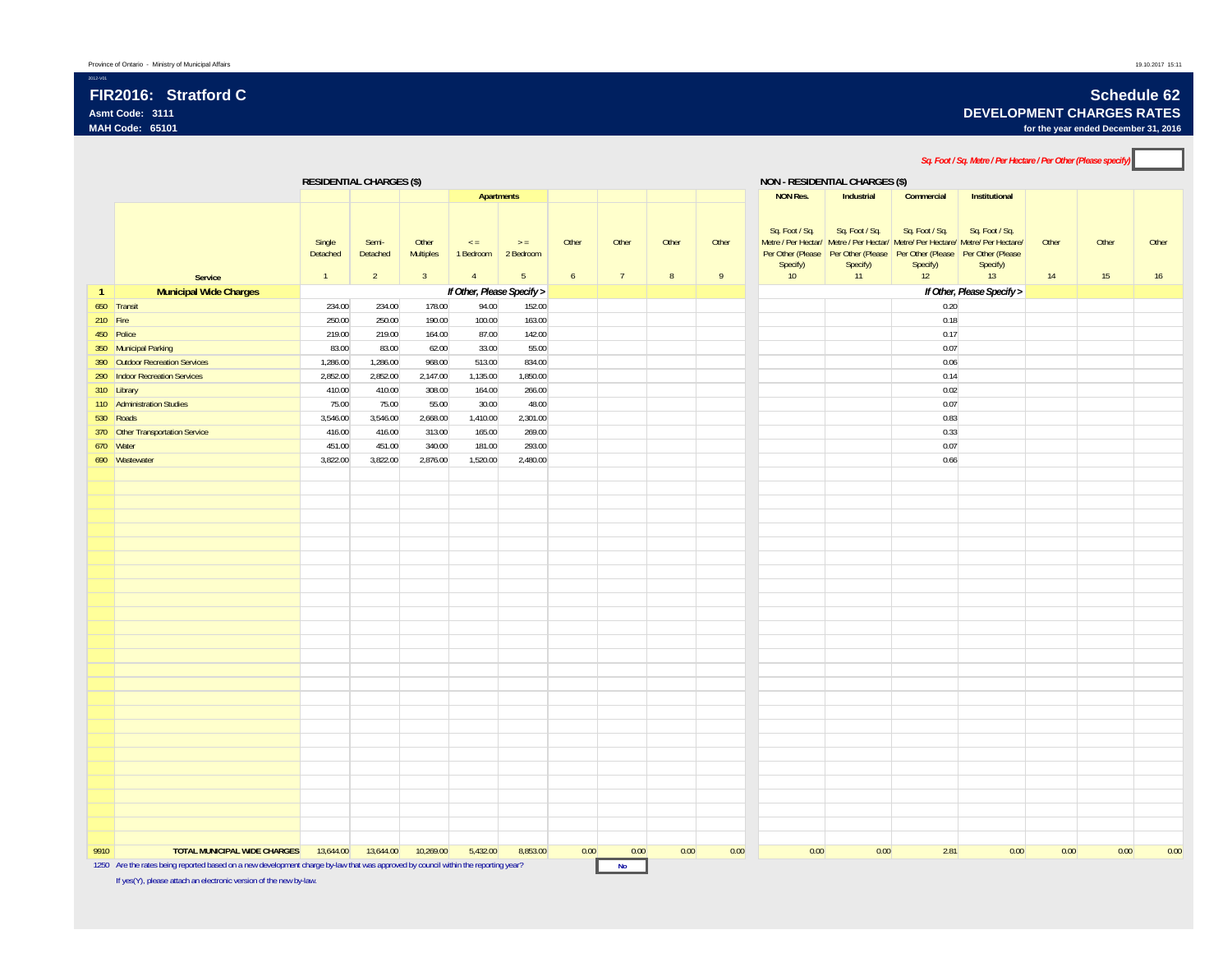2012-V01

 $\blacksquare$ 

٦

### **Schedule 62 DEVELOPMENT CHARGES RATES**

**for the year ended December 31, 2016**

|              |                                                                                                                                    |                                                                          |                                     |                                      |                                            |                                       |                          |                          |                           |            |                                    |                                                                                                                   |                                  | Sq. Foot / Sq. Metre / Per Hectare / Per Other (Please specify)                                                     |             |             |             |
|--------------|------------------------------------------------------------------------------------------------------------------------------------|--------------------------------------------------------------------------|-------------------------------------|--------------------------------------|--------------------------------------------|---------------------------------------|--------------------------|--------------------------|---------------------------|------------|------------------------------------|-------------------------------------------------------------------------------------------------------------------|----------------------------------|---------------------------------------------------------------------------------------------------------------------|-------------|-------------|-------------|
|              |                                                                                                                                    | <b>NON - RESIDENTIAL CHARGES (\$)</b><br><b>RESIDENTIAL CHARGES (\$)</b> |                                     |                                      |                                            |                                       |                          |                          |                           |            |                                    |                                                                                                                   |                                  |                                                                                                                     |             |             |             |
|              |                                                                                                                                    |                                                                          |                                     |                                      | <b>Apartments</b>                          |                                       |                          |                          |                           |            | <b>NON Res.</b>                    | <b>Industrial</b>                                                                                                 | Commercial                       | Institutional                                                                                                       |             |             |             |
|              | <b>Service</b>                                                                                                                     | Single<br>Detached<br>$\mathbf{1}$                                       | Semi-<br>Detached<br>$\overline{2}$ | Other<br>Multiples<br>$\overline{3}$ | $\epsilon=$<br>1 Bedroom<br>$\overline{4}$ | $>$ =<br>2 Bedroom<br>$5\phantom{.0}$ | Other<br>$6\overline{6}$ | Other<br>$7\overline{ }$ | Other<br>$\boldsymbol{8}$ | Other<br>9 | Sq. Foot / Sq.<br>Specify)<br>$10$ | Sq. Foot / Sq.<br>Per Other (Please   Per Other (Please   Per Other (Please   Per Other (Please<br>Specify)<br>11 | Sq. Foot / Sq.<br>Specify)<br>12 | Sq. Foot / Sq.<br>Metre / Per Hectar/ Metre / Per Hectar/ Metre/ Per Hectare/ Metre/ Per Hectare/<br>Specify)<br>13 | Other<br>14 | Other<br>15 | Other<br>16 |
| $\mathbf{1}$ | <b>Municipal Wide Charges</b>                                                                                                      |                                                                          |                                     |                                      | If Other, Please Specify >                 |                                       |                          |                          |                           |            |                                    |                                                                                                                   |                                  | If Other, Please Specify >                                                                                          |             |             |             |
|              | 650 Transit                                                                                                                        | 234.00                                                                   | 234.00                              | 178.00                               | 94.00                                      | 152.00                                |                          |                          |                           |            |                                    |                                                                                                                   | 0.20                             |                                                                                                                     |             |             |             |
| $210$ Fire   |                                                                                                                                    | 250.00                                                                   | 250.00                              | 190.00                               | 100.00                                     | 163.00                                |                          |                          |                           |            |                                    |                                                                                                                   | 0.18                             |                                                                                                                     |             |             |             |
|              | 450 Police                                                                                                                         | 219.00                                                                   | 219.00                              | 164.00                               | 87.00                                      | 142.00                                |                          |                          |                           |            |                                    |                                                                                                                   | 0.17                             |                                                                                                                     |             |             |             |
|              | 350 Municipal Parking                                                                                                              | 83.00                                                                    | 83.00                               | 62.00                                | 33.00                                      | 55.00                                 |                          |                          |                           |            |                                    |                                                                                                                   | 0.07                             |                                                                                                                     |             |             |             |
|              | 390 Outdoor Recreation Services                                                                                                    | 1,286.00                                                                 | 1,286.00                            | 968.00                               | 513.00                                     | 834.00                                |                          |                          |                           |            |                                    |                                                                                                                   | 0.06                             |                                                                                                                     |             |             |             |
|              | 290 Indoor Recreation Services                                                                                                     | 2,852.00                                                                 | 2,852.00                            | 2,147.00                             | 1,135.00                                   | 1,850.00                              |                          |                          |                           |            |                                    |                                                                                                                   | 0.14                             |                                                                                                                     |             |             |             |
|              | 310 Library                                                                                                                        | 410.00                                                                   | 410.00                              | 308.00                               | 164.00                                     | 266.00                                |                          |                          |                           |            |                                    |                                                                                                                   | 0.02                             |                                                                                                                     |             |             |             |
|              | 110 Administration Studies                                                                                                         | 75.00                                                                    | 75.00                               | 55.00                                | 30.00                                      | 48.00                                 |                          |                          |                           |            |                                    |                                                                                                                   | 0.07                             |                                                                                                                     |             |             |             |
|              | 530 Roads                                                                                                                          | 3,546.00                                                                 | 3,546.00                            | 2,668.00                             | 1,410.00                                   | 2,301.00                              |                          |                          |                           |            |                                    |                                                                                                                   | 0.83                             |                                                                                                                     |             |             |             |
|              | 370 Other Transportation Service                                                                                                   | 416.00                                                                   | 416.00                              | 313.00                               | 165.00                                     | 269.00                                |                          |                          |                           |            |                                    |                                                                                                                   | 0.33                             |                                                                                                                     |             |             |             |
|              | 670 Water                                                                                                                          | 451.00                                                                   | 451.00                              | 340.00                               | 181.00                                     | 293.00                                |                          |                          |                           |            |                                    |                                                                                                                   | 0.07                             |                                                                                                                     |             |             |             |
|              | 690 Wastewater                                                                                                                     | 3,822.00                                                                 | 3,822.00                            | 2,876.00                             | 1,520.00                                   | 2,480.00                              |                          |                          |                           |            |                                    |                                                                                                                   | 0.66                             |                                                                                                                     |             |             |             |
|              |                                                                                                                                    |                                                                          |                                     |                                      |                                            |                                       |                          |                          |                           |            |                                    |                                                                                                                   |                                  |                                                                                                                     |             |             |             |
|              |                                                                                                                                    |                                                                          |                                     |                                      |                                            |                                       |                          |                          |                           |            |                                    |                                                                                                                   |                                  |                                                                                                                     |             |             |             |
|              |                                                                                                                                    |                                                                          |                                     |                                      |                                            |                                       |                          |                          |                           |            |                                    |                                                                                                                   |                                  |                                                                                                                     |             |             |             |
|              |                                                                                                                                    |                                                                          |                                     |                                      |                                            |                                       |                          |                          |                           |            |                                    |                                                                                                                   |                                  |                                                                                                                     |             |             |             |
|              |                                                                                                                                    |                                                                          |                                     |                                      |                                            |                                       |                          |                          |                           |            |                                    |                                                                                                                   |                                  |                                                                                                                     |             |             |             |
|              |                                                                                                                                    |                                                                          |                                     |                                      |                                            |                                       |                          |                          |                           |            |                                    |                                                                                                                   |                                  |                                                                                                                     |             |             |             |
|              |                                                                                                                                    |                                                                          |                                     |                                      |                                            |                                       |                          |                          |                           |            |                                    |                                                                                                                   |                                  |                                                                                                                     |             |             |             |
|              |                                                                                                                                    |                                                                          |                                     |                                      |                                            |                                       |                          |                          |                           |            |                                    |                                                                                                                   |                                  |                                                                                                                     |             |             |             |
|              |                                                                                                                                    |                                                                          |                                     |                                      |                                            |                                       |                          |                          |                           |            |                                    |                                                                                                                   |                                  |                                                                                                                     |             |             |             |
|              |                                                                                                                                    |                                                                          |                                     |                                      |                                            |                                       |                          |                          |                           |            |                                    |                                                                                                                   |                                  |                                                                                                                     |             |             |             |
|              |                                                                                                                                    |                                                                          |                                     |                                      |                                            |                                       |                          |                          |                           |            |                                    |                                                                                                                   |                                  |                                                                                                                     |             |             |             |
|              |                                                                                                                                    |                                                                          |                                     |                                      |                                            |                                       |                          |                          |                           |            |                                    |                                                                                                                   |                                  |                                                                                                                     |             |             |             |
|              |                                                                                                                                    |                                                                          |                                     |                                      |                                            |                                       |                          |                          |                           |            |                                    |                                                                                                                   |                                  |                                                                                                                     |             |             |             |
|              |                                                                                                                                    |                                                                          |                                     |                                      |                                            |                                       |                          |                          |                           |            |                                    |                                                                                                                   |                                  |                                                                                                                     |             |             |             |
|              |                                                                                                                                    |                                                                          |                                     |                                      |                                            |                                       |                          |                          |                           |            |                                    |                                                                                                                   |                                  |                                                                                                                     |             |             |             |
|              |                                                                                                                                    |                                                                          |                                     |                                      |                                            |                                       |                          |                          |                           |            |                                    |                                                                                                                   |                                  |                                                                                                                     |             |             |             |
|              |                                                                                                                                    |                                                                          |                                     |                                      |                                            |                                       |                          |                          |                           |            |                                    |                                                                                                                   |                                  |                                                                                                                     |             |             |             |
|              |                                                                                                                                    |                                                                          |                                     |                                      |                                            |                                       |                          |                          |                           |            |                                    |                                                                                                                   |                                  |                                                                                                                     |             |             |             |
|              |                                                                                                                                    |                                                                          |                                     |                                      |                                            |                                       |                          |                          |                           |            |                                    |                                                                                                                   |                                  |                                                                                                                     |             |             |             |
|              |                                                                                                                                    |                                                                          |                                     |                                      |                                            |                                       |                          |                          |                           |            |                                    |                                                                                                                   |                                  |                                                                                                                     |             |             |             |
|              |                                                                                                                                    |                                                                          |                                     |                                      |                                            |                                       |                          |                          |                           |            |                                    |                                                                                                                   |                                  |                                                                                                                     |             |             |             |
|              |                                                                                                                                    |                                                                          |                                     |                                      |                                            |                                       |                          |                          |                           |            |                                    |                                                                                                                   |                                  |                                                                                                                     |             |             |             |
|              |                                                                                                                                    |                                                                          |                                     |                                      |                                            |                                       |                          |                          |                           |            |                                    |                                                                                                                   |                                  |                                                                                                                     |             |             |             |
|              |                                                                                                                                    |                                                                          |                                     |                                      |                                            |                                       |                          |                          |                           |            |                                    |                                                                                                                   |                                  |                                                                                                                     |             |             |             |
|              |                                                                                                                                    |                                                                          |                                     |                                      |                                            |                                       |                          |                          |                           |            |                                    |                                                                                                                   |                                  |                                                                                                                     |             |             |             |
|              |                                                                                                                                    |                                                                          |                                     |                                      |                                            |                                       |                          |                          |                           |            |                                    |                                                                                                                   |                                  |                                                                                                                     |             |             |             |
|              |                                                                                                                                    |                                                                          |                                     |                                      |                                            |                                       |                          |                          |                           |            |                                    |                                                                                                                   |                                  |                                                                                                                     |             |             |             |
| 9910         | <b>TOTAL MUNICIPAL WIDE CHARGES</b>                                                                                                | 13,644.00                                                                | 13,644.00                           | 10,269.00                            | 5,432.00                                   | 8,853.00                              | 0.00                     | 0.00                     | 0.00                      | 0.00       | 0.00                               | 0.00                                                                                                              | 2.81                             | 0.00                                                                                                                | 0.00        | 0.00        | 0.00        |
|              | 1250 Are the rates being reported based on a new development charge by-law that was approved by council within the reporting year? |                                                                          |                                     |                                      |                                            |                                       |                          | <b>No</b>                |                           |            |                                    |                                                                                                                   |                                  |                                                                                                                     |             |             |             |

If yes(Y), please attach an electronic version of the new by-law.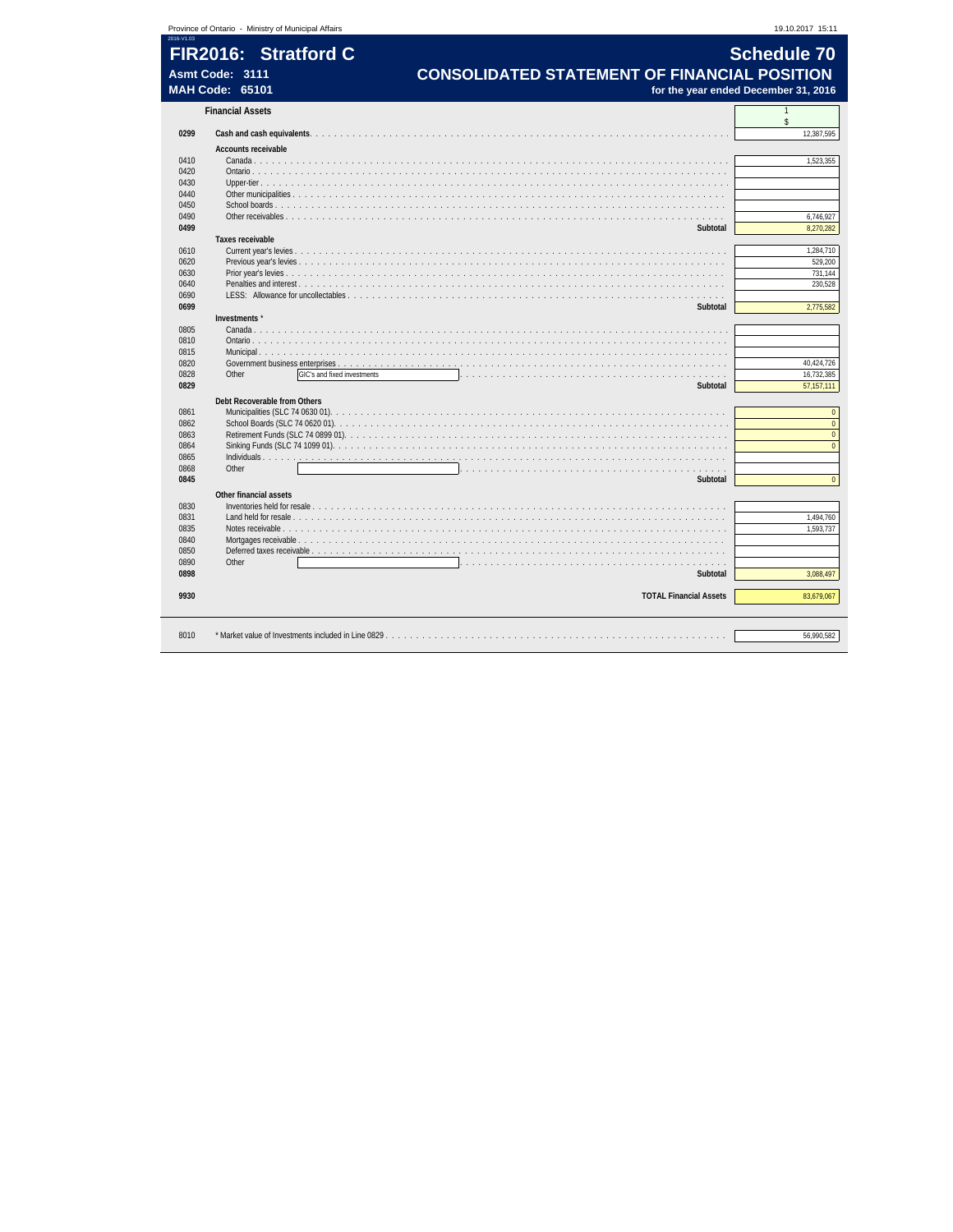|              | Province of Ontario - Ministry of Municipal Affairs                    | 19.10.2017 15:11                     |
|--------------|------------------------------------------------------------------------|--------------------------------------|
|              | FIR2016: Stratford C                                                   | <b>Schedule 70</b>                   |
|              |                                                                        |                                      |
|              | <b>CONSOLIDATED STATEMENT OF FINANCIAL POSITION</b><br>Asmt Code: 3111 |                                      |
|              | <b>MAH Code: 65101</b>                                                 | for the year ended December 31, 2016 |
|              | <b>Financial Assets</b>                                                | $\mathbf{1}$<br>\$                   |
| 0299         |                                                                        | 12.387.595                           |
|              | <b>Accounts receivable</b>                                             |                                      |
| 0410         | Canada                                                                 | 1,523,355                            |
| 0420         |                                                                        |                                      |
| 0430         |                                                                        |                                      |
| 0440<br>0450 |                                                                        |                                      |
| 0490         |                                                                        | 6,746,927                            |
| 0499         | Subtotal                                                               | 8,270,282                            |
|              | Taxes receivable                                                       |                                      |
| 0610         |                                                                        | 1.284.710                            |
| 0620         |                                                                        | 529.200                              |
| 0630         |                                                                        | 731,144                              |
| 0640         | <b>Penalties and interest</b> .                                        | 230,528                              |
| 0690         |                                                                        |                                      |
| 0699         | Subtotal                                                               | 2,775,582                            |
|              | Investments *                                                          |                                      |
| 0805         | Canada                                                                 |                                      |
| 0810<br>0815 |                                                                        |                                      |
| 0820         |                                                                        | 40,424,726                           |
| 0828         | Other<br>GIC's and fixed investments<br>.<br>.<br>and a state of       | 16,732,385                           |
| 0829         | Subtotal                                                               | 57, 157, 111                         |
|              | Debt Recoverable from Others                                           |                                      |
| 0861         |                                                                        | $\mathbf{0}$                         |
| 0862         |                                                                        | $\overline{0}$                       |
| 0863         |                                                                        | $\mathbf{0}$                         |
| 0864         |                                                                        | $\overline{0}$                       |
| 0865         |                                                                        |                                      |
| 0868         | Other                                                                  |                                      |
| 0845         | Subtotal                                                               | $\mathbf{0}$                         |
|              | Other financial assets                                                 |                                      |
| 0830         |                                                                        |                                      |
| 0831         |                                                                        | 1,494,760                            |
| 0835         |                                                                        | 1,593,737                            |
| 0840         |                                                                        |                                      |
| 0850         |                                                                        |                                      |
| 0890<br>0898 | Other<br>and and and and and a<br>.<br>Subtotal                        | 3,088,497                            |
|              |                                                                        |                                      |
| 9930         | <b>TOTAL Financial Assets</b>                                          | 83,679,067                           |
|              |                                                                        |                                      |
|              |                                                                        |                                      |
| 8010         |                                                                        | 56.990.582                           |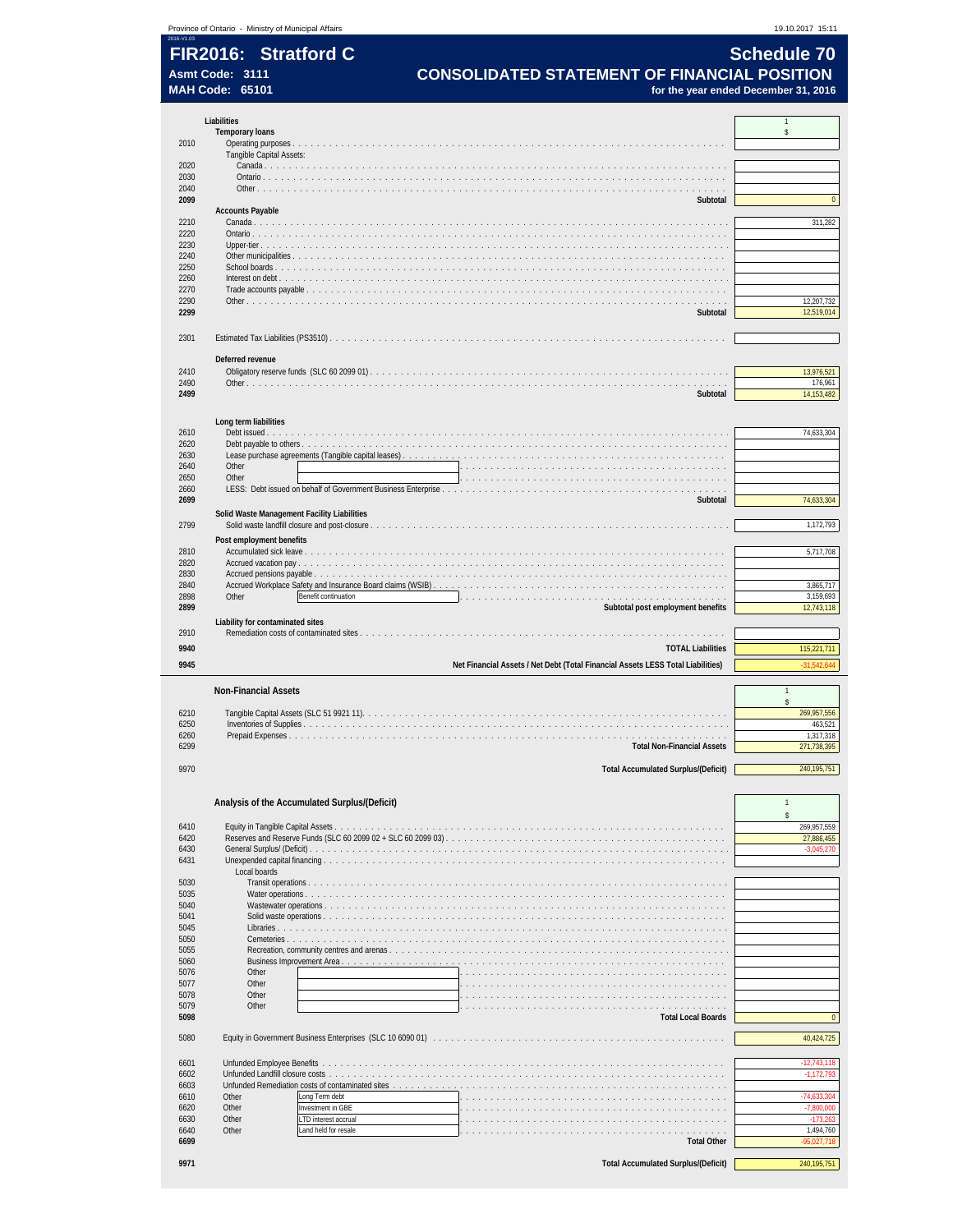|              | Province of Ontario - Ministry of Municipal Affairs |                                                                                 | 19.10.2017 15:11                     |
|--------------|-----------------------------------------------------|---------------------------------------------------------------------------------|--------------------------------------|
|              | FIR2016: Stratford C                                |                                                                                 | <b>Schedule 70</b>                   |
|              | Asmt Code: 3111<br><b>MAH Code: 65101</b>           | <b>CONSOLIDATED STATEMENT OF FINANCIAL POSITION</b>                             | for the year ended December 31, 2016 |
|              |                                                     |                                                                                 |                                      |
|              | Liabilities<br><b>Temporary loans</b>               |                                                                                 | $\mathbf{1}$<br>\$                   |
| 2010         |                                                     |                                                                                 |                                      |
| 2020         | Tangible Capital Assets:                            |                                                                                 |                                      |
| 2030<br>2040 |                                                     |                                                                                 |                                      |
| 2099         |                                                     | Subtotal                                                                        | $\bf{0}$                             |
| 2210         | <b>Accounts Payable</b>                             |                                                                                 | 311,282                              |
| 2220<br>2230 |                                                     |                                                                                 |                                      |
| 2240         |                                                     |                                                                                 |                                      |
| 2250<br>2260 |                                                     |                                                                                 |                                      |
| 2270<br>2290 |                                                     |                                                                                 | 12,207,732                           |
| 2299         |                                                     | Subtotal                                                                        | 12,519,014                           |
| 2301         |                                                     |                                                                                 |                                      |
|              |                                                     |                                                                                 |                                      |
| 2410         | Deferred revenue                                    |                                                                                 | 13,976,521                           |
| 2490         |                                                     |                                                                                 | 176,961                              |
| 2499         |                                                     | Subtotal                                                                        | 14,153,482                           |
|              | Long term liabilities                               |                                                                                 |                                      |
| 2610<br>2620 |                                                     |                                                                                 | 74,633,304                           |
| 2630<br>2640 | Other                                               |                                                                                 |                                      |
| 2650         | Other                                               |                                                                                 |                                      |
| 2660<br>2699 |                                                     | Subtotal                                                                        | 74,633,304                           |
|              |                                                     | Solid Waste Management Facility Liabilities                                     |                                      |
| 2799         | Post employment benefits                            |                                                                                 | 1,172,793                            |
| 2810         |                                                     |                                                                                 | 5,717,708                            |
| 2820<br>2830 |                                                     |                                                                                 |                                      |
| 2840         | Other                                               |                                                                                 | 3,865,717                            |
| 2898<br>2899 |                                                     | Benefit continuation<br>Subtotal post employment benefits                       | 3,159,693<br>12,743,118              |
| 2910         | Liability for contaminated sites                    |                                                                                 |                                      |
| 9940         |                                                     | <b>TOTAL Liabilities</b>                                                        | 115,221,711                          |
| 9945         |                                                     | Net Financial Assets / Net Debt (Total Financial Assets LESS Total Liabilities) | $-31,542,644$                        |
|              | <b>Non-Financial Assets</b>                         |                                                                                 | $\mathbf{1}$                         |
|              |                                                     |                                                                                 | $\hat{\mathbf{S}}$                   |
| 6210<br>6250 | Inventories of Supplies                             | and a series and a series and a                                                 | 269,957,556<br>463,521               |
| 6260<br>6299 |                                                     | <b>Total Non-Financial Assets</b>                                               | 1,317,318<br>271,738,395             |
|              |                                                     |                                                                                 |                                      |
| 9970         |                                                     | <b>Total Accumulated Surplus/(Deficit)</b>                                      | 240, 195, 751                        |
|              |                                                     | Analysis of the Accumulated Surplus/(Deficit)                                   | $\mathbf{1}$                         |
|              |                                                     |                                                                                 | $\hat{\mathbf{S}}$                   |
| 6410<br>6420 |                                                     |                                                                                 | 269,957,559<br>27,886,455            |
| 6430<br>6431 |                                                     |                                                                                 | $-3,045,270$                         |
|              | Local boards                                        |                                                                                 |                                      |
| 5030<br>5035 | Water operations                                    |                                                                                 |                                      |
| 5040         | Wastewater operations.                              |                                                                                 |                                      |
| 5041<br>5045 |                                                     |                                                                                 |                                      |
| 5050<br>5055 |                                                     |                                                                                 |                                      |
| 5060         |                                                     | Business Improvement Area.                                                      |                                      |
| 5076<br>5077 | Other<br>Other                                      |                                                                                 |                                      |
| 5078<br>5079 | Other<br>Other                                      |                                                                                 |                                      |
| 5098         |                                                     | <b>Total Local Boards</b>                                                       | $\bf{0}$                             |
| 5080         |                                                     |                                                                                 | 40,424,725                           |
| 6601         |                                                     |                                                                                 | -12,743,118                          |
| 6602         | Unfunded Landfill closure costs                     | .                                                                               | $-1,172,793$                         |
| 6603<br>6610 | Other                                               | Unfunded Remediation costs of contaminated sites<br>Long Term debt              | $-74,633,304$                        |
| 6620<br>6630 | Other<br>Other                                      | Investment in GBE                                                               | $-7,800,000$                         |
| 6640         | Other                                               | LTD interest accrual<br>Land held for resale                                    | $-173,263$<br>1,494,760              |
| 6699         |                                                     | <b>Total Other</b>                                                              | $-95,027,718$                        |
| 9971         |                                                     | <b>Total Accumulated Surplus/(Deficit)</b>                                      | 240, 195, 751                        |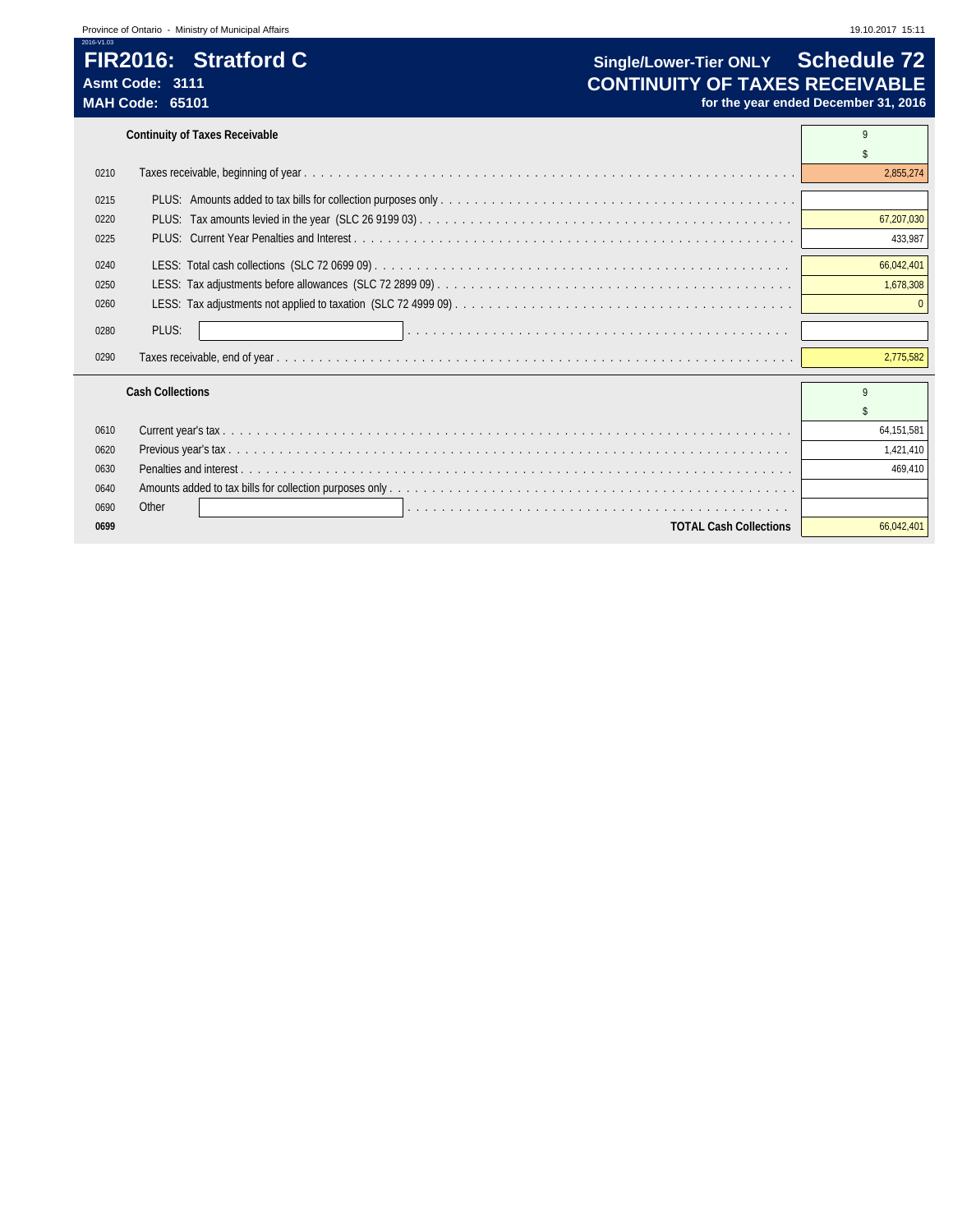# Asmt Code: 3111<br>MAH Code: 65101<br>MAH Code: 65101 *CONTINUITY OF TAXES RECEIVABLE*

```
Continuity of Taxes Receivable 9
```

| 0210 |                               | 2,855,274    |
|------|-------------------------------|--------------|
| 0215 |                               |              |
| 0220 |                               | 67,207,030   |
| 0225 |                               | 433,987      |
| 0240 |                               | 66,042,401   |
| 0250 |                               | 1,678,308    |
| 0260 |                               |              |
| 0280 | PLUS:                         |              |
| 0290 |                               | 2,775,582    |
|      | <b>Cash Collections</b>       | Q            |
|      |                               |              |
| 0610 |                               | 64, 151, 581 |
| 0620 |                               | 1,421,410    |
| 0630 |                               | 469,410      |
| 0640 |                               |              |
| 0690 | Other                         |              |
| 0699 | <b>TOTAL Cash Collections</b> | 66.042.401   |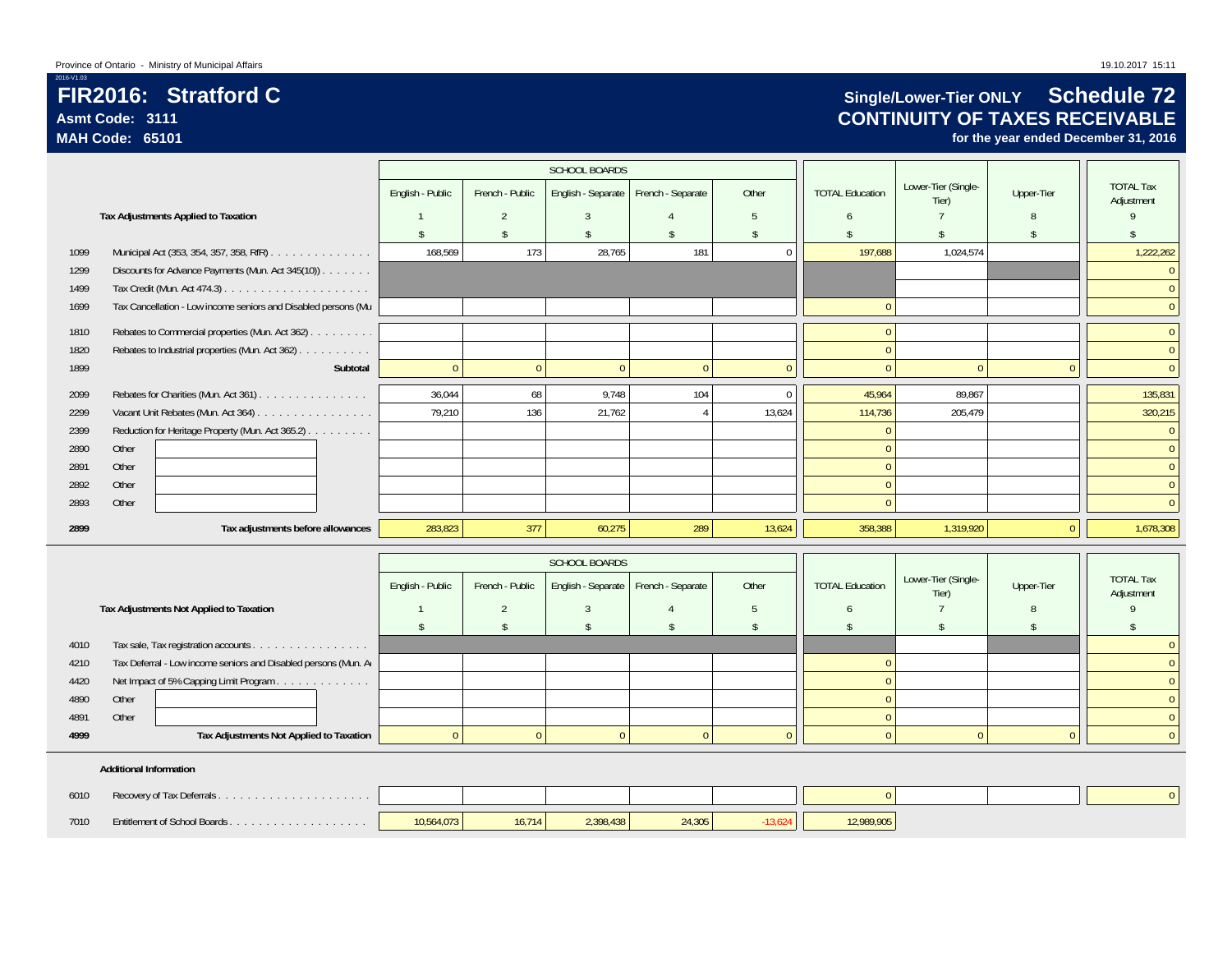## **FIR2016: Stratford CAsmt Code: 3111**

**MAH Code: 65101**

2016-V1.03

# **Single/Lower-Tier ONLY Schedule 72 CONTINUITY OF TAXES RECEIVABLE**

|      |                                                                |                    |                    | <b>SCHOOL BOARDS</b> |                    |                    |                        |                              |                    |                                |
|------|----------------------------------------------------------------|--------------------|--------------------|----------------------|--------------------|--------------------|------------------------|------------------------------|--------------------|--------------------------------|
|      |                                                                | English - Public   | French - Public    | English - Separate   | French - Separate  | Other              | <b>TOTAL Education</b> | Lower-Tier (Single-<br>Tier) | Upper-Tier         | <b>TOTAL Tax</b><br>Adjustment |
|      | Tax Adjustments Applied to Taxation                            |                    | 2                  | $\overline{3}$       | $\Delta$           | 5                  | 6                      | $\overline{7}$               | 8                  | 9                              |
|      |                                                                | $\mathsf{\$}$      | $\sqrt{2}$         | $\sqrt[6]{}$         | $\mathsf{\$}$      | \$                 | $\sqrt{2}$             | \$                           | \$                 | $\mathbf{\hat{S}}$             |
| 1099 | Municipal Act (353, 354, 357, 358, RfR)                        | 168,569            | 173                | 28,765               | 181                | $\mathbf{0}$       | 197,688                | 1,024,574                    |                    | 1,222,262                      |
| 1299 | Discounts for Advance Payments (Mun. Act 345(10))              |                    |                    |                      |                    |                    |                        |                              |                    | $\overline{0}$                 |
| 1499 |                                                                |                    |                    |                      |                    |                    |                        |                              |                    | $\mathbf{0}$                   |
| 1699 | Tax Cancellation - Low income seniors and Disabled persons (Mu |                    |                    |                      |                    |                    | $\mathbf{0}$           |                              |                    | $\mathbf{0}$                   |
| 1810 | Rebates to Commercial properties (Mun. Act 362)                |                    |                    |                      |                    |                    | $\overline{0}$         |                              |                    | $\overline{0}$                 |
| 1820 | Rebates to Industrial properties (Mun. Act 362)                |                    |                    |                      |                    |                    | $\mathbf{0}$           |                              |                    | $\overline{0}$                 |
| 1899 | Subtotal                                                       | $\mathbf{0}$       | $\mathbf{0}$       | $\overline{0}$       | $\mathbf{0}$       | $\overline{0}$     | $\mathbf{0}$           | $\overline{0}$               | $\pmb{0}$          | $\mathbf{0}$                   |
| 2099 | Rebates for Charities (Mun. Act 361)                           | 36,044             | 68                 | 9,748                | 104                | $\mathbf 0$        | 45,964                 | 89,867                       |                    | 135,831                        |
| 2299 | Vacant Unit Rebates (Mun. Act 364)                             | 79,210             | 136                | 21,762               | $\overline{4}$     | 13,624             | 114,736                | 205,479                      |                    | 320,215                        |
| 2399 | Reduction for Heritage Property (Mun. Act 365.2)               |                    |                    |                      |                    |                    | $\Omega$               |                              |                    | $\overline{0}$                 |
| 2890 | Other                                                          |                    |                    |                      |                    |                    | $\mathbf{0}$           |                              |                    | $\overline{0}$                 |
| 2891 | Other                                                          |                    |                    |                      |                    |                    | $\mathbf{0}$           |                              |                    | $\overline{0}$                 |
| 2892 | Other                                                          |                    |                    |                      |                    |                    | $\mathbf{0}$           |                              |                    | $\overline{0}$                 |
| 2893 | Other                                                          |                    |                    |                      |                    |                    | $\Omega$               |                              |                    | $\overline{0}$                 |
| 2899 | Tax adjustments before allowances                              | 283,823            | 377                | 60,275               | 289                | 13,624             | 358,388                | 1,319,920                    | $\mathbf{0}$       | 1,678,308                      |
|      |                                                                |                    |                    | <b>SCHOOL BOARDS</b> |                    |                    |                        |                              |                    |                                |
|      |                                                                | English - Public   | French - Public    | English - Separate   | French - Separate  | Other              | <b>TOTAL Education</b> | Lower-Tier (Single-<br>Tier) | Upper-Tier         | <b>TOTAL Tax</b><br>Adjustment |
|      | Tax Adjustments Not Applied to Taxation                        |                    | 2                  | $\overline{3}$       | $\overline{4}$     | 5                  | 6                      | $\overline{7}$               | 8                  | 9                              |
|      |                                                                | $\mathbf{\hat{S}}$ | $\mathbf{\hat{S}}$ | $\sqrt{2}$           | $\mathbf{\hat{S}}$ | $\mathbf{\hat{S}}$ | $\sqrt{2}$             | \$                           | $\mathbf{\hat{S}}$ | $\mathbf{\hat{S}}$             |
| 4010 | Tax sale, Tax registration accounts                            |                    |                    |                      |                    |                    |                        |                              |                    | $\Omega$                       |
| 4210 | Tax Deferral - Low income seniors and Disabled persons (Mun. A |                    |                    |                      |                    |                    | $\overline{0}$         |                              |                    | $\Omega$                       |
| 4420 | Net Impact of 5% Capping Limit Program                         |                    |                    |                      |                    |                    | $\mathbf{0}$           |                              |                    | $\overline{0}$                 |
| 4890 | Other                                                          |                    |                    |                      |                    |                    | $\Omega$               |                              |                    | $\overline{0}$                 |
| 4891 | Other                                                          |                    |                    |                      |                    |                    | $\Omega$               |                              |                    | $\overline{0}$                 |
| 4999 | Tax Adjustments Not Applied to Taxation                        | $\mathbf{0}$       | $\mathbf{0}$       | $\overline{0}$       | $\mathbf{0}$       | $\theta$           | $\Omega$               | $\overline{0}$               | $\mathbf{0}$       | $\mathbf{0}$                   |
|      | <b>Additional Information</b>                                  |                    |                    |                      |                    |                    |                        |                              |                    |                                |

| 6010 |            |        |           |        |         |  |  |
|------|------------|--------|-----------|--------|---------|--|--|
| 7010 | 10.564.073 | 16.714 | 2.398.438 | 24,305 | 989.905 |  |  |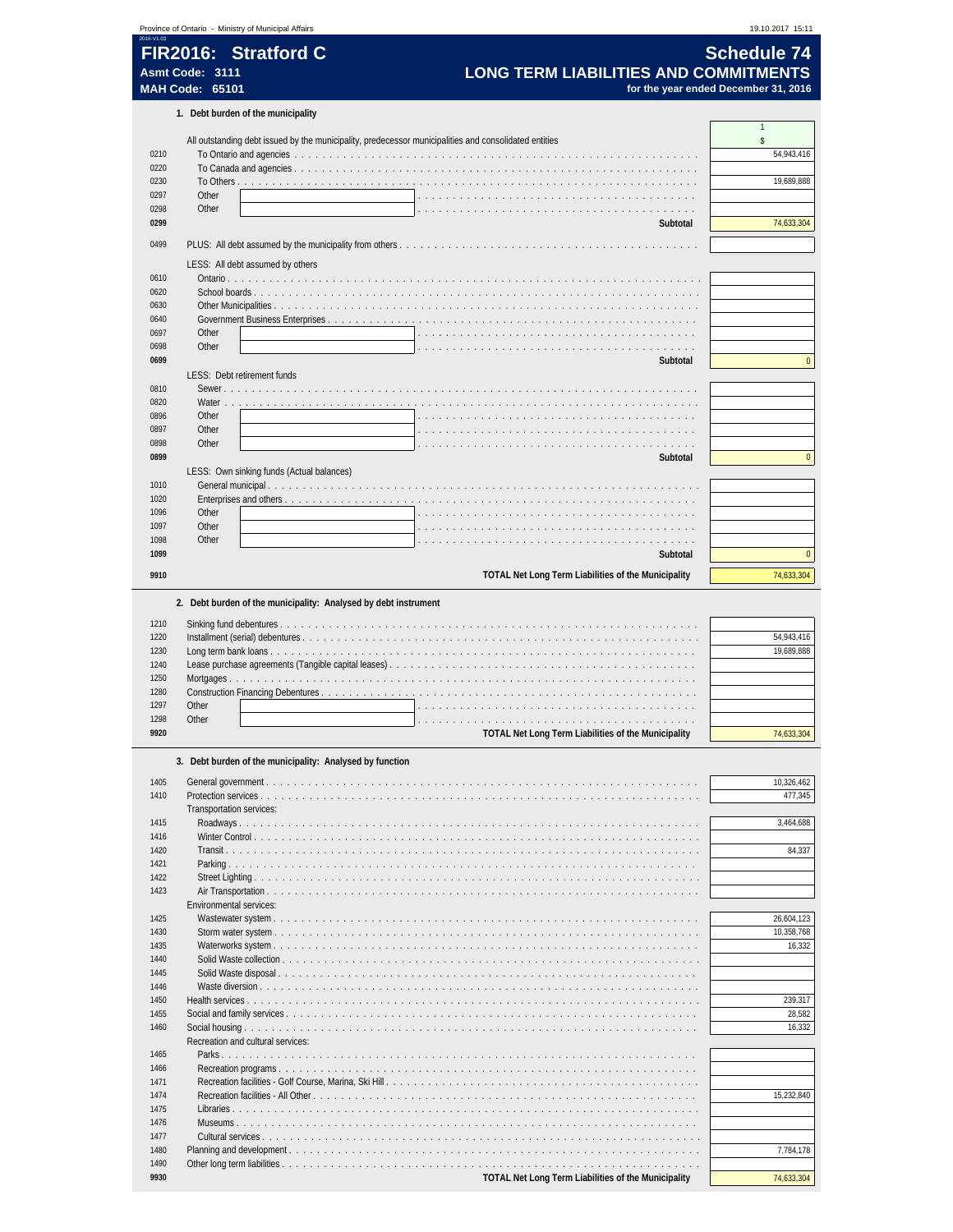| FIR2016: Stratford C<br><b>LONG TERM LIABILITIES AND COMMITMENTS</b><br>Asmt Code: 3111<br><b>MAH Code: 65101</b><br>for the year ended December 31, 2016<br>1. Debt burden of the municipality<br>$\mathbf{1}$<br>\$<br>All outstanding debt issued by the municipality, predecessor municipalities and consolidated entities<br>0210<br>0220<br>0230<br>0297<br>Other<br>Other<br>0298<br>0299<br>74,633,304<br>Subtotal<br>0499<br>LESS: All debt assumed by others<br>0610<br>0620<br>0630<br>0640<br>Government Business Enterprises<br>0697<br>Other<br>0698<br>Other<br>0699<br>Subtotal<br>LESS: Debt retirement funds<br>0810<br>Sewer.<br>0820<br>Water<br>0896<br>Other<br>0897<br>Other<br>0898<br>Other<br>0899<br>Subtotal<br>LESS: Own sinking funds (Actual balances)<br>1010<br>1020<br>1096<br>Other<br>Other<br>1097<br>.<br>1098<br>Other<br>.<br>.<br>1099<br>Subtotal<br>9910<br>TOTAL Net Long Term Liabilities of the Municipality<br>2. Debt burden of the municipality: Analysed by debt instrument<br>1210<br>1220<br>54,943,416<br>1230<br>1240<br>1250<br>1280<br>1297<br>Other<br>1298<br>Other<br>TOTAL Net Long Term Liabilities of the Municipality<br>9920<br>74,633,304<br>3. Debt burden of the municipality: Analysed by function<br>1405<br>10,326,462<br>1410<br>Protection services<br>477,345<br>Transportation services:<br>1415<br>3,464,688<br>1416<br>1420<br>1421<br>1422<br>1423<br>Environmental services:<br>1425<br>26,604,123<br>10,358,768<br>1430<br>1435<br>16,332<br>1440<br>1445<br>1446<br>1450<br>239,317<br>1455<br>28,582<br>1460<br>16,332<br>Recreation and cultural services:<br>1465<br>1466<br>1471<br>1474<br>15,232,840<br>1475<br>1476<br>1477<br>1480 |              | Province of Ontario - Ministry of Municipal Affairs | 19.10.2017 15:11   |
|----------------------------------------------------------------------------------------------------------------------------------------------------------------------------------------------------------------------------------------------------------------------------------------------------------------------------------------------------------------------------------------------------------------------------------------------------------------------------------------------------------------------------------------------------------------------------------------------------------------------------------------------------------------------------------------------------------------------------------------------------------------------------------------------------------------------------------------------------------------------------------------------------------------------------------------------------------------------------------------------------------------------------------------------------------------------------------------------------------------------------------------------------------------------------------------------------------------------------------------------------------------------------------------------------------------------------------------------------------------------------------------------------------------------------------------------------------------------------------------------------------------------------------------------------------------------------------------------------------------------------------------------------------------------------------------------------------------------------|--------------|-----------------------------------------------------|--------------------|
|                                                                                                                                                                                                                                                                                                                                                                                                                                                                                                                                                                                                                                                                                                                                                                                                                                                                                                                                                                                                                                                                                                                                                                                                                                                                                                                                                                                                                                                                                                                                                                                                                                                                                                                            |              |                                                     | <b>Schedule 74</b> |
|                                                                                                                                                                                                                                                                                                                                                                                                                                                                                                                                                                                                                                                                                                                                                                                                                                                                                                                                                                                                                                                                                                                                                                                                                                                                                                                                                                                                                                                                                                                                                                                                                                                                                                                            |              |                                                     |                    |
|                                                                                                                                                                                                                                                                                                                                                                                                                                                                                                                                                                                                                                                                                                                                                                                                                                                                                                                                                                                                                                                                                                                                                                                                                                                                                                                                                                                                                                                                                                                                                                                                                                                                                                                            |              |                                                     |                    |
|                                                                                                                                                                                                                                                                                                                                                                                                                                                                                                                                                                                                                                                                                                                                                                                                                                                                                                                                                                                                                                                                                                                                                                                                                                                                                                                                                                                                                                                                                                                                                                                                                                                                                                                            |              |                                                     |                    |
|                                                                                                                                                                                                                                                                                                                                                                                                                                                                                                                                                                                                                                                                                                                                                                                                                                                                                                                                                                                                                                                                                                                                                                                                                                                                                                                                                                                                                                                                                                                                                                                                                                                                                                                            |              |                                                     |                    |
|                                                                                                                                                                                                                                                                                                                                                                                                                                                                                                                                                                                                                                                                                                                                                                                                                                                                                                                                                                                                                                                                                                                                                                                                                                                                                                                                                                                                                                                                                                                                                                                                                                                                                                                            |              |                                                     |                    |
|                                                                                                                                                                                                                                                                                                                                                                                                                                                                                                                                                                                                                                                                                                                                                                                                                                                                                                                                                                                                                                                                                                                                                                                                                                                                                                                                                                                                                                                                                                                                                                                                                                                                                                                            |              |                                                     | 54,943,416         |
|                                                                                                                                                                                                                                                                                                                                                                                                                                                                                                                                                                                                                                                                                                                                                                                                                                                                                                                                                                                                                                                                                                                                                                                                                                                                                                                                                                                                                                                                                                                                                                                                                                                                                                                            |              |                                                     | 19.689.888         |
|                                                                                                                                                                                                                                                                                                                                                                                                                                                                                                                                                                                                                                                                                                                                                                                                                                                                                                                                                                                                                                                                                                                                                                                                                                                                                                                                                                                                                                                                                                                                                                                                                                                                                                                            |              |                                                     |                    |
|                                                                                                                                                                                                                                                                                                                                                                                                                                                                                                                                                                                                                                                                                                                                                                                                                                                                                                                                                                                                                                                                                                                                                                                                                                                                                                                                                                                                                                                                                                                                                                                                                                                                                                                            |              |                                                     |                    |
|                                                                                                                                                                                                                                                                                                                                                                                                                                                                                                                                                                                                                                                                                                                                                                                                                                                                                                                                                                                                                                                                                                                                                                                                                                                                                                                                                                                                                                                                                                                                                                                                                                                                                                                            |              |                                                     |                    |
|                                                                                                                                                                                                                                                                                                                                                                                                                                                                                                                                                                                                                                                                                                                                                                                                                                                                                                                                                                                                                                                                                                                                                                                                                                                                                                                                                                                                                                                                                                                                                                                                                                                                                                                            |              |                                                     |                    |
|                                                                                                                                                                                                                                                                                                                                                                                                                                                                                                                                                                                                                                                                                                                                                                                                                                                                                                                                                                                                                                                                                                                                                                                                                                                                                                                                                                                                                                                                                                                                                                                                                                                                                                                            |              |                                                     |                    |
|                                                                                                                                                                                                                                                                                                                                                                                                                                                                                                                                                                                                                                                                                                                                                                                                                                                                                                                                                                                                                                                                                                                                                                                                                                                                                                                                                                                                                                                                                                                                                                                                                                                                                                                            |              |                                                     |                    |
|                                                                                                                                                                                                                                                                                                                                                                                                                                                                                                                                                                                                                                                                                                                                                                                                                                                                                                                                                                                                                                                                                                                                                                                                                                                                                                                                                                                                                                                                                                                                                                                                                                                                                                                            |              |                                                     |                    |
|                                                                                                                                                                                                                                                                                                                                                                                                                                                                                                                                                                                                                                                                                                                                                                                                                                                                                                                                                                                                                                                                                                                                                                                                                                                                                                                                                                                                                                                                                                                                                                                                                                                                                                                            |              |                                                     |                    |
|                                                                                                                                                                                                                                                                                                                                                                                                                                                                                                                                                                                                                                                                                                                                                                                                                                                                                                                                                                                                                                                                                                                                                                                                                                                                                                                                                                                                                                                                                                                                                                                                                                                                                                                            |              |                                                     |                    |
|                                                                                                                                                                                                                                                                                                                                                                                                                                                                                                                                                                                                                                                                                                                                                                                                                                                                                                                                                                                                                                                                                                                                                                                                                                                                                                                                                                                                                                                                                                                                                                                                                                                                                                                            |              |                                                     |                    |
|                                                                                                                                                                                                                                                                                                                                                                                                                                                                                                                                                                                                                                                                                                                                                                                                                                                                                                                                                                                                                                                                                                                                                                                                                                                                                                                                                                                                                                                                                                                                                                                                                                                                                                                            |              |                                                     |                    |
|                                                                                                                                                                                                                                                                                                                                                                                                                                                                                                                                                                                                                                                                                                                                                                                                                                                                                                                                                                                                                                                                                                                                                                                                                                                                                                                                                                                                                                                                                                                                                                                                                                                                                                                            |              |                                                     |                    |
|                                                                                                                                                                                                                                                                                                                                                                                                                                                                                                                                                                                                                                                                                                                                                                                                                                                                                                                                                                                                                                                                                                                                                                                                                                                                                                                                                                                                                                                                                                                                                                                                                                                                                                                            |              |                                                     |                    |
|                                                                                                                                                                                                                                                                                                                                                                                                                                                                                                                                                                                                                                                                                                                                                                                                                                                                                                                                                                                                                                                                                                                                                                                                                                                                                                                                                                                                                                                                                                                                                                                                                                                                                                                            |              |                                                     |                    |
|                                                                                                                                                                                                                                                                                                                                                                                                                                                                                                                                                                                                                                                                                                                                                                                                                                                                                                                                                                                                                                                                                                                                                                                                                                                                                                                                                                                                                                                                                                                                                                                                                                                                                                                            |              |                                                     |                    |
|                                                                                                                                                                                                                                                                                                                                                                                                                                                                                                                                                                                                                                                                                                                                                                                                                                                                                                                                                                                                                                                                                                                                                                                                                                                                                                                                                                                                                                                                                                                                                                                                                                                                                                                            |              |                                                     |                    |
|                                                                                                                                                                                                                                                                                                                                                                                                                                                                                                                                                                                                                                                                                                                                                                                                                                                                                                                                                                                                                                                                                                                                                                                                                                                                                                                                                                                                                                                                                                                                                                                                                                                                                                                            |              |                                                     |                    |
|                                                                                                                                                                                                                                                                                                                                                                                                                                                                                                                                                                                                                                                                                                                                                                                                                                                                                                                                                                                                                                                                                                                                                                                                                                                                                                                                                                                                                                                                                                                                                                                                                                                                                                                            |              |                                                     |                    |
|                                                                                                                                                                                                                                                                                                                                                                                                                                                                                                                                                                                                                                                                                                                                                                                                                                                                                                                                                                                                                                                                                                                                                                                                                                                                                                                                                                                                                                                                                                                                                                                                                                                                                                                            |              |                                                     |                    |
|                                                                                                                                                                                                                                                                                                                                                                                                                                                                                                                                                                                                                                                                                                                                                                                                                                                                                                                                                                                                                                                                                                                                                                                                                                                                                                                                                                                                                                                                                                                                                                                                                                                                                                                            |              |                                                     |                    |
|                                                                                                                                                                                                                                                                                                                                                                                                                                                                                                                                                                                                                                                                                                                                                                                                                                                                                                                                                                                                                                                                                                                                                                                                                                                                                                                                                                                                                                                                                                                                                                                                                                                                                                                            |              |                                                     |                    |
|                                                                                                                                                                                                                                                                                                                                                                                                                                                                                                                                                                                                                                                                                                                                                                                                                                                                                                                                                                                                                                                                                                                                                                                                                                                                                                                                                                                                                                                                                                                                                                                                                                                                                                                            |              |                                                     |                    |
|                                                                                                                                                                                                                                                                                                                                                                                                                                                                                                                                                                                                                                                                                                                                                                                                                                                                                                                                                                                                                                                                                                                                                                                                                                                                                                                                                                                                                                                                                                                                                                                                                                                                                                                            |              |                                                     | 74,633,304         |
|                                                                                                                                                                                                                                                                                                                                                                                                                                                                                                                                                                                                                                                                                                                                                                                                                                                                                                                                                                                                                                                                                                                                                                                                                                                                                                                                                                                                                                                                                                                                                                                                                                                                                                                            |              |                                                     | 19,689,888         |
|                                                                                                                                                                                                                                                                                                                                                                                                                                                                                                                                                                                                                                                                                                                                                                                                                                                                                                                                                                                                                                                                                                                                                                                                                                                                                                                                                                                                                                                                                                                                                                                                                                                                                                                            |              |                                                     |                    |
|                                                                                                                                                                                                                                                                                                                                                                                                                                                                                                                                                                                                                                                                                                                                                                                                                                                                                                                                                                                                                                                                                                                                                                                                                                                                                                                                                                                                                                                                                                                                                                                                                                                                                                                            |              |                                                     |                    |
|                                                                                                                                                                                                                                                                                                                                                                                                                                                                                                                                                                                                                                                                                                                                                                                                                                                                                                                                                                                                                                                                                                                                                                                                                                                                                                                                                                                                                                                                                                                                                                                                                                                                                                                            |              |                                                     |                    |
|                                                                                                                                                                                                                                                                                                                                                                                                                                                                                                                                                                                                                                                                                                                                                                                                                                                                                                                                                                                                                                                                                                                                                                                                                                                                                                                                                                                                                                                                                                                                                                                                                                                                                                                            |              |                                                     |                    |
|                                                                                                                                                                                                                                                                                                                                                                                                                                                                                                                                                                                                                                                                                                                                                                                                                                                                                                                                                                                                                                                                                                                                                                                                                                                                                                                                                                                                                                                                                                                                                                                                                                                                                                                            |              |                                                     |                    |
|                                                                                                                                                                                                                                                                                                                                                                                                                                                                                                                                                                                                                                                                                                                                                                                                                                                                                                                                                                                                                                                                                                                                                                                                                                                                                                                                                                                                                                                                                                                                                                                                                                                                                                                            |              |                                                     |                    |
|                                                                                                                                                                                                                                                                                                                                                                                                                                                                                                                                                                                                                                                                                                                                                                                                                                                                                                                                                                                                                                                                                                                                                                                                                                                                                                                                                                                                                                                                                                                                                                                                                                                                                                                            |              |                                                     |                    |
|                                                                                                                                                                                                                                                                                                                                                                                                                                                                                                                                                                                                                                                                                                                                                                                                                                                                                                                                                                                                                                                                                                                                                                                                                                                                                                                                                                                                                                                                                                                                                                                                                                                                                                                            |              |                                                     |                    |
|                                                                                                                                                                                                                                                                                                                                                                                                                                                                                                                                                                                                                                                                                                                                                                                                                                                                                                                                                                                                                                                                                                                                                                                                                                                                                                                                                                                                                                                                                                                                                                                                                                                                                                                            |              |                                                     |                    |
|                                                                                                                                                                                                                                                                                                                                                                                                                                                                                                                                                                                                                                                                                                                                                                                                                                                                                                                                                                                                                                                                                                                                                                                                                                                                                                                                                                                                                                                                                                                                                                                                                                                                                                                            |              |                                                     | 84,337             |
|                                                                                                                                                                                                                                                                                                                                                                                                                                                                                                                                                                                                                                                                                                                                                                                                                                                                                                                                                                                                                                                                                                                                                                                                                                                                                                                                                                                                                                                                                                                                                                                                                                                                                                                            |              |                                                     |                    |
|                                                                                                                                                                                                                                                                                                                                                                                                                                                                                                                                                                                                                                                                                                                                                                                                                                                                                                                                                                                                                                                                                                                                                                                                                                                                                                                                                                                                                                                                                                                                                                                                                                                                                                                            |              |                                                     |                    |
|                                                                                                                                                                                                                                                                                                                                                                                                                                                                                                                                                                                                                                                                                                                                                                                                                                                                                                                                                                                                                                                                                                                                                                                                                                                                                                                                                                                                                                                                                                                                                                                                                                                                                                                            |              |                                                     |                    |
|                                                                                                                                                                                                                                                                                                                                                                                                                                                                                                                                                                                                                                                                                                                                                                                                                                                                                                                                                                                                                                                                                                                                                                                                                                                                                                                                                                                                                                                                                                                                                                                                                                                                                                                            |              |                                                     |                    |
|                                                                                                                                                                                                                                                                                                                                                                                                                                                                                                                                                                                                                                                                                                                                                                                                                                                                                                                                                                                                                                                                                                                                                                                                                                                                                                                                                                                                                                                                                                                                                                                                                                                                                                                            |              |                                                     |                    |
|                                                                                                                                                                                                                                                                                                                                                                                                                                                                                                                                                                                                                                                                                                                                                                                                                                                                                                                                                                                                                                                                                                                                                                                                                                                                                                                                                                                                                                                                                                                                                                                                                                                                                                                            |              |                                                     |                    |
|                                                                                                                                                                                                                                                                                                                                                                                                                                                                                                                                                                                                                                                                                                                                                                                                                                                                                                                                                                                                                                                                                                                                                                                                                                                                                                                                                                                                                                                                                                                                                                                                                                                                                                                            |              |                                                     |                    |
|                                                                                                                                                                                                                                                                                                                                                                                                                                                                                                                                                                                                                                                                                                                                                                                                                                                                                                                                                                                                                                                                                                                                                                                                                                                                                                                                                                                                                                                                                                                                                                                                                                                                                                                            |              |                                                     |                    |
|                                                                                                                                                                                                                                                                                                                                                                                                                                                                                                                                                                                                                                                                                                                                                                                                                                                                                                                                                                                                                                                                                                                                                                                                                                                                                                                                                                                                                                                                                                                                                                                                                                                                                                                            |              |                                                     |                    |
|                                                                                                                                                                                                                                                                                                                                                                                                                                                                                                                                                                                                                                                                                                                                                                                                                                                                                                                                                                                                                                                                                                                                                                                                                                                                                                                                                                                                                                                                                                                                                                                                                                                                                                                            |              |                                                     |                    |
|                                                                                                                                                                                                                                                                                                                                                                                                                                                                                                                                                                                                                                                                                                                                                                                                                                                                                                                                                                                                                                                                                                                                                                                                                                                                                                                                                                                                                                                                                                                                                                                                                                                                                                                            |              |                                                     |                    |
|                                                                                                                                                                                                                                                                                                                                                                                                                                                                                                                                                                                                                                                                                                                                                                                                                                                                                                                                                                                                                                                                                                                                                                                                                                                                                                                                                                                                                                                                                                                                                                                                                                                                                                                            |              |                                                     |                    |
|                                                                                                                                                                                                                                                                                                                                                                                                                                                                                                                                                                                                                                                                                                                                                                                                                                                                                                                                                                                                                                                                                                                                                                                                                                                                                                                                                                                                                                                                                                                                                                                                                                                                                                                            |              |                                                     |                    |
|                                                                                                                                                                                                                                                                                                                                                                                                                                                                                                                                                                                                                                                                                                                                                                                                                                                                                                                                                                                                                                                                                                                                                                                                                                                                                                                                                                                                                                                                                                                                                                                                                                                                                                                            |              |                                                     |                    |
|                                                                                                                                                                                                                                                                                                                                                                                                                                                                                                                                                                                                                                                                                                                                                                                                                                                                                                                                                                                                                                                                                                                                                                                                                                                                                                                                                                                                                                                                                                                                                                                                                                                                                                                            |              |                                                     |                    |
|                                                                                                                                                                                                                                                                                                                                                                                                                                                                                                                                                                                                                                                                                                                                                                                                                                                                                                                                                                                                                                                                                                                                                                                                                                                                                                                                                                                                                                                                                                                                                                                                                                                                                                                            |              |                                                     |                    |
|                                                                                                                                                                                                                                                                                                                                                                                                                                                                                                                                                                                                                                                                                                                                                                                                                                                                                                                                                                                                                                                                                                                                                                                                                                                                                                                                                                                                                                                                                                                                                                                                                                                                                                                            |              |                                                     |                    |
|                                                                                                                                                                                                                                                                                                                                                                                                                                                                                                                                                                                                                                                                                                                                                                                                                                                                                                                                                                                                                                                                                                                                                                                                                                                                                                                                                                                                                                                                                                                                                                                                                                                                                                                            |              |                                                     |                    |
|                                                                                                                                                                                                                                                                                                                                                                                                                                                                                                                                                                                                                                                                                                                                                                                                                                                                                                                                                                                                                                                                                                                                                                                                                                                                                                                                                                                                                                                                                                                                                                                                                                                                                                                            |              |                                                     | 7,784,178          |
|                                                                                                                                                                                                                                                                                                                                                                                                                                                                                                                                                                                                                                                                                                                                                                                                                                                                                                                                                                                                                                                                                                                                                                                                                                                                                                                                                                                                                                                                                                                                                                                                                                                                                                                            | 1490<br>9930 | TOTAL Net Long Term Liabilities of the Municipality | 74,633,304         |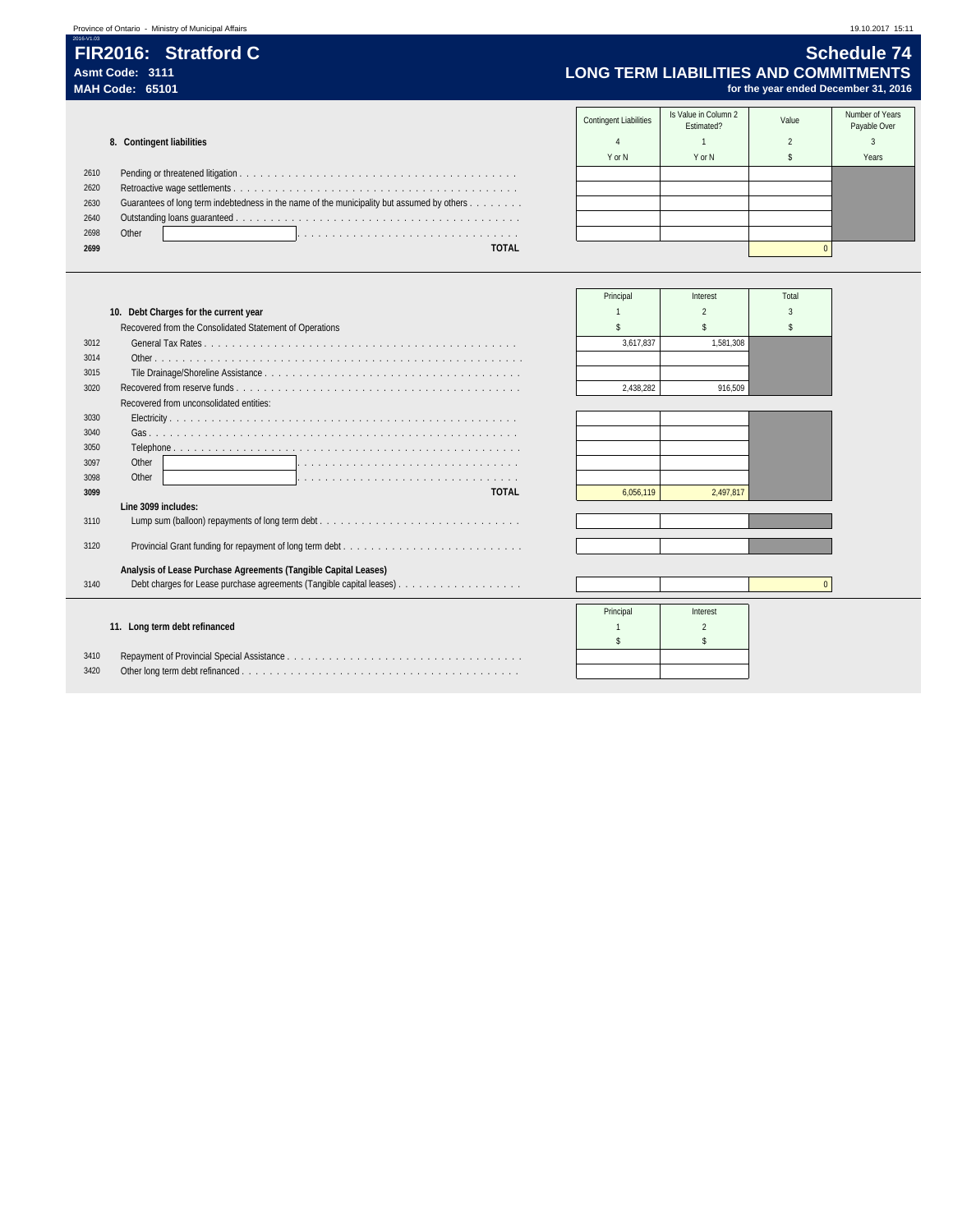### 2016-V1.03 **FIR2016: Stratford C Schedule 74** Asmt Code: 3111<br>MAH Code: 65101<br>MAH Code: 65101 for the year ended December 31, 2016

Contingent Liabilities | Is Value in Column 2 Iue in Column 2 (IV) Value Number of Years<br>1991 Estimated? Later Collins Columber 2014 Payable Over

|      | 8. Contingent liabilities                                                                  |        |        |  |
|------|--------------------------------------------------------------------------------------------|--------|--------|--|
|      |                                                                                            | Y or N | Y or N |  |
| 2610 |                                                                                            |        |        |  |
| 2620 |                                                                                            |        |        |  |
| 2630 | Guarantees of long term indebtedness in the name of the municipality but assumed by others |        |        |  |
| 2640 |                                                                                            |        |        |  |
| 2698 | Other                                                                                      |        |        |  |
| 2699 | TOTAL                                                                                      |        |        |  |

| <b>Contingent Liabilities</b> | Is Value in Column 2<br>Estimated? | Value          | Number of Years<br>Payable Over |
|-------------------------------|------------------------------------|----------------|---------------------------------|
| 4                             |                                    | $\mathfrak{p}$ |                                 |
| Y or N                        | Y or N                             | \$             | Years                           |
|                               |                                    |                |                                 |
|                               |                                    |                |                                 |
|                               |                                    |                |                                 |
|                               |                                    |                |                                 |
|                               |                                    |                |                                 |
|                               |                                    |                |                                 |

|      |                                                                      | Principal | Interest  | Total |
|------|----------------------------------------------------------------------|-----------|-----------|-------|
|      | 10. Debt Charges for the current year                                |           |           |       |
|      | Recovered from the Consolidated Statement of Operations              |           |           |       |
| 3012 |                                                                      | 3.617.837 | 1,581,308 |       |
| 3014 |                                                                      |           |           |       |
| 3015 |                                                                      |           |           |       |
| 3020 |                                                                      | 2,438,282 | 916,509   |       |
|      | Recovered from unconsolidated entities:                              |           |           |       |
| 3030 |                                                                      |           |           |       |
| 3040 |                                                                      |           |           |       |
| 3050 |                                                                      |           |           |       |
| 3097 | Other                                                                |           |           |       |
| 3098 | Other                                                                |           |           |       |
| 3099 | <b>TOTAL</b>                                                         | 6,056,119 | 2,497,817 |       |
|      | Line 3099 includes:                                                  |           |           |       |
| 3110 |                                                                      |           |           |       |
| 3120 |                                                                      |           |           |       |
|      | Analysis of Lease Purchase Agreements (Tangible Capital Leases)      |           |           |       |
| 3140 | Debt charges for Lease purchase agreements (Tangible capital leases) |           |           |       |
|      |                                                                      |           |           |       |
|      |                                                                      | Principal | Interest  |       |
|      | 11. Long term debt refinanced                                        |           |           |       |
|      |                                                                      |           |           |       |
| 3410 |                                                                      |           |           |       |
| 3420 |                                                                      |           |           |       |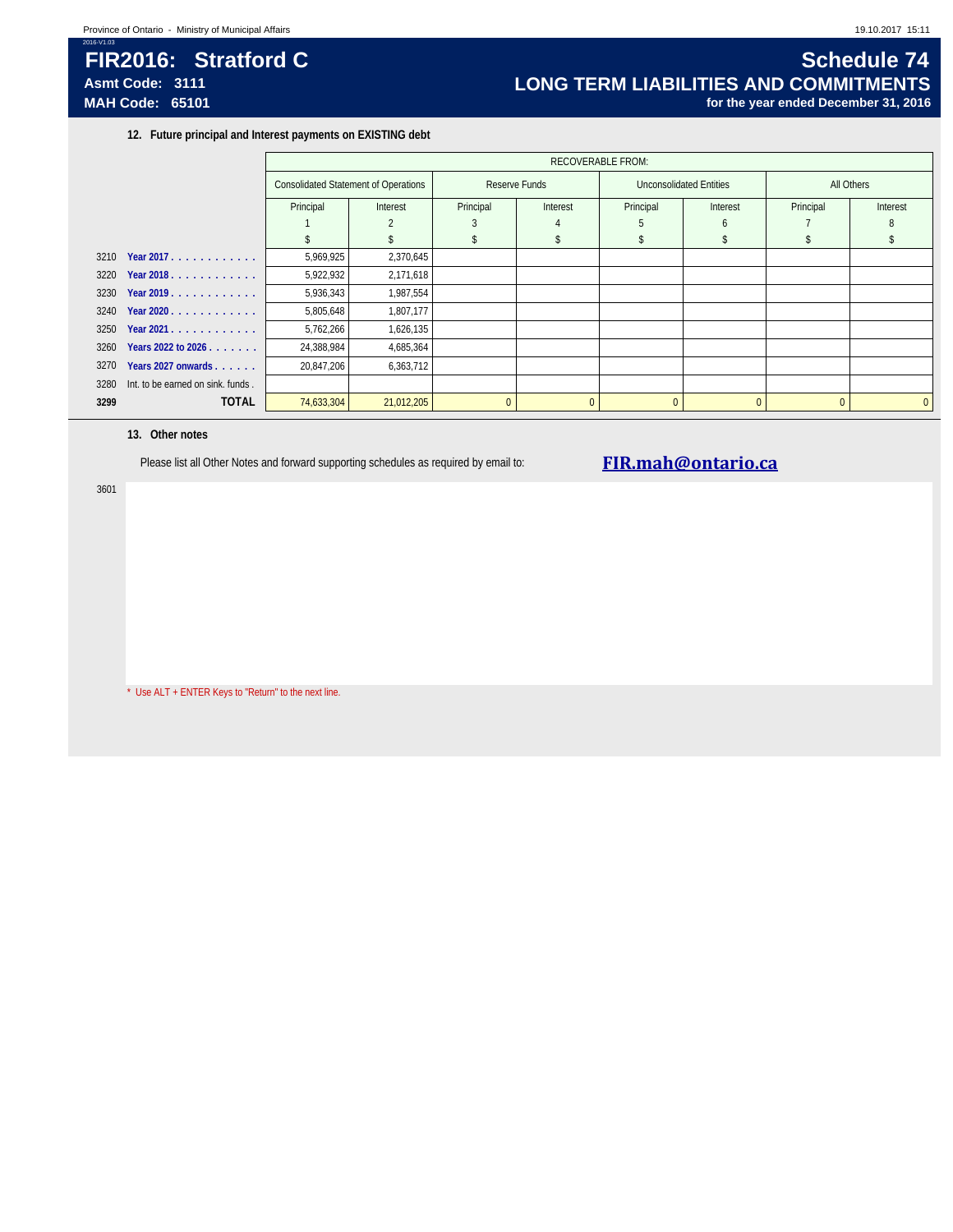### **FIR2016: Stratford C** Sample 19 and 200 and 200 and 200 and 200 and 200 schedule 74 **Asmt Code: 3111 LONG TERM LIABILITIES AND COMMITMENTS MAH Code: 65101 for the year ended December 31, 2016**

**12. Future principal and Interest payments on EXISTING debt**

|      |                                   |                                             | <b>RECOVERABLE FROM:</b> |               |          |                         |          |            |              |  |
|------|-----------------------------------|---------------------------------------------|--------------------------|---------------|----------|-------------------------|----------|------------|--------------|--|
|      |                                   | <b>Consolidated Statement of Operations</b> |                          | Reserve Funds |          | Unconsolidated Entities |          | All Others |              |  |
|      |                                   | Principal                                   | Interest                 |               | Interest | Principal               | Interest | Principal  | Interest     |  |
|      |                                   |                                             |                          |               | Δ        |                         | 6        |            |              |  |
|      |                                   |                                             |                          |               |          |                         |          |            |              |  |
| 3210 | Year 2017.                        | 5,969,925                                   | 2,370,645                |               |          |                         |          |            |              |  |
| 3220 | Year 2018.                        | 5,922,932                                   | 2,171,618                |               |          |                         |          |            |              |  |
| 3230 | Year 2019.                        | 5,936,343                                   | 1,987,554                |               |          |                         |          |            |              |  |
| 3240 | Year 2020                         | 5,805,648                                   | 1,807,177                |               |          |                         |          |            |              |  |
| 3250 | Year 2021.                        | 5,762,266                                   | 1,626,135                |               |          |                         |          |            |              |  |
| 3260 | Years 2022 to 2026                | 24,388,984                                  | 4,685,364                |               |          |                         |          |            |              |  |
| 3270 | Years 2027 onwards                | 20,847,206                                  | 6,363,712                |               |          |                         |          |            |              |  |
| 3280 | Int. to be earned on sink. funds. |                                             |                          |               |          |                         |          |            |              |  |
| 3299 | <b>TOTAL</b>                      | 74,633,304                                  | 21,012,205               | $\Omega$      | $\Omega$ | $\Omega$                | $\Omega$ |            | $\mathbf{0}$ |  |

#### **13. Other notes**

3601

Please list all Other Notes and forward supporting schedules as required by email to: **FIR.mah@ontario.ca** 

\* Use ALT + ENTER Keys to "Return" to the next line.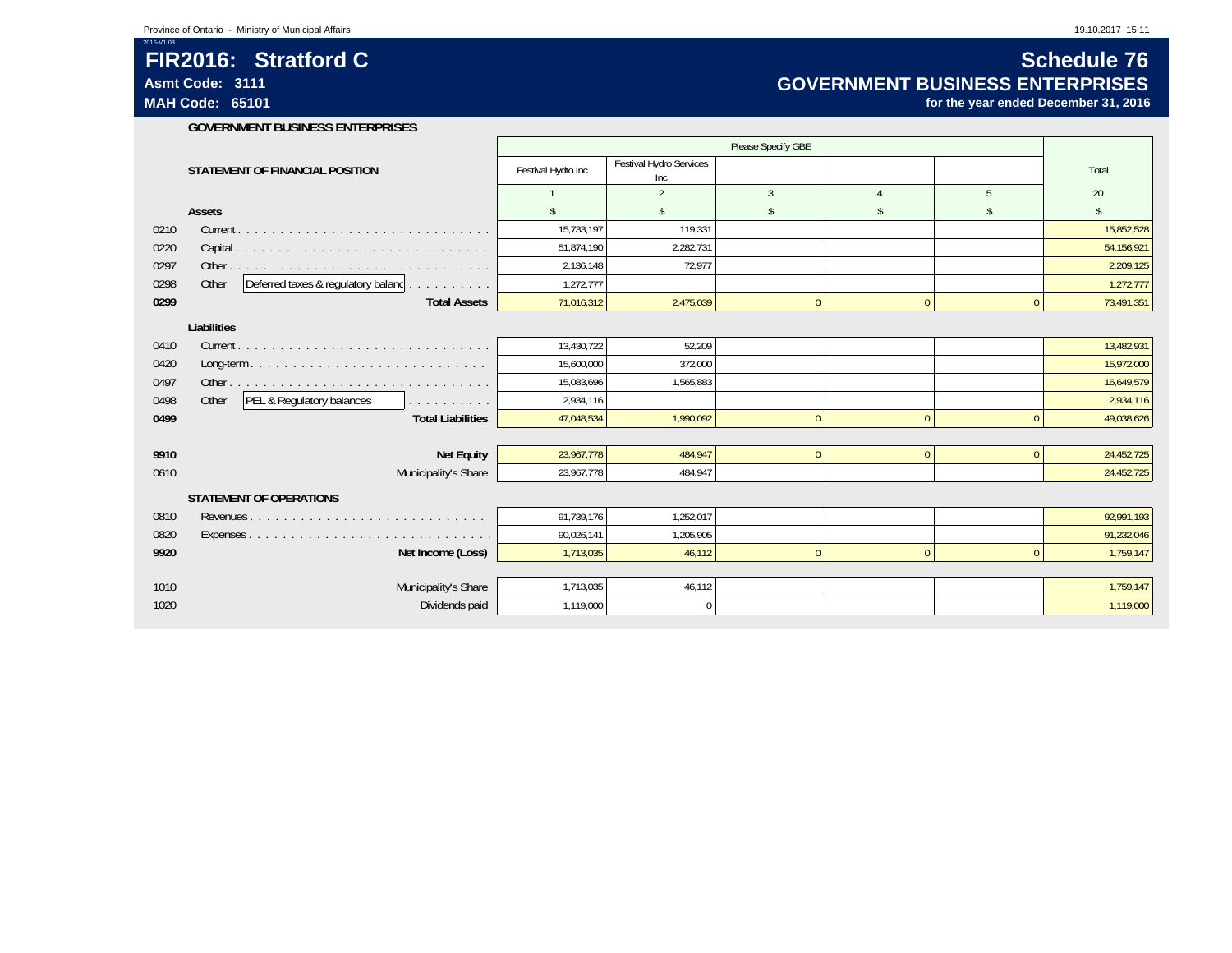# **FIR2016: Stratford C**

**Asmt Code: 3111**

**MAH Code: 65101**

2016-V1.03

## **Schedule 76 GOVERNMENT BUSINESS ENTERPRISES**

**for the year ended December 31, 2016**

#### **GOVERNMENT BUSINESS ENTERPRISES**

| Festival Hydro Services<br>STATEMENT OF FINANCIAL POSITION<br>Festival Hydto Inc<br>Total<br>Inc<br>$\overline{2}$<br>$\mathbf{3}$<br>5<br>20<br>$\overline{4}$<br>Assets<br>\$<br>\$<br>$\mathsf{\$}$<br>$\hat{\mathbf{S}}$<br>$\mathsf{\$}$<br>\$<br>0210<br>15,733,197<br>119,331<br>0220<br>51,874,190<br>2,282,731<br>0297<br>2,136,148<br>72.977<br>Deferred taxes & regulatory baland<br>0298<br>Other<br>1,272,777<br>0299<br><b>Total Assets</b><br>$\overline{0}$<br>$\overline{0}$<br>71,016,312<br>2,475,039<br>$\mathbf{0}$<br>Liabilities<br>13,430,722<br>52.209<br>0410<br>15,600,000<br>0420<br>372,000<br>0497<br>15,083,696<br>1,565,883<br>PEL & Regulatory balances<br>0498<br>Other<br>2,934,116<br>and a straightful and<br><b>Total Liabilities</b><br>0499<br>47,048,534<br>1,990,092<br>$\Omega$<br>$\Omega$<br>$\Omega$<br><b>Net Equity</b><br>23,967,778<br>$\overline{0}$<br>9910<br>484.947<br>$\mathbf{0}$<br>$\mathbf{0}$<br>Municipality's Share<br>23,967,778<br>0610<br>484,947<br><b>STATEMENT OF OPERATIONS</b><br>Revenues<br>91,739,176<br>0810<br>1,252,017<br>0820<br>90,026,141<br>1,205,905<br>9920<br>Net Income (Loss)<br>$\mathbf{0}$<br>$\mathbf{0}$<br>1,713,035<br>46,112<br>$\mathbf{0}$<br>Municipality's Share<br>1010<br>1,713,035<br>46,112<br>Dividends paid<br>1020<br>1,119,000<br>$\Omega$ |  |  | Please Specify GBE |  |            |
|-------------------------------------------------------------------------------------------------------------------------------------------------------------------------------------------------------------------------------------------------------------------------------------------------------------------------------------------------------------------------------------------------------------------------------------------------------------------------------------------------------------------------------------------------------------------------------------------------------------------------------------------------------------------------------------------------------------------------------------------------------------------------------------------------------------------------------------------------------------------------------------------------------------------------------------------------------------------------------------------------------------------------------------------------------------------------------------------------------------------------------------------------------------------------------------------------------------------------------------------------------------------------------------------------------------------------------------------------------|--|--|--------------------|--|------------|
|                                                                                                                                                                                                                                                                                                                                                                                                                                                                                                                                                                                                                                                                                                                                                                                                                                                                                                                                                                                                                                                                                                                                                                                                                                                                                                                                                       |  |  |                    |  |            |
|                                                                                                                                                                                                                                                                                                                                                                                                                                                                                                                                                                                                                                                                                                                                                                                                                                                                                                                                                                                                                                                                                                                                                                                                                                                                                                                                                       |  |  |                    |  |            |
|                                                                                                                                                                                                                                                                                                                                                                                                                                                                                                                                                                                                                                                                                                                                                                                                                                                                                                                                                                                                                                                                                                                                                                                                                                                                                                                                                       |  |  |                    |  |            |
|                                                                                                                                                                                                                                                                                                                                                                                                                                                                                                                                                                                                                                                                                                                                                                                                                                                                                                                                                                                                                                                                                                                                                                                                                                                                                                                                                       |  |  |                    |  | 15,852,528 |
|                                                                                                                                                                                                                                                                                                                                                                                                                                                                                                                                                                                                                                                                                                                                                                                                                                                                                                                                                                                                                                                                                                                                                                                                                                                                                                                                                       |  |  |                    |  | 54,156,921 |
|                                                                                                                                                                                                                                                                                                                                                                                                                                                                                                                                                                                                                                                                                                                                                                                                                                                                                                                                                                                                                                                                                                                                                                                                                                                                                                                                                       |  |  |                    |  | 2,209,125  |
|                                                                                                                                                                                                                                                                                                                                                                                                                                                                                                                                                                                                                                                                                                                                                                                                                                                                                                                                                                                                                                                                                                                                                                                                                                                                                                                                                       |  |  |                    |  | 1,272,777  |
|                                                                                                                                                                                                                                                                                                                                                                                                                                                                                                                                                                                                                                                                                                                                                                                                                                                                                                                                                                                                                                                                                                                                                                                                                                                                                                                                                       |  |  |                    |  | 73,491,351 |
|                                                                                                                                                                                                                                                                                                                                                                                                                                                                                                                                                                                                                                                                                                                                                                                                                                                                                                                                                                                                                                                                                                                                                                                                                                                                                                                                                       |  |  |                    |  |            |
|                                                                                                                                                                                                                                                                                                                                                                                                                                                                                                                                                                                                                                                                                                                                                                                                                                                                                                                                                                                                                                                                                                                                                                                                                                                                                                                                                       |  |  |                    |  | 13,482,931 |
|                                                                                                                                                                                                                                                                                                                                                                                                                                                                                                                                                                                                                                                                                                                                                                                                                                                                                                                                                                                                                                                                                                                                                                                                                                                                                                                                                       |  |  |                    |  | 15,972,000 |
|                                                                                                                                                                                                                                                                                                                                                                                                                                                                                                                                                                                                                                                                                                                                                                                                                                                                                                                                                                                                                                                                                                                                                                                                                                                                                                                                                       |  |  |                    |  | 16,649,579 |
|                                                                                                                                                                                                                                                                                                                                                                                                                                                                                                                                                                                                                                                                                                                                                                                                                                                                                                                                                                                                                                                                                                                                                                                                                                                                                                                                                       |  |  |                    |  | 2,934,116  |
|                                                                                                                                                                                                                                                                                                                                                                                                                                                                                                                                                                                                                                                                                                                                                                                                                                                                                                                                                                                                                                                                                                                                                                                                                                                                                                                                                       |  |  |                    |  | 49,038,626 |
|                                                                                                                                                                                                                                                                                                                                                                                                                                                                                                                                                                                                                                                                                                                                                                                                                                                                                                                                                                                                                                                                                                                                                                                                                                                                                                                                                       |  |  |                    |  |            |
|                                                                                                                                                                                                                                                                                                                                                                                                                                                                                                                                                                                                                                                                                                                                                                                                                                                                                                                                                                                                                                                                                                                                                                                                                                                                                                                                                       |  |  |                    |  | 24,452,725 |
|                                                                                                                                                                                                                                                                                                                                                                                                                                                                                                                                                                                                                                                                                                                                                                                                                                                                                                                                                                                                                                                                                                                                                                                                                                                                                                                                                       |  |  |                    |  | 24,452,725 |
|                                                                                                                                                                                                                                                                                                                                                                                                                                                                                                                                                                                                                                                                                                                                                                                                                                                                                                                                                                                                                                                                                                                                                                                                                                                                                                                                                       |  |  |                    |  |            |
|                                                                                                                                                                                                                                                                                                                                                                                                                                                                                                                                                                                                                                                                                                                                                                                                                                                                                                                                                                                                                                                                                                                                                                                                                                                                                                                                                       |  |  |                    |  | 92,991,193 |
|                                                                                                                                                                                                                                                                                                                                                                                                                                                                                                                                                                                                                                                                                                                                                                                                                                                                                                                                                                                                                                                                                                                                                                                                                                                                                                                                                       |  |  |                    |  | 91,232,046 |
|                                                                                                                                                                                                                                                                                                                                                                                                                                                                                                                                                                                                                                                                                                                                                                                                                                                                                                                                                                                                                                                                                                                                                                                                                                                                                                                                                       |  |  |                    |  | 1,759,147  |
|                                                                                                                                                                                                                                                                                                                                                                                                                                                                                                                                                                                                                                                                                                                                                                                                                                                                                                                                                                                                                                                                                                                                                                                                                                                                                                                                                       |  |  |                    |  |            |
|                                                                                                                                                                                                                                                                                                                                                                                                                                                                                                                                                                                                                                                                                                                                                                                                                                                                                                                                                                                                                                                                                                                                                                                                                                                                                                                                                       |  |  |                    |  | 1,759,147  |
|                                                                                                                                                                                                                                                                                                                                                                                                                                                                                                                                                                                                                                                                                                                                                                                                                                                                                                                                                                                                                                                                                                                                                                                                                                                                                                                                                       |  |  |                    |  | 1,119,000  |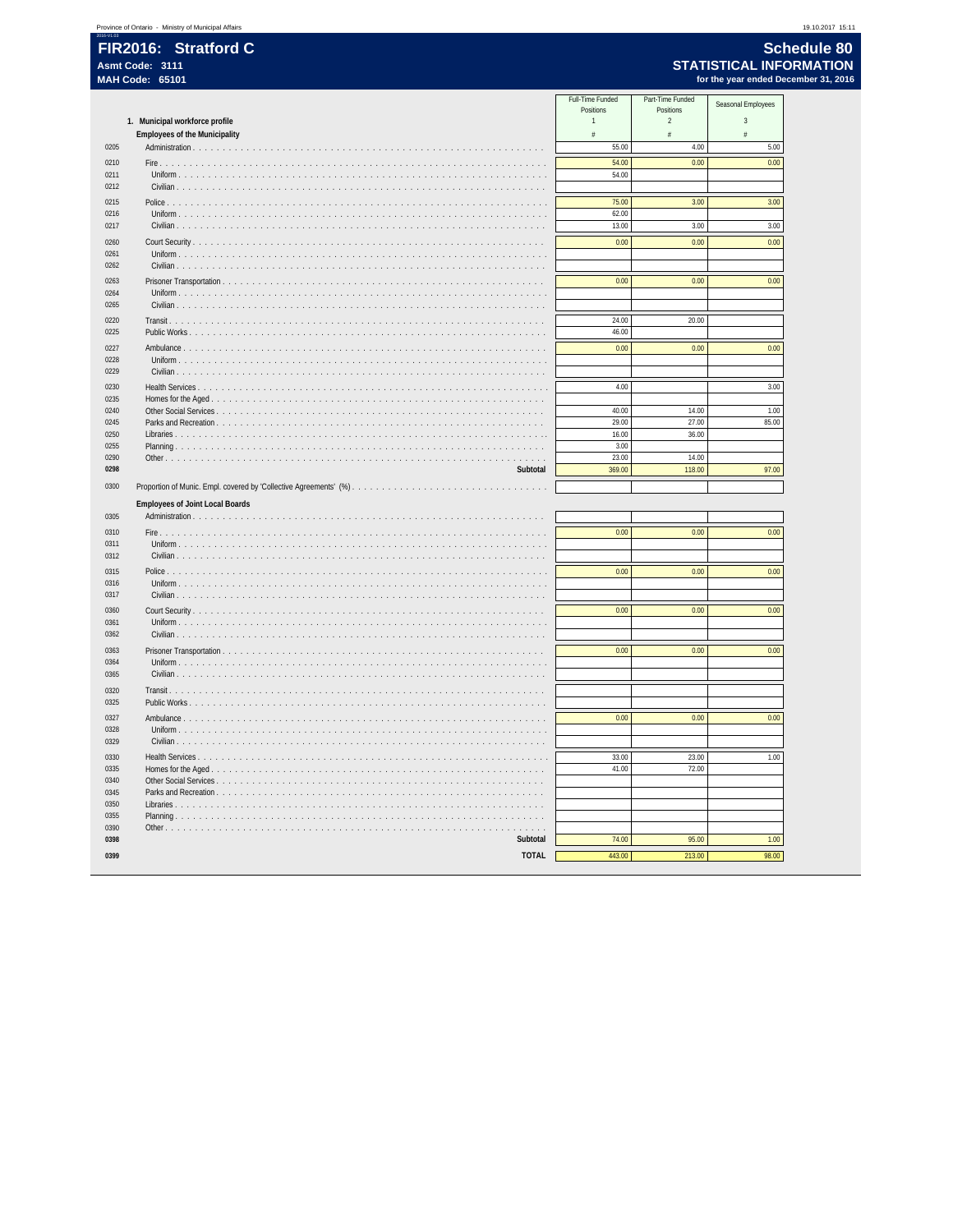## Schedule 80 STATISTICAL INFORMATION<br>for the year ended December 31, 2016

|              | Asmt Code: 3111<br><b>MAH Code: 65101</b> |                               |                               | <b>STATISTICAL INFORM.</b><br>for the year ended Decembe |
|--------------|-------------------------------------------|-------------------------------|-------------------------------|----------------------------------------------------------|
|              |                                           | Full-Time Funded<br>Positions | Part-Time Funded<br>Positions | Seasonal Employees                                       |
|              | 1. Municipal workforce profile            | $\mathbf{1}$                  | $\overline{2}$                | $\overline{\mathbf{3}}$                                  |
|              | <b>Employees of the Municipality</b>      | $\#$                          | $\#$                          | $\#$                                                     |
| 0205         |                                           | 55.00                         | 4.00                          | 5.00                                                     |
| 0210         |                                           | 54.00                         | 0.00                          | 0.00                                                     |
| 0211         |                                           | 54.00                         |                               |                                                          |
| 0212         |                                           |                               |                               |                                                          |
| 0215<br>0216 |                                           | 75.00                         | 3.00                          | 3.00                                                     |
| 0217         | Civilian                                  | 62.00<br>13.00                | 3.00                          | 3.00                                                     |
| 0260         |                                           | 0.00                          | 0.00                          | 0.00                                                     |
| 0261         |                                           |                               |                               |                                                          |
| 0262         |                                           |                               |                               |                                                          |
| 0263         |                                           | 0.00                          | 0.00                          | 0.00                                                     |
| 0264         |                                           |                               |                               |                                                          |
| 0265         |                                           |                               |                               |                                                          |
| 0220         |                                           | 24.00                         | 20.00                         |                                                          |
| 0225         |                                           | 46.00                         |                               |                                                          |
| 0227         | Ambulance                                 | 0.00                          | 0.00                          | 0.00                                                     |
| 0228         |                                           |                               |                               |                                                          |
| 0229         |                                           |                               |                               |                                                          |
| 0230         | Health Services                           | 4.00                          |                               | 3.00                                                     |
| 0235         |                                           |                               |                               |                                                          |
| 0240<br>0245 | Parks and Recreation                      | 40.00<br>29.00                | 14.00<br>27.00                | 1.00<br>85.00                                            |
| 0250         |                                           | 16.00                         | 36.00                         |                                                          |
| 0255         |                                           | 3.00                          |                               |                                                          |
| 0290         |                                           | 23.00                         | 14.00                         |                                                          |
| 0298         | Subtotal                                  | 369.00                        | 118.00                        | 97.00                                                    |
| 0300         |                                           |                               |                               |                                                          |
|              | <b>Employees of Joint Local Boards</b>    |                               |                               |                                                          |
| 0305         |                                           |                               |                               |                                                          |
| 0310         |                                           | 0.00                          | 0.00                          | 0.00                                                     |
| 0311         |                                           |                               |                               |                                                          |
| 0312         |                                           |                               |                               |                                                          |
| 0315         |                                           | 0.00                          | 0.00                          | 0.00                                                     |
| 0316         |                                           |                               |                               |                                                          |
| 0317         |                                           |                               |                               |                                                          |
| 0360         | Court Security                            | 0.00                          | 0.00                          | 0.00                                                     |
| 0361         |                                           |                               |                               |                                                          |
| 0362         |                                           |                               |                               |                                                          |
| 0363         |                                           | 0.00                          | 0.00                          | 0.00                                                     |
| 0364<br>0365 | Civilian                                  |                               |                               |                                                          |
| 0320         |                                           |                               |                               |                                                          |
| 0325         | Public Works                              |                               |                               |                                                          |
| 0327         |                                           | 0.00                          | 0.00                          | 0.00                                                     |
| 0328         |                                           |                               |                               |                                                          |
| 0329         |                                           |                               |                               |                                                          |
| 0330         |                                           | 33.00                         | 23.00                         | 1.00                                                     |
| 0335         |                                           | 41.00                         | 72.00                         |                                                          |
| 0340         |                                           |                               |                               |                                                          |
| 0345         |                                           |                               |                               |                                                          |
| 0350         |                                           |                               |                               |                                                          |
| 0355<br>0390 |                                           |                               |                               |                                                          |
| 0398         | Subtotal                                  | 74.00                         | 95.00                         | 1.00                                                     |
| 0399         | <b>TOTAL</b>                              | 443.00                        | 213.00                        | 98.00                                                    |
|              |                                           |                               |                               |                                                          |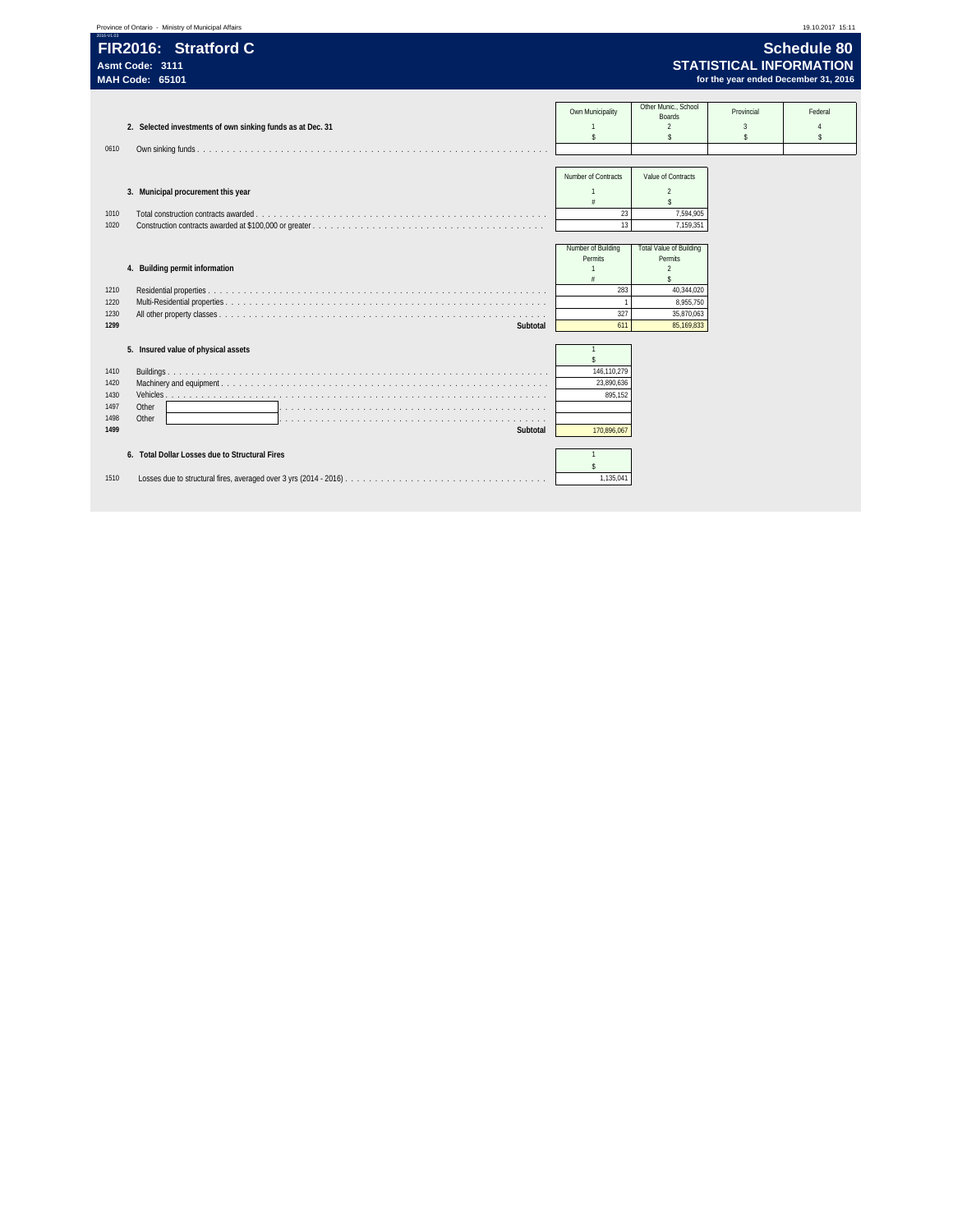| Province of Ontario - Ministry of Municipal Affairs                                                                                                                                                                                                |                                                                           |                                                                                                                                   |                                   | 19.10.2017 15:11                                                                             |
|----------------------------------------------------------------------------------------------------------------------------------------------------------------------------------------------------------------------------------------------------|---------------------------------------------------------------------------|-----------------------------------------------------------------------------------------------------------------------------------|-----------------------------------|----------------------------------------------------------------------------------------------|
| 2016-V1.03<br>FIR2016: Stratford C<br>Asmt Code: 3111<br><b>MAH Code: 65101</b>                                                                                                                                                                    |                                                                           |                                                                                                                                   |                                   | <b>Schedule 80</b><br><b>STATISTICAL INFORMATION</b><br>for the year ended December 31, 2016 |
| 2. Selected investments of own sinking funds as at Dec. 31<br>0610                                                                                                                                                                                 | Own Municipality<br>$\mathbb{S}$                                          | Other Munic., School<br><b>Boards</b><br>$\overline{2}$<br>\$                                                                     | Provincial<br>$\overline{3}$<br>s | Federal<br>$\mathsf S$                                                                       |
| 3. Municipal procurement this year<br>Total construction contracts awarded $\ldots$ , $\ldots$ , $\ldots$ , $\ldots$ , $\ldots$ , $\ldots$ , $\ldots$ , $\ldots$ , $\ldots$ , $\ldots$ , $\ldots$ , $\ldots$ , $\ldots$ , $\ldots$<br>1010<br>1020 | Number of Contracts<br>23<br>13                                           | Value of Contracts<br>$\overline{2}$<br>¢<br>7,594,905<br>7,159,351                                                               |                                   |                                                                                              |
| 4. Building permit information<br>1210<br>1220<br>1230<br>1299<br>Subtotal                                                                                                                                                                         | Number of Building<br>Permits<br>283<br>$\mathbf{1}$<br>327<br>611        | <b>Total Value of Building</b><br>Permits<br>$\overline{2}$<br>$\mathsf S$<br>40,344,020<br>8,955,750<br>35,870,063<br>85,169,833 |                                   |                                                                                              |
| 5. Insured value of physical assets<br>1410<br>1420<br>1430<br>1497<br>Other<br>1498<br>Other<br>1499<br>Subtotal                                                                                                                                  | $\hat{\mathbf{S}}$<br>146,110,279<br>23,890,636<br>895,152<br>170,896,067 |                                                                                                                                   |                                   |                                                                                              |
| 6. Total Dollar Losses due to Structural Fires<br>1510                                                                                                                                                                                             | $\mathbb{S}$<br>1,135,041                                                 |                                                                                                                                   |                                   |                                                                                              |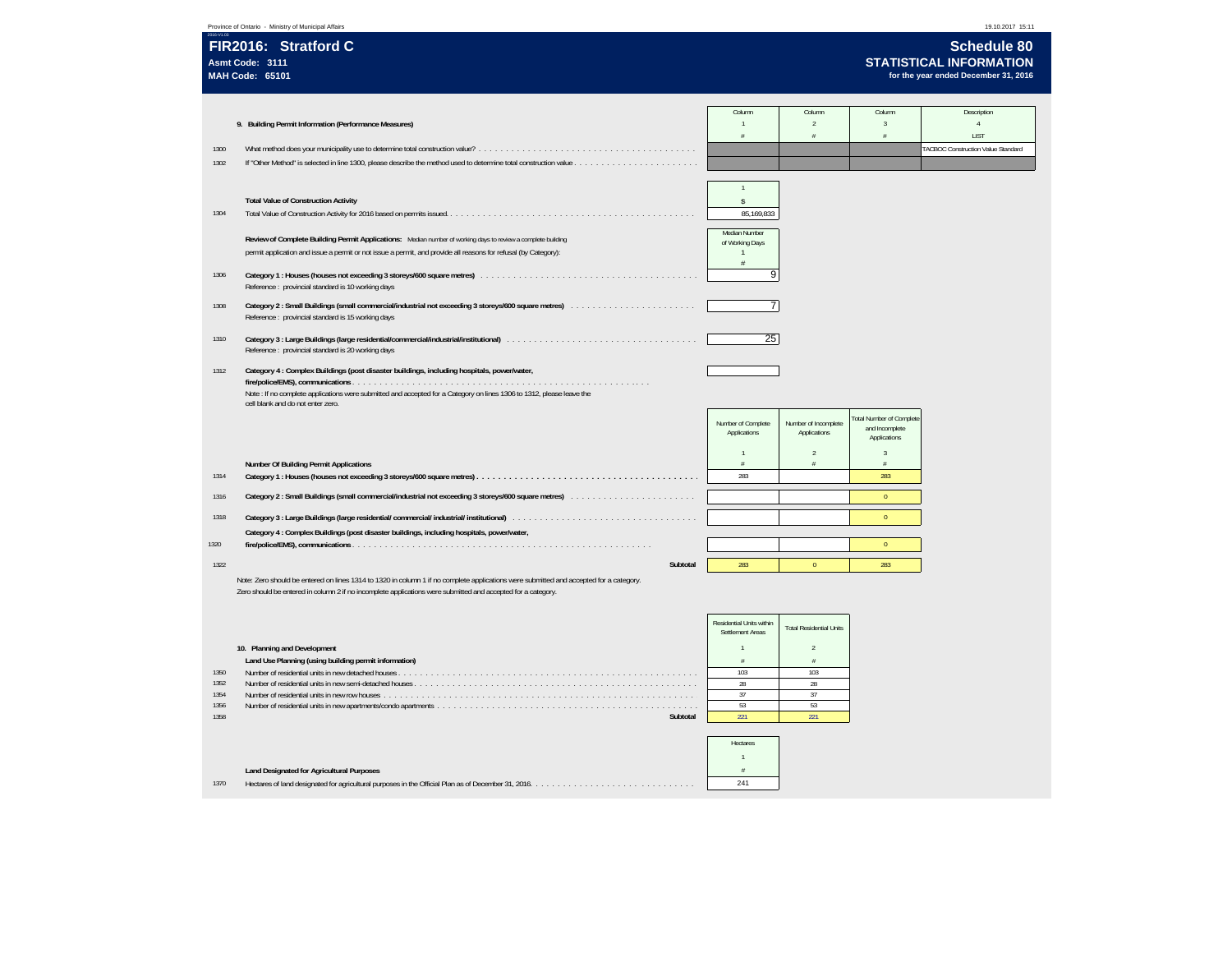|              | FIR2016: Stratford C<br>Asmt Code: 3111<br><b>MAH Code: 65101</b>                                                                                                                                                                                        |                                    |                                      |                                                          | <b>Schedule 80</b><br><b>STATISTICAL INFORMATION</b><br>for the year ended December 31, 2016 |
|--------------|----------------------------------------------------------------------------------------------------------------------------------------------------------------------------------------------------------------------------------------------------------|------------------------------------|--------------------------------------|----------------------------------------------------------|----------------------------------------------------------------------------------------------|
|              |                                                                                                                                                                                                                                                          | Column                             | Column                               | Column                                                   | Description                                                                                  |
|              | 9. Building Permit Information (Performance Measures)                                                                                                                                                                                                    | #                                  | $\mathfrak{D}$<br>$\#$               | $\overline{3}$<br>$\#$                                   | $\overline{4}$<br>LIST                                                                       |
| 1300         |                                                                                                                                                                                                                                                          |                                    |                                      |                                                          | <b>FACBOC Construction Value Standard</b>                                                    |
| 1302         |                                                                                                                                                                                                                                                          |                                    |                                      |                                                          |                                                                                              |
|              | <b>Total Value of Construction Activity</b>                                                                                                                                                                                                              | $\mathbf{1}$<br>$\mathsf S$        |                                      |                                                          |                                                                                              |
| 1304         |                                                                                                                                                                                                                                                          | 85, 169, 833                       |                                      |                                                          |                                                                                              |
|              | Review of Complete Building Permit Applications: Median number of working days to review a complete building                                                                                                                                             | Median Number<br>of Working Days   |                                      |                                                          |                                                                                              |
|              | permit application and issue a permit or not issue a permit, and provide all reasons for refusal (by Category):                                                                                                                                          | $\mathbf{1}$<br>$\#$               |                                      |                                                          |                                                                                              |
| 1306         | Reference : provincial standard is 10 working days                                                                                                                                                                                                       | 9                                  |                                      |                                                          |                                                                                              |
| 1308         | Reference : provincial standard is 15 working days                                                                                                                                                                                                       | $\overline{7}$                     |                                      |                                                          |                                                                                              |
| 1310         | Reference : provincial standard is 20 working days                                                                                                                                                                                                       | 25                                 |                                      |                                                          |                                                                                              |
| 1312         | Category 4 : Complex Buildings (post disaster buildings, including hospitals, power/water,<br>Note : If no complete applications were submitted and accepted for a Category on lines 1306 to 1312, please leave the<br>cell blank and do not enter zero. |                                    |                                      |                                                          |                                                                                              |
|              |                                                                                                                                                                                                                                                          | Number of Complete<br>Applications | Number of Incomplete<br>Applications | otal Number of Complet<br>and Incomplete<br>Applications |                                                                                              |
|              |                                                                                                                                                                                                                                                          | $\mathbf{1}$                       | $\overline{2}$                       | $\overline{3}$                                           |                                                                                              |
| 1314         | Number Of Building Permit Applications                                                                                                                                                                                                                   | $\frac{1}{4}$<br>283               | $\#$                                 | $\#$<br>283                                              |                                                                                              |
| 1316         |                                                                                                                                                                                                                                                          |                                    |                                      | $\Omega$                                                 |                                                                                              |
| 1318         | Category 3 : Large Buildings (large residential/ commercial/ industrial/ institutional) [2010] [2010] [2010] [30] [30] Category 3 : Large Buildings (large residential/ commercial/ industrial/ institutional) [2010] [30] [30                           |                                    |                                      | $\pmb{0}$                                                |                                                                                              |
|              | Category 4 : Complex Buildings (post disaster buildings, including hospitals, power/water,                                                                                                                                                               |                                    |                                      |                                                          |                                                                                              |
| 320          |                                                                                                                                                                                                                                                          |                                    |                                      | $\mathbf{0}$                                             |                                                                                              |
| 1322         | Subtotal                                                                                                                                                                                                                                                 | 283                                | $\pmb{0}$                            | 283                                                      |                                                                                              |
|              | Note: Zero should be entered on lines 1314 to 1320 in column 1 if no complete applications were submitted and accepted for a category.<br>Zero should be entered in column 2 if no incomplete applications were submitted and accepted for a category.   |                                    |                                      |                                                          |                                                                                              |
|              |                                                                                                                                                                                                                                                          | Residential Units within           |                                      |                                                          |                                                                                              |
|              |                                                                                                                                                                                                                                                          | Settlement Areas                   | <b>Total Residential Units</b>       |                                                          |                                                                                              |
|              | 10. Planning and Development<br>Land Use Planning (using building permit information)                                                                                                                                                                    | $\mathbf{1}$<br>$\#$               | $\mathfrak{p}$<br>$\#$               |                                                          |                                                                                              |
| 1350         |                                                                                                                                                                                                                                                          | 103                                | 103                                  |                                                          |                                                                                              |
| 1352<br>1354 |                                                                                                                                                                                                                                                          | 28<br>37                           | $28\,$<br>37                         |                                                          |                                                                                              |
| 1356         |                                                                                                                                                                                                                                                          | 53                                 | 53                                   |                                                          |                                                                                              |
| 1358         | Subtotal                                                                                                                                                                                                                                                 | 221                                | 221                                  |                                                          |                                                                                              |
|              |                                                                                                                                                                                                                                                          | Hectares                           |                                      |                                                          |                                                                                              |
|              |                                                                                                                                                                                                                                                          | $\mathbf{1}$                       |                                      |                                                          |                                                                                              |
|              | <b>Land Designated for Agricultural Purposes</b>                                                                                                                                                                                                         | ă                                  |                                      |                                                          |                                                                                              |

 $\overline{\phantom{0}}$ 

1370 Hectares of land designated for agricultural purposes in the Official Plan as of December 31, 2016. . . . . . . . . . . . . . . . . . . . . . . . . . . . . . <sup>241</sup>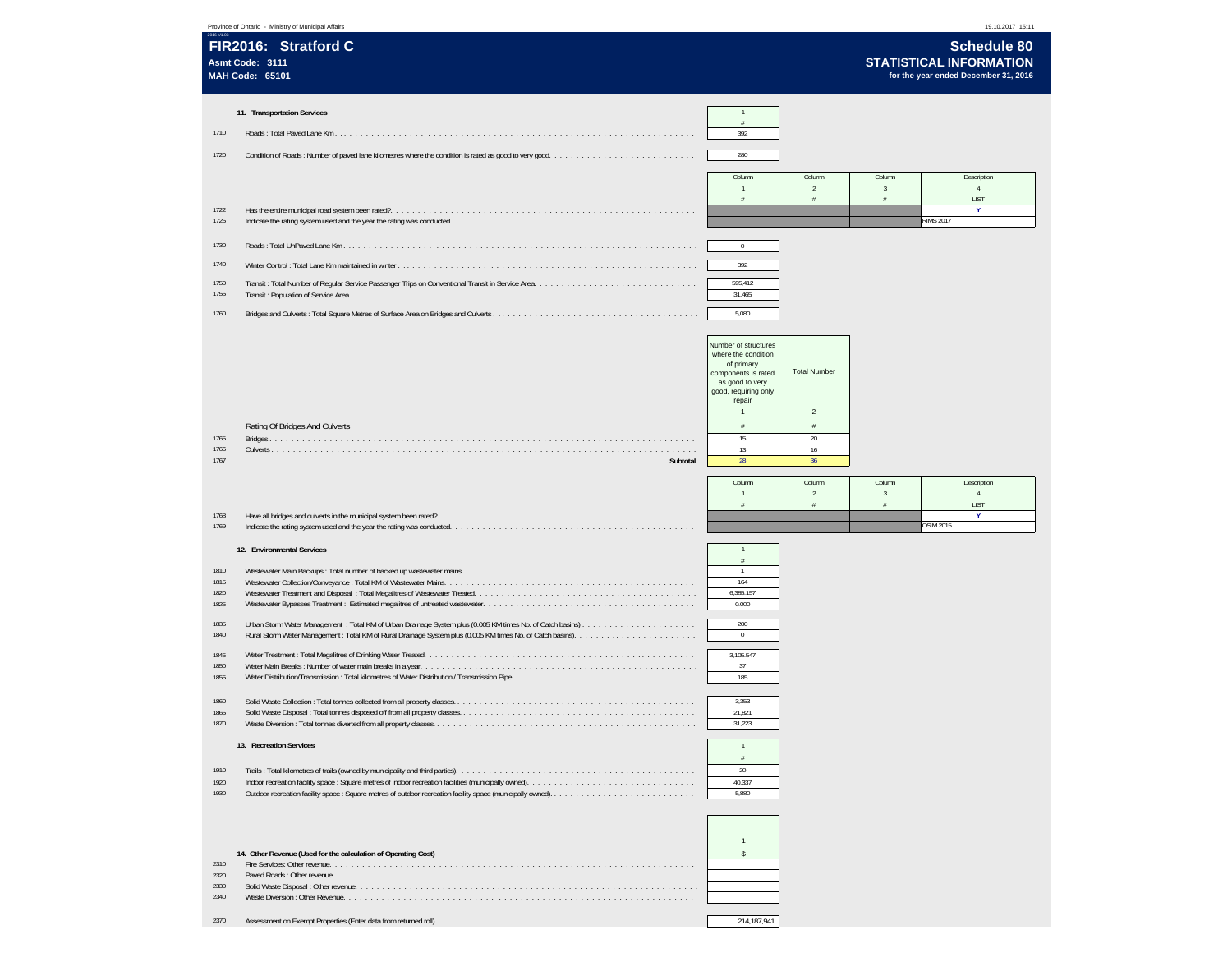|                                      | Province of Ontario - Ministry of Municipal Affairs            |                                                                                                                                                       |                                       |                | 19.10.2017 15:11                                                                      |
|--------------------------------------|----------------------------------------------------------------|-------------------------------------------------------------------------------------------------------------------------------------------------------|---------------------------------------|----------------|---------------------------------------------------------------------------------------|
|                                      | FIR2016: Stratford C<br>Asmt Code: 3111<br>MAH Code: 65101     |                                                                                                                                                       |                                       |                | Schedule 80<br><b>STATISTICAL INFORMATION</b><br>for the year ended December 31, 2016 |
|                                      | 11. Transportation Services                                    | $\overline{1}$<br>#                                                                                                                                   |                                       |                |                                                                                       |
| 1710                                 |                                                                | 392                                                                                                                                                   |                                       |                |                                                                                       |
| 1720                                 |                                                                | 280                                                                                                                                                   |                                       |                |                                                                                       |
|                                      |                                                                | Column                                                                                                                                                | Column                                | Column         | Description                                                                           |
|                                      |                                                                | $\mathbf{1}$<br>$\#$                                                                                                                                  | $\overline{2}$<br>$\ddot{\pi}$        | $_{3}$<br>$\#$ | $\overline{4}$<br>LIST                                                                |
| 1722<br>1725                         |                                                                |                                                                                                                                                       |                                       |                | Y<br><b>RIMS 2017</b>                                                                 |
| 1730                                 |                                                                | $\,0\,$                                                                                                                                               |                                       |                |                                                                                       |
| 1740                                 |                                                                | 392                                                                                                                                                   |                                       |                |                                                                                       |
| 1750<br>1755                         |                                                                | 595,412<br>31,465                                                                                                                                     |                                       |                |                                                                                       |
| 1760                                 |                                                                | 5,080                                                                                                                                                 |                                       |                |                                                                                       |
|                                      |                                                                |                                                                                                                                                       |                                       |                |                                                                                       |
|                                      |                                                                | Number of structures<br>where the condition<br>of primary<br>components is rated<br>as good to very<br>good, requiring only<br>repair<br>$\mathbf{1}$ | <b>Total Number</b><br>$\overline{2}$ |                |                                                                                       |
|                                      | Rating Of Bridges And Culverts                                 | $\#$                                                                                                                                                  | $\ddot{\pi}$                          |                |                                                                                       |
| 1765<br>1766                         |                                                                | 15<br>13                                                                                                                                              | $20\,$<br>16                          |                |                                                                                       |
| 1767                                 | Subtotal                                                       | ${\bf 28}$                                                                                                                                            | 36                                    |                |                                                                                       |
|                                      |                                                                | Column<br>$\mathbf{1}$                                                                                                                                | Column<br>$\overline{2}$              | Column<br>3    | Description<br>$\overline{4}$                                                         |
| 1768                                 |                                                                | #                                                                                                                                                     | #                                     | $\#$           | LIST<br>Y                                                                             |
| 1769                                 |                                                                |                                                                                                                                                       |                                       |                | <b>OSIM 2015</b>                                                                      |
|                                      | 12. Environmental Services                                     | $\mathbf{1}$<br>#                                                                                                                                     |                                       |                |                                                                                       |
| 1810<br>1815<br>1820<br>1825         |                                                                | $\overline{1}$<br>164<br>6,385.157<br>0.000                                                                                                           |                                       |                |                                                                                       |
| 1835<br>1840                         |                                                                | 200<br>$\mathbf 0$                                                                                                                                    |                                       |                |                                                                                       |
| 1845                                 |                                                                | 3,105.547                                                                                                                                             |                                       |                |                                                                                       |
| 1850<br>1855                         |                                                                | 37<br>185                                                                                                                                             |                                       |                |                                                                                       |
| 1860<br>1865<br>1870                 |                                                                | 3,353<br>21,821<br>31,223                                                                                                                             |                                       |                |                                                                                       |
|                                      | 13. Recreation Services                                        | $\overline{1}$                                                                                                                                        |                                       |                |                                                                                       |
| 1910<br>1920<br>1930                 |                                                                | $\#$<br>20<br>40,337<br>5,880                                                                                                                         |                                       |                |                                                                                       |
| 2310<br>2320<br>2330<br>2340<br>2370 | 14. Other Revenue (Used for the calculation of Operating Cost) | $\mathbf{1}$<br>$\hat{S}$<br>214,187,941                                                                                                              |                                       |                |                                                                                       |